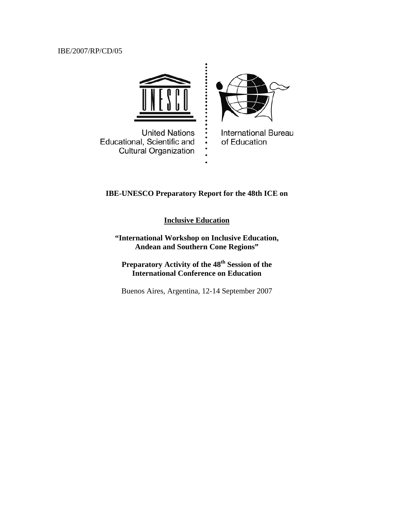# IBE/2007/RP/CD/05



# **IBE-UNESCO Preparatory Report for the 48th ICE on**

**Inclusive Education**

**"International Workshop on Inclusive Education, Andean and Southern Cone Regions"** 

Preparatory Activity of the  $48<sup>th</sup>$  Session of the **International Conference on Education** 

Buenos Aires, Argentina, 12-14 September 2007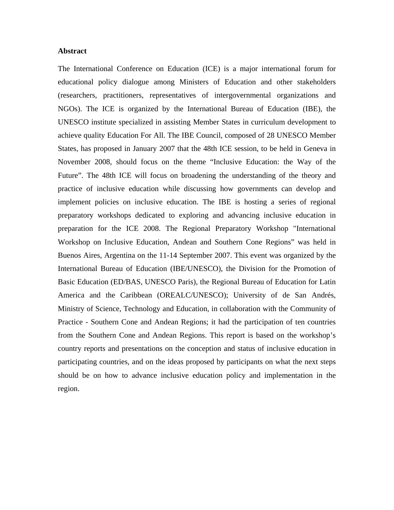#### **Abstract**

The International Conference on Education (ICE) is a major international forum for educational policy dialogue among Ministers of Education and other stakeholders (researchers, practitioners, representatives of intergovernmental organizations and NGOs). The ICE is organized by the International Bureau of Education (IBE), the UNESCO institute specialized in assisting Member States in curriculum development to achieve quality Education For All. The IBE Council, composed of 28 UNESCO Member States, has proposed in January 2007 that the 48th ICE session, to be held in Geneva in November 2008, should focus on the theme "Inclusive Education: the Way of the Future". The 48th ICE will focus on broadening the understanding of the theory and practice of inclusive education while discussing how governments can develop and implement policies on inclusive education. The IBE is hosting a series of regional preparatory workshops dedicated to exploring and advancing inclusive education in preparation for the ICE 2008. The Regional Preparatory Workshop "International Workshop on Inclusive Education, Andean and Southern Cone Regions" was held in Buenos Aires, Argentina on the 11-14 September 2007. This event was organized by the International Bureau of Education (IBE/UNESCO), the Division for the Promotion of Basic Education (ED/BAS, UNESCO Paris), the Regional Bureau of Education for Latin America and the Caribbean (OREALC/UNESCO); University of de San Andrés, Ministry of Science, Technology and Education, in collaboration with the Community of Practice - Southern Cone and Andean Regions; it had the participation of ten countries from the Southern Cone and Andean Regions. This report is based on the workshop's country reports and presentations on the conception and status of inclusive education in participating countries, and on the ideas proposed by participants on what the next steps should be on how to advance inclusive education policy and implementation in the region.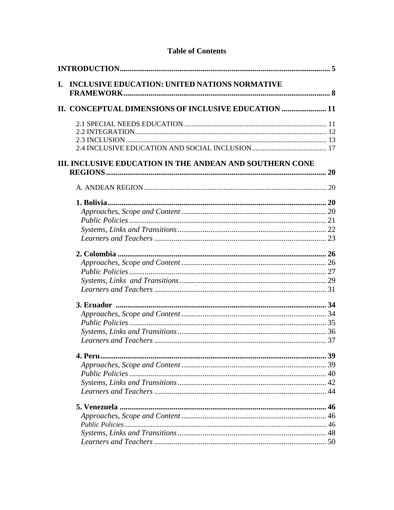| INCLUSIVE EDUCATION: UNITED NATIONS NORMATIVE<br>L.             |  |
|-----------------------------------------------------------------|--|
| II. CONCEPTUAL DIMENSIONS OF INCLUSIVE EDUCATION  11            |  |
|                                                                 |  |
|                                                                 |  |
|                                                                 |  |
|                                                                 |  |
| <b>III. INCLUSIVE EDUCATION IN THE ANDEAN AND SOUTHERN CONE</b> |  |
|                                                                 |  |
|                                                                 |  |
|                                                                 |  |
|                                                                 |  |
|                                                                 |  |
|                                                                 |  |
|                                                                 |  |
|                                                                 |  |
|                                                                 |  |
|                                                                 |  |
|                                                                 |  |
|                                                                 |  |
|                                                                 |  |
|                                                                 |  |
|                                                                 |  |
|                                                                 |  |
| 4. Peru                                                         |  |
|                                                                 |  |
|                                                                 |  |
|                                                                 |  |
|                                                                 |  |
|                                                                 |  |
|                                                                 |  |
|                                                                 |  |
|                                                                 |  |
|                                                                 |  |
|                                                                 |  |

# **Table of Contents**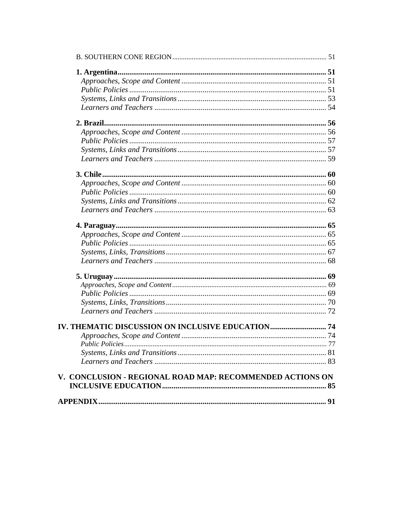| V. CONCLUSION - REGIONAL ROAD MAP: RECOMMENDED ACTIONS ON |  |
|-----------------------------------------------------------|--|
|                                                           |  |
|                                                           |  |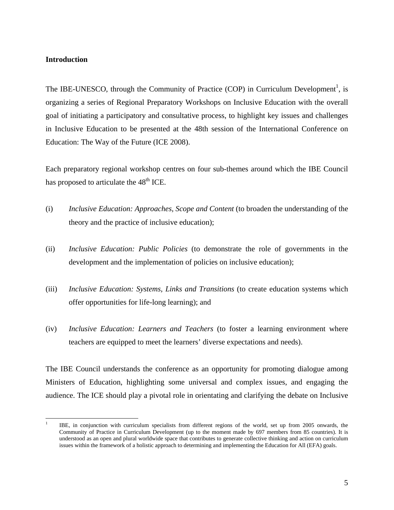### <span id="page-4-0"></span>**Introduction**

 $\overline{a}$ 

The IBE-UNESCO, through the Community of Practice (COP) in Curriculum Development<sup>1</sup>, is organizing a series of Regional Preparatory Workshops on Inclusive Education with the overall goal of initiating a participatory and consultative process, to highlight key issues and challenges in Inclusive Education to be presented at the 48th session of the International Conference on Education: The Way of the Future (ICE 2008).

Each preparatory regional workshop centres on four sub-themes around which the IBE Council has proposed to articulate the 48<sup>th</sup> ICE.

- (i) *Inclusive Education: Approaches, Scope and Content* (to broaden the understanding of the theory and the practice of inclusive education);
- (ii) *Inclusive Education: Public Policies* (to demonstrate the role of governments in the development and the implementation of policies on inclusive education);
- (iii) *Inclusive Education: Systems, Links and Transitions* (to create education systems which offer opportunities for life-long learning); and
- (iv) *Inclusive Education: Learners and Teachers* (to foster a learning environment where teachers are equipped to meet the learners' diverse expectations and needs).

The IBE Council understands the conference as an opportunity for promoting dialogue among Ministers of Education, highlighting some universal and complex issues, and engaging the audience. The ICE should play a pivotal role in orientating and clarifying the debate on Inclusive

<sup>1</sup> IBE, in conjunction with curriculum specialists from different regions of the world, set up from 2005 onwards, the Community of Practice in Curriculum Development (up to the moment made by 697 members from 85 countries). It is understood as an open and plural worldwide space that contributes to generate collective thinking and action on curriculum issues within the framework of a holistic approach to determining and implementing the Education for All (EFA) goals.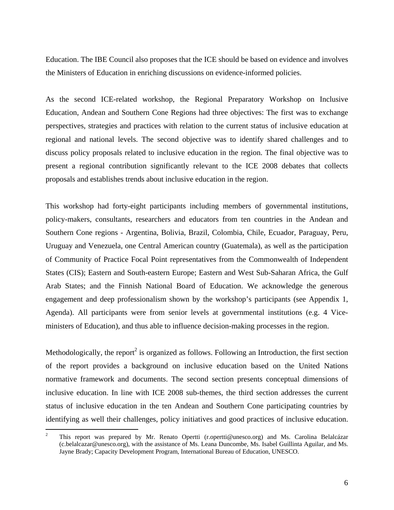Education. The IBE Council also proposes that the ICE should be based on evidence and involves the Ministers of Education in enriching discussions on evidence-informed policies.

As the second ICE-related workshop, the Regional Preparatory Workshop on Inclusive Education, Andean and Southern Cone Regions had three objectives: The first was to exchange perspectives, strategies and practices with relation to the current status of inclusive education at regional and national levels. The second objective was to identify shared challenges and to discuss policy proposals related to inclusive education in the region. The final objective was to present a regional contribution significantly relevant to the ICE 2008 debates that collects proposals and establishes trends about inclusive education in the region.

This workshop had forty-eight participants including members of governmental institutions, policy-makers, consultants, researchers and educators from ten countries in the Andean and Southern Cone regions - Argentina, Bolivia, Brazil, Colombia, Chile, Ecuador, Paraguay, Peru, Uruguay and Venezuela, one Central American country (Guatemala), as well as the participation of Community of Practice Focal Point representatives from the Commonwealth of Independent States (CIS); Eastern and South-eastern Europe; Eastern and West Sub-Saharan Africa, the Gulf Arab States; and the Finnish National Board of Education. We acknowledge the generous engagement and deep professionalism shown by the workshop's participants (see Appendix 1, Agenda). All participants were from senior levels at governmental institutions (e.g. 4 Viceministers of Education), and thus able to influence decision-making processes in the region.

Methodologically, the report<sup>2</sup> is organized as follows. Following an Introduction, the first section of the report provides a background on inclusive education based on the United Nations normative framework and documents. The second section presents conceptual dimensions of inclusive education. In line with ICE 2008 sub-themes, the third section addresses the current status of inclusive education in the ten Andean and Southern Cone participating countries by identifying as well their challenges, policy initiatives and good practices of inclusive education.

 $\frac{1}{2}$  This report was prepared by Mr. Renato Opertti (r.opertti@unesco.org) and Ms. Carolina Belalcázar (c.belalcazar@unesco.org), with the assistance of Ms. Leana Duncombe, Ms. Isabel Guillinta Aguilar, and Ms. Jayne Brady; Capacity Development Program, International Bureau of Education, UNESCO.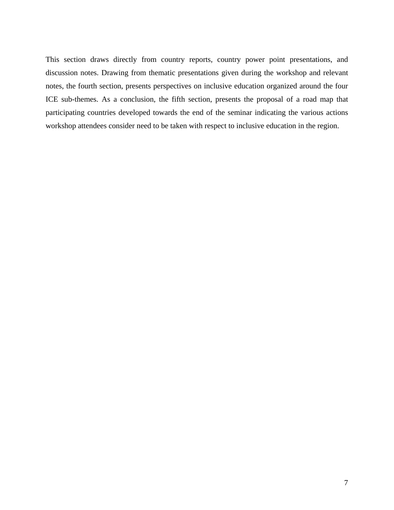This section draws directly from country reports, country power point presentations, and discussion notes. Drawing from thematic presentations given during the workshop and relevant notes, the fourth section, presents perspectives on inclusive education organized around the four ICE sub-themes. As a conclusion, the fifth section, presents the proposal of a road map that participating countries developed towards the end of the seminar indicating the various actions workshop attendees consider need to be taken with respect to inclusive education in the region.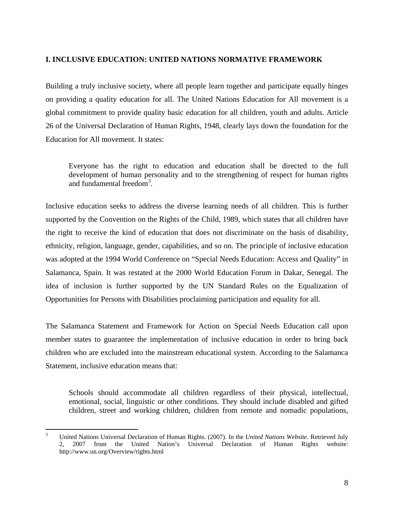# <span id="page-7-0"></span>**I. INCLUSIVE EDUCATION: UNITED NATIONS NORMATIVE FRAMEWORK**

Building a truly inclusive society, where all people learn together and participate equally hinges on providing a quality education for all. The United Nations Education for All movement is a global commitment to provide quality basic education for all children, youth and adults. Article 26 of the Universal Declaration of Human Rights, 1948, clearly lays down the foundation for the Education for All movement. It states:

Everyone has the right to education and education shall be directed to the full development of human personality and to the strengthening of respect for human rights and fundamental freedom<sup>3</sup>.

Inclusive education seeks to address the diverse learning needs of all children. This is further supported by the Convention on the Rights of the Child, 1989, which states that all children have the right to receive the kind of education that does not discriminate on the basis of disability, ethnicity, religion, language, gender, capabilities, and so on. The principle of inclusive education was adopted at the 1994 World Conference on "Special Needs Education: Access and Quality" in Salamanca, Spain. It was restated at the 2000 World Education Forum in Dakar, Senegal. The idea of inclusion is further supported by the UN Standard Rules on the Equalization of Opportunities for Persons with Disabilities proclaiming participation and equality for all.

The Salamanca Statement and Framework for Action on Special Needs Education call upon member states to guarantee the implementation of inclusive education in order to bring back children who are excluded into the mainstream educational system. According to the Salamanca Statement, inclusive education means that:

Schools should accommodate all children regardless of their physical, intellectual, emotional, social, linguistic or other conditions. They should include disabled and gifted children, street and working children, children from remote and nomadic populations,

 $\frac{1}{3}$  United Nations Universal Declaration of Human Rights. (2007). In the *United Nations Website*. Retrieved July 2, 2007 from the United Nation's Universal Declaration of Human Rights website: http://www.un.org/Overview/rights.html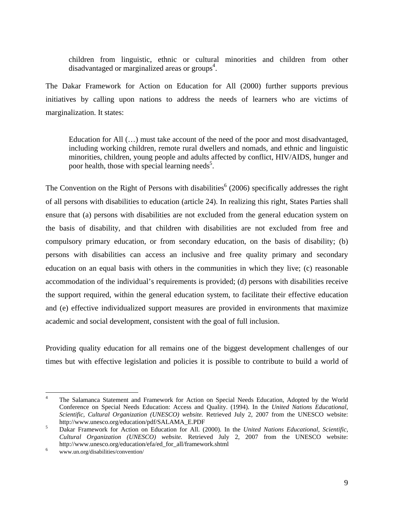children from linguistic, ethnic or cultural minorities and children from other disadvantaged or marginalized areas or groups<sup>4</sup>.

The Dakar Framework for Action on Education for All (2000) further supports previous initiatives by calling upon nations to address the needs of learners who are victims of marginalization. It states:

Education for All (…) must take account of the need of the poor and most disadvantaged, including working children, remote rural dwellers and nomads, and ethnic and linguistic minorities, children, young people and adults affected by conflict, HIV/AIDS, hunger and poor health, those with special learning needs<sup>5</sup>.

The Convention on the Right of Persons with disabilities<sup>6</sup> (2006) specifically addresses the right of all persons with disabilities to education (article 24). In realizing this right, States Parties shall ensure that (a) persons with disabilities are not excluded from the general education system on the basis of disability, and that children with disabilities are not excluded from free and compulsory primary education, or from secondary education, on the basis of disability; (b) persons with disabilities can access an inclusive and free quality primary and secondary education on an equal basis with others in the communities in which they live; (c) reasonable accommodation of the individual's requirements is provided; (d) persons with disabilities receive the support required, within the general education system, to facilitate their effective education and (e) effective individualized support measures are provided in environments that maximize academic and social development, consistent with the goal of full inclusion.

Providing quality education for all remains one of the biggest development challenges of our times but with effective legislation and policies it is possible to contribute to build a world of

 $\frac{1}{4}$  The Salamanca Statement and Framework for Action on Special Needs Education, Adopted by the World Conference on Special Needs Education: Access and Quality. (1994). In the *United Nations Educational, Scientific, Cultural Organization (UNESCO) website.* Retrieved July 2, 2007 from the UNESCO website: http://www.unesco.org/education/pdf/SALAMA\_E.PDF

Dakar Framework for Action on Education for All. (2000). In the *United Nations Educational, Scientific, Cultural Organization (UNESCO) website.* Retrieved July 2, 2007 from the UNESCO website: http://www.unesco.org/education/efa/ed\_for\_all/framework.shtml 6

www.un.org/disabilities/convention/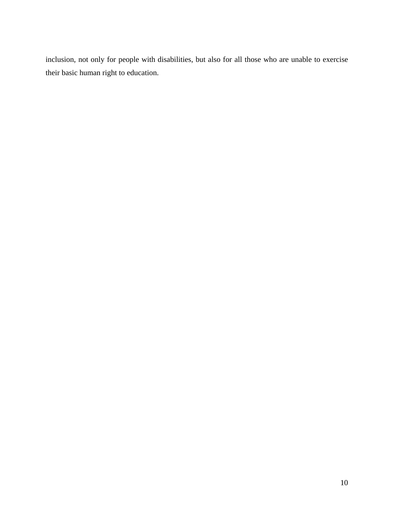inclusion, not only for people with disabilities, but also for all those who are unable to exercise their basic human right to education.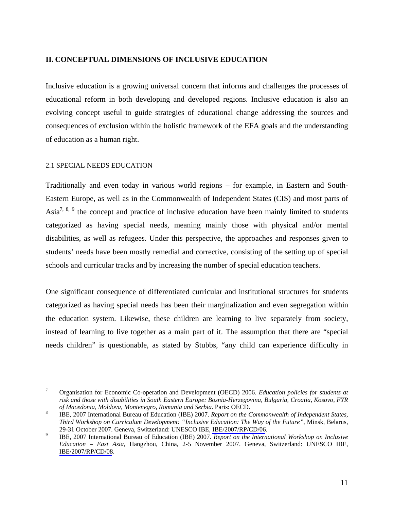## <span id="page-10-0"></span>**II. CONCEPTUAL DIMENSIONS OF INCLUSIVE EDUCATION**

Inclusive education is a growing universal concern that informs and challenges the processes of educational reform in both developing and developed regions. Inclusive education is also an evolving concept useful to guide strategies of educational change addressing the sources and consequences of exclusion within the holistic framework of the EFA goals and the understanding of education as a human right.

### 2.1 SPECIAL NEEDS EDUCATION

Traditionally and even today in various world regions – for example, in Eastern and South-Eastern Europe, as well as in the Commonwealth of Independent States (CIS) and most parts of Asia<sup>7, 8, 9</sup> the concept and practice of inclusive education have been mainly limited to students categorized as having special needs, meaning mainly those with physical and/or mental disabilities, as well as refugees. Under this perspective, the approaches and responses given to students' needs have been mostly remedial and corrective, consisting of the setting up of special schools and curricular tracks and by increasing the number of special education teachers.

One significant consequence of differentiated curricular and institutional structures for students categorized as having special needs has been their marginalization and even segregation within the education system. Likewise, these children are learning to live separately from society, instead of learning to live together as a main part of it. The assumption that there are "special needs children" is questionable, as stated by Stubbs, "any child can experience difficulty in

 $\overline{7}$ 7 Organisation for Economic Co-operation and Development (OECD) 2006. *Education policies for students at risk and those with disabilities in South Eastern Europe: Bosnia-Herzegovina, Bulgaria, Croatia, Kosovo, FYR of Macedonia, Moldova, Montenegro, Romania and Serbia*. Paris: OECD. 8

IBE, 2007 International Bureau of Education (IBE) 2007. *Report on the Commonwealth of Independent States, Third Workshop on Curriculum Development: "Inclusive Education: The Way of the Future"*, Minsk, Belarus, 29-31 October 2007. Geneva, Switzerland: UNESCO IBE, IBE/2007/RP/CD/06. 9 IBE, 2007 International Bureau of Education (IBE) 2007. *Report on the International Workshop on Inclusive* 

*Education – East Asia*, Hangzhou, China, 2-5 November 2007. Geneva, Switzerland: UNESCO IBE, IBE/2007/RP/CD/08.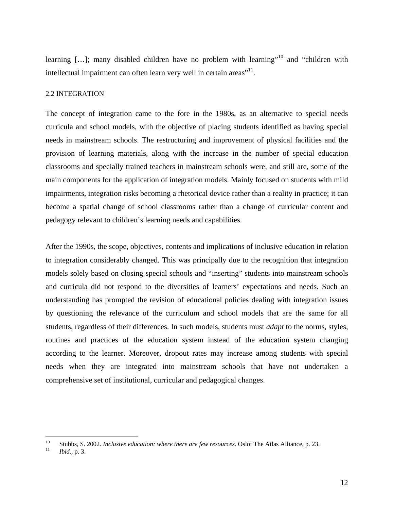<span id="page-11-0"></span>learning  $[...]$ ; many disabled children have no problem with learning"<sup>10</sup> and "children with intellectual impairment can often learn very well in certain areas"<sup>11</sup>.

#### 2.2 INTEGRATION

The concept of integration came to the fore in the 1980s, as an alternative to special needs curricula and school models, with the objective of placing students identified as having special needs in mainstream schools. The restructuring and improvement of physical facilities and the provision of learning materials, along with the increase in the number of special education classrooms and specially trained teachers in mainstream schools were, and still are, some of the main components for the application of integration models. Mainly focused on students with mild impairments, integration risks becoming a rhetorical device rather than a reality in practice; it can become a spatial change of school classrooms rather than a change of curricular content and pedagogy relevant to children's learning needs and capabilities.

After the 1990s, the scope, objectives, contents and implications of inclusive education in relation to integration considerably changed. This was principally due to the recognition that integration models solely based on closing special schools and "inserting" students into mainstream schools and curricula did not respond to the diversities of learners' expectations and needs. Such an understanding has prompted the revision of educational policies dealing with integration issues by questioning the relevance of the curriculum and school models that are the same for all students, regardless of their differences. In such models, students must *adapt* to the norms, styles, routines and practices of the education system instead of the education system changing according to the learner. Moreover, dropout rates may increase among students with special needs when they are integrated into mainstream schools that have not undertaken a comprehensive set of institutional, curricular and pedagogical changes.

 $10$ 10 Stubbs, S. 2002. *Inclusive education: where there are few resources*. Oslo: The Atlas Alliance, p. 23. 11 *Ibid*., p. 3.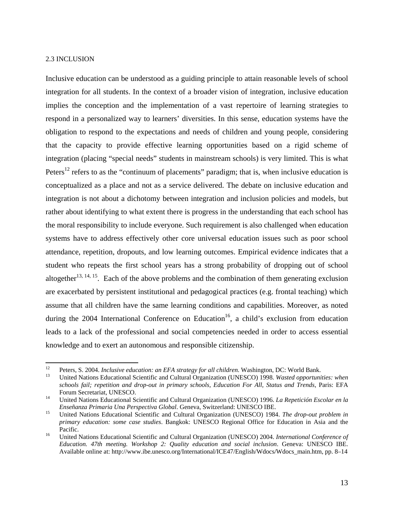#### <span id="page-12-0"></span>2.3 INCLUSION

Inclusive education can be understood as a guiding principle to attain reasonable levels of school integration for all students. In the context of a broader vision of integration, inclusive education implies the conception and the implementation of a vast repertoire of learning strategies to respond in a personalized way to learners' diversities. In this sense, education systems have the obligation to respond to the expectations and needs of children and young people, considering that the capacity to provide effective learning opportunities based on a rigid scheme of integration (placing "special needs" students in mainstream schools) is very limited. This is what Peters<sup>12</sup> refers to as the "continuum of placements" paradigm; that is, when inclusive education is conceptualized as a place and not as a service delivered. The debate on inclusive education and integration is not about a dichotomy between integration and inclusion policies and models, but rather about identifying to what extent there is progress in the understanding that each school has the moral responsibility to include everyone. Such requirement is also challenged when education systems have to address effectively other core universal education issues such as poor school attendance, repetition, dropouts, and low learning outcomes. Empirical evidence indicates that a student who repeats the first school years has a strong probability of dropping out of school altogether<sup>13, 14, 15</sup>. Each of the above problems and the combination of them generating exclusion are exacerbated by persistent institutional and pedagogical practices (e.g. frontal teaching) which assume that all children have the same learning conditions and capabilities. Moreover, as noted during the 2004 International Conference on Education<sup>16</sup>, a child's exclusion from education leads to a lack of the professional and social competencies needed in order to access essential knowledge and to exert an autonomous and responsible citizenship.

 $12<sup>°</sup>$ <sup>12</sup> Peters, S. 2004. *Inclusive education: an EFA strategy for all children*. Washington, DC: World Bank.<br><sup>13</sup> United Nations Educational Scientific and Cultural Organization (UNESCO) 1998. *Wasted opportunities: when* 

*schools fail; repetition and drop-out in primary schools, Education For All, Status and Trends*, Paris: EFA Forum Secretariat, UNESCO. 14 United Nations Educational Scientific and Cultural Organization (UNESCO) 1996. *La Repetición Escolar en la* 

*Enseñanza Primaria Una Perspectiva Global*. Geneva, Switzerland: UNESCO IBE.<br><sup>15</sup> United Nations Educational Scientific and Cultural Organization (UNESCO) 1984. *The drop-out problem in* 

*primary education: some case studies*. Bangkok: UNESCO Regional Office for Education in Asia and the Pacific. 16 United Nations Educational Scientific and Cultural Organization (UNESCO) 2004. *International Conference of* 

*Education. 47th meeting. Workshop 2: Quality education and social inclusion*. Geneva: UNESCO IBE. Available online at: http://www.ibe.unesco.org/International/ICE47/English/Wdocs/Wdocs\_main.htm, pp. 8–14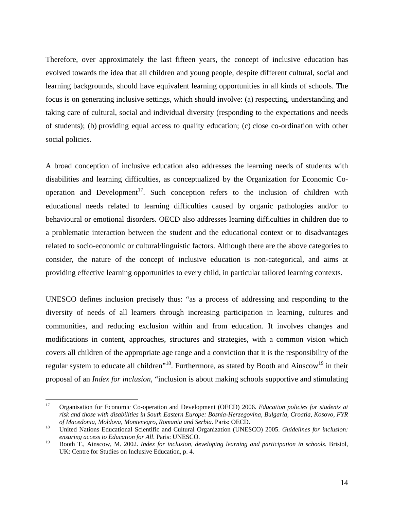Therefore, over approximately the last fifteen years, the concept of inclusive education has evolved towards the idea that all children and young people, despite different cultural, social and learning backgrounds, should have equivalent learning opportunities in all kinds of schools. The focus is on generating inclusive settings, which should involve: (a) respecting, understanding and taking care of cultural, social and individual diversity (responding to the expectations and needs of students); (b) providing equal access to quality education; (c) close co-ordination with other social policies.

A broad conception of inclusive education also addresses the learning needs of students with disabilities and learning difficulties, as conceptualized by the Organization for Economic Cooperation and Development<sup>17</sup>. Such conception refers to the inclusion of children with educational needs related to learning difficulties caused by organic pathologies and/or to behavioural or emotional disorders. OECD also addresses learning difficulties in children due to a problematic interaction between the student and the educational context or to disadvantages related to socio-economic or cultural/linguistic factors. Although there are the above categories to consider, the nature of the concept of inclusive education is non-categorical, and aims at providing effective learning opportunities to every child, in particular tailored learning contexts.

UNESCO defines inclusion precisely thus: "as a process of addressing and responding to the diversity of needs of all learners through increasing participation in learning, cultures and communities, and reducing exclusion within and from education. It involves changes and modifications in content, approaches, structures and strategies, with a common vision which covers all children of the appropriate age range and a conviction that it is the responsibility of the regular system to educate all children<sup> $18$ </sup>. Furthermore, as stated by Booth and Ainscow<sup>19</sup> in their proposal of an *Index for inclusion*, "inclusion is about making schools supportive and stimulating

<sup>17</sup> 17 Organisation for Economic Co-operation and Development (OECD) 2006. *Education policies for students at risk and those with disabilities in South Eastern Europe: Bosnia-Herzegovina, Bulgaria, Croatia, Kosovo, FYR of Macedonia, Moldova, Montenegro, Romania and Serbia*. Paris: OECD. 18 United Nations Educational Scientific and Cultural Organization (UNESCO) 2005. *Guidelines for inclusion:* 

*ensuring access to Education for All*. Paris: UNESCO.

<sup>19</sup> Booth T., Ainscow, M. 2002. *Index for inclusion, developing learning and participation in schools*. Bristol, UK: Centre for Studies on Inclusive Education, p. 4.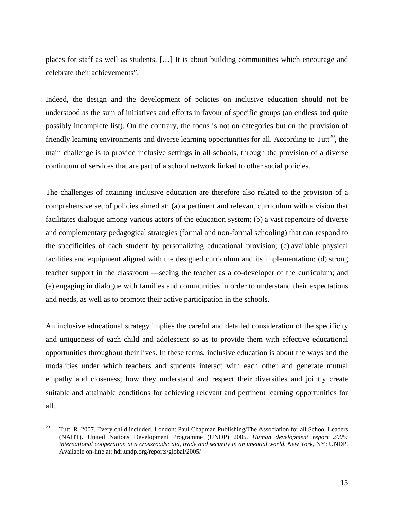places for staff as well as students. […] It is about building communities which encourage and celebrate their achievements".

Indeed, the design and the development of policies on inclusive education should not be understood as the sum of initiatives and efforts in favour of specific groups (an endless and quite possibly incomplete list). On the contrary, the focus is not on categories but on the provision of friendly learning environments and diverse learning opportunities for all. According to Tutt<sup>20</sup>, the main challenge is to provide inclusive settings in all schools, through the provision of a diverse continuum of services that are part of a school network linked to other social policies.

The challenges of attaining inclusive education are therefore also related to the provision of a comprehensive set of policies aimed at: (a) a pertinent and relevant curriculum with a vision that facilitates dialogue among various actors of the education system; (b) a vast repertoire of diverse and complementary pedagogical strategies (formal and non-formal schooling) that can respond to the specificities of each student by personalizing educational provision; (c) available physical facilities and equipment aligned with the designed curriculum and its implementation; (d) strong teacher support in the classroom —seeing the teacher as a co-developer of the curriculum; and (e) engaging in dialogue with families and communities in order to understand their expectations and needs, as well as to promote their active participation in the schools.

An inclusive educational strategy implies the careful and detailed consideration of the specificity and uniqueness of each child and adolescent so as to provide them with effective educational opportunities throughout their lives. In these terms, inclusive education is about the ways and the modalities under which teachers and students interact with each other and generate mutual empathy and closeness; how they understand and respect their diversities and jointly create suitable and attainable conditions for achieving relevant and pertinent learning opportunities for all.

<sup>20</sup> 20 Tutt, R. 2007. Every child included. London: Paul Chapman Publishing/The Association for all School Leaders (NAHT). United Nations Development Programme (UNDP) 2005. *Human development report 2005: international cooperation at a crossroads: aid, trade and security in an unequal world. New York*, NY: UNDP. Available on-line at: hdr.undp.org/reports/global/2005/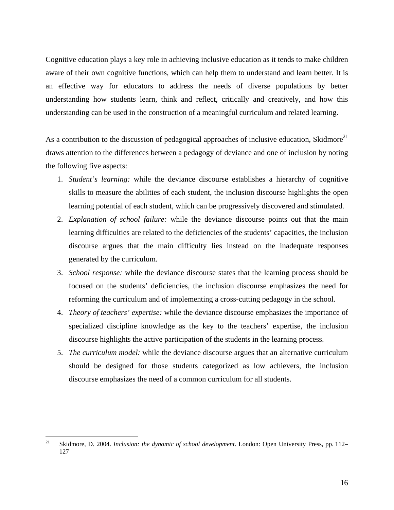Cognitive education plays a key role in achieving inclusive education as it tends to make children aware of their own cognitive functions, which can help them to understand and learn better. It is an effective way for educators to address the needs of diverse populations by better understanding how students learn, think and reflect, critically and creatively, and how this understanding can be used in the construction of a meaningful curriculum and related learning.

As a contribution to the discussion of pedagogical approaches of inclusive education, Skidmore<sup>21</sup> draws attention to the differences between a pedagogy of deviance and one of inclusion by noting the following five aspects:

- 1. *Student's learning:* while the deviance discourse establishes a hierarchy of cognitive skills to measure the abilities of each student, the inclusion discourse highlights the open learning potential of each student, which can be progressively discovered and stimulated.
- 2. *Explanation of school failure:* while the deviance discourse points out that the main learning difficulties are related to the deficiencies of the students' capacities, the inclusion discourse argues that the main difficulty lies instead on the inadequate responses generated by the curriculum.
- 3. *School response:* while the deviance discourse states that the learning process should be focused on the students' deficiencies, the inclusion discourse emphasizes the need for reforming the curriculum and of implementing a cross-cutting pedagogy in the school.
- 4. *Theory of teachers' expertise:* while the deviance discourse emphasizes the importance of specialized discipline knowledge as the key to the teachers' expertise, the inclusion discourse highlights the active participation of the students in the learning process.
- 5. *The curriculum model:* while the deviance discourse argues that an alternative curriculum should be designed for those students categorized as low achievers, the inclusion discourse emphasizes the need of a common curriculum for all students.

 $21$ 21 Skidmore, D. 2004. *Inclusion: the dynamic of school development*. London: Open University Press, pp. 112– 127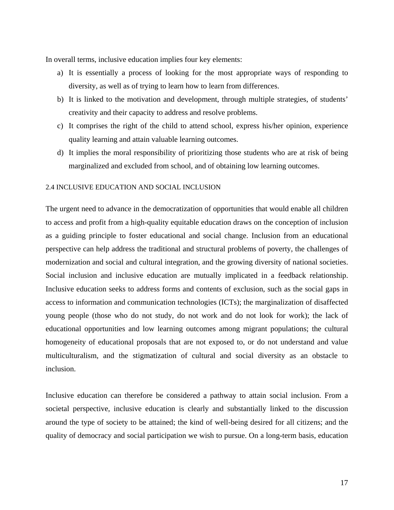<span id="page-16-0"></span>In overall terms, inclusive education implies four key elements:

- a) It is essentially a process of looking for the most appropriate ways of responding to diversity, as well as of trying to learn how to learn from differences.
- b) It is linked to the motivation and development, through multiple strategies, of students' creativity and their capacity to address and resolve problems.
- c) It comprises the right of the child to attend school, express his/her opinion, experience quality learning and attain valuable learning outcomes.
- d) It implies the moral responsibility of prioritizing those students who are at risk of being marginalized and excluded from school, and of obtaining low learning outcomes.

### 2.4 INCLUSIVE EDUCATION AND SOCIAL INCLUSION

The urgent need to advance in the democratization of opportunities that would enable all children to access and profit from a high-quality equitable education draws on the conception of inclusion as a guiding principle to foster educational and social change. Inclusion from an educational perspective can help address the traditional and structural problems of poverty, the challenges of modernization and social and cultural integration, and the growing diversity of national societies. Social inclusion and inclusive education are mutually implicated in a feedback relationship. Inclusive education seeks to address forms and contents of exclusion, such as the social gaps in access to information and communication technologies (ICTs); the marginalization of disaffected young people (those who do not study, do not work and do not look for work); the lack of educational opportunities and low learning outcomes among migrant populations; the cultural homogeneity of educational proposals that are not exposed to, or do not understand and value multiculturalism, and the stigmatization of cultural and social diversity as an obstacle to inclusion.

Inclusive education can therefore be considered a pathway to attain social inclusion. From a societal perspective, inclusive education is clearly and substantially linked to the discussion around the type of society to be attained; the kind of well-being desired for all citizens; and the quality of democracy and social participation we wish to pursue. On a long-term basis, education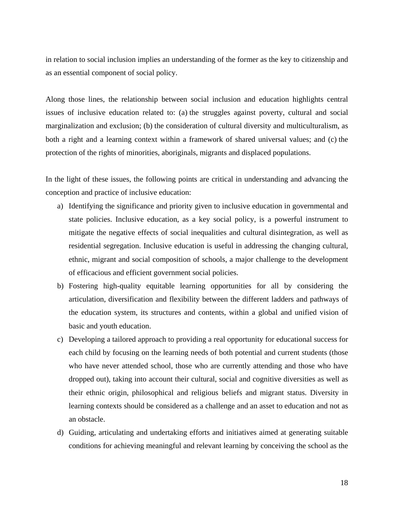in relation to social inclusion implies an understanding of the former as the key to citizenship and as an essential component of social policy.

Along those lines, the relationship between social inclusion and education highlights central issues of inclusive education related to: (a) the struggles against poverty, cultural and social marginalization and exclusion; (b) the consideration of cultural diversity and multiculturalism, as both a right and a learning context within a framework of shared universal values; and (c) the protection of the rights of minorities, aboriginals, migrants and displaced populations.

In the light of these issues, the following points are critical in understanding and advancing the conception and practice of inclusive education:

- a) Identifying the significance and priority given to inclusive education in governmental and state policies. Inclusive education, as a key social policy, is a powerful instrument to mitigate the negative effects of social inequalities and cultural disintegration, as well as residential segregation. Inclusive education is useful in addressing the changing cultural, ethnic, migrant and social composition of schools, a major challenge to the development of efficacious and efficient government social policies.
- b) Fostering high-quality equitable learning opportunities for all by considering the articulation, diversification and flexibility between the different ladders and pathways of the education system, its structures and contents, within a global and unified vision of basic and youth education.
- c) Developing a tailored approach to providing a real opportunity for educational success for each child by focusing on the learning needs of both potential and current students (those who have never attended school, those who are currently attending and those who have dropped out), taking into account their cultural, social and cognitive diversities as well as their ethnic origin, philosophical and religious beliefs and migrant status. Diversity in learning contexts should be considered as a challenge and an asset to education and not as an obstacle.
- d) Guiding, articulating and undertaking efforts and initiatives aimed at generating suitable conditions for achieving meaningful and relevant learning by conceiving the school as the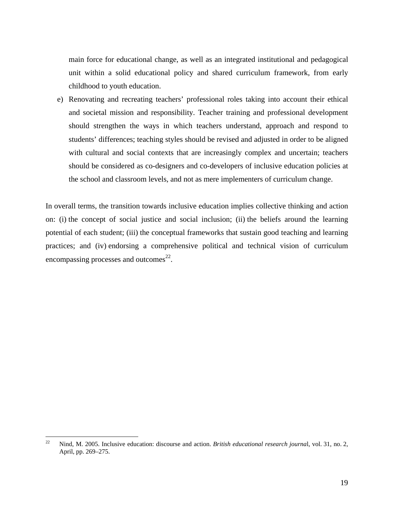main force for educational change, as well as an integrated institutional and pedagogical unit within a solid educational policy and shared curriculum framework, from early childhood to youth education.

e) Renovating and recreating teachers' professional roles taking into account their ethical and societal mission and responsibility. Teacher training and professional development should strengthen the ways in which teachers understand, approach and respond to students' differences; teaching styles should be revised and adjusted in order to be aligned with cultural and social contexts that are increasingly complex and uncertain; teachers should be considered as co-designers and co-developers of inclusive education policies at the school and classroom levels, and not as mere implementers of curriculum change.

In overall terms, the transition towards inclusive education implies collective thinking and action on: (i) the concept of social justice and social inclusion; (ii) the beliefs around the learning potential of each student; (iii) the conceptual frameworks that sustain good teaching and learning practices; and (iv) endorsing a comprehensive political and technical vision of curriculum encompassing processes and outcomes $^{22}$ .

 $22$ 22 Nind, M. 2005. Inclusive education: discourse and action. *British educational research journa*l, vol. 31, no. 2, April, pp. 269–275.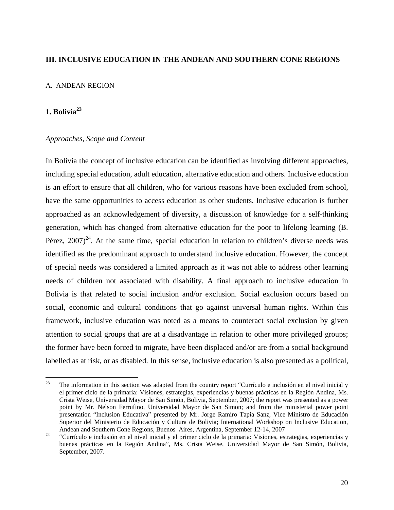## <span id="page-19-0"></span>**III. INCLUSIVE EDUCATION IN THE ANDEAN AND SOUTHERN CONE REGIONS**

#### A. ANDEAN REGION

# **1. Bolivia23**

### *Approaches, Scope and Content*

In Bolivia the concept of inclusive education can be identified as involving different approaches, including special education, adult education, alternative education and others. Inclusive education is an effort to ensure that all children, who for various reasons have been excluded from school, have the same opportunities to access education as other students. Inclusive education is further approached as an acknowledgement of diversity, a discussion of knowledge for a self-thinking generation, which has changed from alternative education for the poor to lifelong learning (B. Pérez,  $2007$ <sup>24</sup>. At the same time, special education in relation to children's diverse needs was identified as the predominant approach to understand inclusive education. However, the concept of special needs was considered a limited approach as it was not able to address other learning needs of children not associated with disability. A final approach to inclusive education in Bolivia is that related to social inclusion and/or exclusion. Social exclusion occurs based on social, economic and cultural conditions that go against universal human rights. Within this framework, inclusive education was noted as a means to counteract social exclusion by given attention to social groups that are at a disadvantage in relation to other more privileged groups; the former have been forced to migrate, have been displaced and/or are from a social background labelled as at risk, or as disabled. In this sense, inclusive education is also presented as a political,

<sup>23</sup> 23 The information in this section was adapted from the country report "Currículo e inclusión en el nivel inicial y el primer ciclo de la primaria: Visiones, estrategias, experiencias y buenas prácticas en la Región Andina, Ms. Crista Weise, Universidad Mayor de San Simón, Bolivia, September, 2007; the report was presented as a power point by Mr. Nelson Ferrufino, Universidad Mayor de San Simon; and from the ministerial power point presentation "Inclusion Educativa" presented by Mr. Jorge Ramiro Tapia Sanz, Vice Ministro de Educación Superior del Ministerio de Educación y Cultura de Bolivia; International Workshop on Inclusive Education, Andean and Southern Cone Regions, Buenos Aires, Argentina, September 12-14, 2007 24 "Currículo e inclusión en el nivel inicial y el primer ciclo de la primaria: Visiones, estrategias, experiencias y

buenas prácticas en la Región Andina", Ms. Crista Weise, Universidad Mayor de San Simón, Bolivia, September, 2007.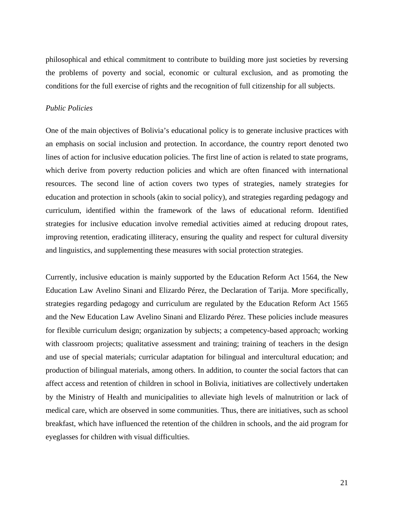<span id="page-20-0"></span>philosophical and ethical commitment to contribute to building more just societies by reversing the problems of poverty and social, economic or cultural exclusion, and as promoting the conditions for the full exercise of rights and the recognition of full citizenship for all subjects.

## *Public Policies*

One of the main objectives of Bolivia's educational policy is to generate inclusive practices with an emphasis on social inclusion and protection. In accordance, the country report denoted two lines of action for inclusive education policies. The first line of action is related to state programs, which derive from poverty reduction policies and which are often financed with international resources. The second line of action covers two types of strategies, namely strategies for education and protection in schools (akin to social policy), and strategies regarding pedagogy and curriculum, identified within the framework of the laws of educational reform. Identified strategies for inclusive education involve remedial activities aimed at reducing dropout rates, improving retention, eradicating illiteracy, ensuring the quality and respect for cultural diversity and linguistics, and supplementing these measures with social protection strategies.

Currently, inclusive education is mainly supported by the Education Reform Act 1564, the New Education Law Avelino Sinani and Elizardo Pérez, the Declaration of Tarija. More specifically, strategies regarding pedagogy and curriculum are regulated by the Education Reform Act 1565 and the New Education Law Avelino Sinani and Elizardo Pérez. These policies include measures for flexible curriculum design; organization by subjects; a competency-based approach; working with classroom projects; qualitative assessment and training; training of teachers in the design and use of special materials; curricular adaptation for bilingual and intercultural education; and production of bilingual materials, among others. In addition, to counter the social factors that can affect access and retention of children in school in Bolivia, initiatives are collectively undertaken by the Ministry of Health and municipalities to alleviate high levels of malnutrition or lack of medical care, which are observed in some communities. Thus, there are initiatives, such as school breakfast, which have influenced the retention of the children in schools, and the aid program for eyeglasses for children with visual difficulties.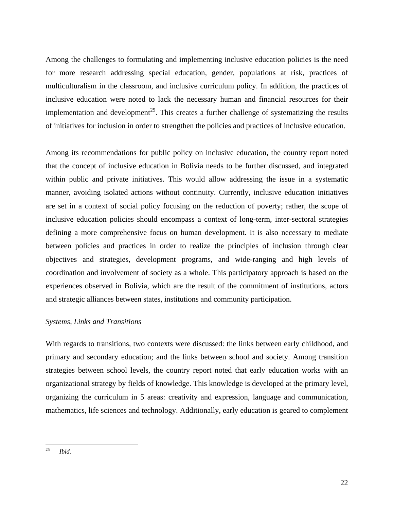<span id="page-21-0"></span>Among the challenges to formulating and implementing inclusive education policies is the need for more research addressing special education, gender, populations at risk, practices of multiculturalism in the classroom, and inclusive curriculum policy. In addition, the practices of inclusive education were noted to lack the necessary human and financial resources for their implementation and development<sup>25</sup>. This creates a further challenge of systematizing the results of initiatives for inclusion in order to strengthen the policies and practices of inclusive education.

Among its recommendations for public policy on inclusive education, the country report noted that the concept of inclusive education in Bolivia needs to be further discussed, and integrated within public and private initiatives. This would allow addressing the issue in a systematic manner, avoiding isolated actions without continuity. Currently, inclusive education initiatives are set in a context of social policy focusing on the reduction of poverty; rather, the scope of inclusive education policies should encompass a context of long-term, inter-sectoral strategies defining a more comprehensive focus on human development. It is also necessary to mediate between policies and practices in order to realize the principles of inclusion through clear objectives and strategies, development programs, and wide-ranging and high levels of coordination and involvement of society as a whole. This participatory approach is based on the experiences observed in Bolivia, which are the result of the commitment of institutions, actors and strategic alliances between states, institutions and community participation.

### *Systems, Links and Transitions*

With regards to transitions, two contexts were discussed: the links between early childhood, and primary and secondary education; and the links between school and society. Among transition strategies between school levels, the country report noted that early education works with an organizational strategy by fields of knowledge. This knowledge is developed at the primary level, organizing the curriculum in 5 areas: creativity and expression, language and communication, mathematics, life sciences and technology. Additionally, early education is geared to complement

 $25$ <sup>25</sup> *Ibid.*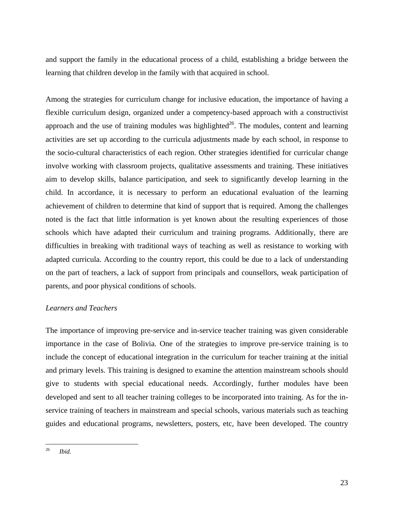<span id="page-22-0"></span>and support the family in the educational process of a child, establishing a bridge between the learning that children develop in the family with that acquired in school.

Among the strategies for curriculum change for inclusive education, the importance of having a flexible curriculum design, organized under a competency-based approach with a constructivist approach and the use of training modules was highlighted<sup>26</sup>. The modules, content and learning activities are set up according to the curricula adjustments made by each school, in response to the socio-cultural characteristics of each region. Other strategies identified for curricular change involve working with classroom projects, qualitative assessments and training. These initiatives aim to develop skills, balance participation, and seek to significantly develop learning in the child. In accordance, it is necessary to perform an educational evaluation of the learning achievement of children to determine that kind of support that is required. Among the challenges noted is the fact that little information is yet known about the resulting experiences of those schools which have adapted their curriculum and training programs. Additionally, there are difficulties in breaking with traditional ways of teaching as well as resistance to working with adapted curricula. According to the country report, this could be due to a lack of understanding on the part of teachers, a lack of support from principals and counsellors, weak participation of parents, and poor physical conditions of schools.

# *Learners and Teachers*

The importance of improving pre-service and in-service teacher training was given considerable importance in the case of Bolivia. One of the strategies to improve pre-service training is to include the concept of educational integration in the curriculum for teacher training at the initial and primary levels. This training is designed to examine the attention mainstream schools should give to students with special educational needs. Accordingly, further modules have been developed and sent to all teacher training colleges to be incorporated into training. As for the inservice training of teachers in mainstream and special schools, various materials such as teaching guides and educational programs, newsletters, posters, etc, have been developed. The country

 $26$ Ibid.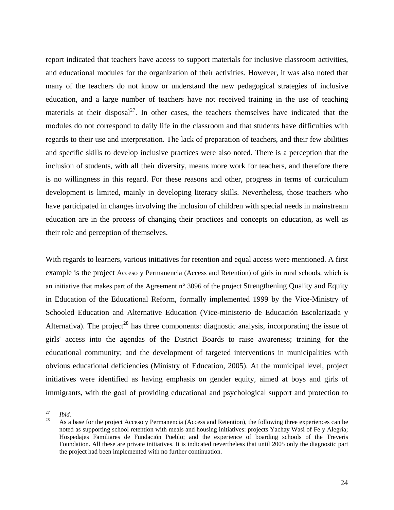report indicated that teachers have access to support materials for inclusive classroom activities, and educational modules for the organization of their activities. However, it was also noted that many of the teachers do not know or understand the new pedagogical strategies of inclusive education, and a large number of teachers have not received training in the use of teaching materials at their disposal<sup>27</sup>. In other cases, the teachers themselves have indicated that the modules do not correspond to daily life in the classroom and that students have difficulties with regards to their use and interpretation. The lack of preparation of teachers, and their few abilities and specific skills to develop inclusive practices were also noted. There is a perception that the inclusion of students, with all their diversity, means more work for teachers, and therefore there is no willingness in this regard. For these reasons and other, progress in terms of curriculum development is limited, mainly in developing literacy skills. Nevertheless, those teachers who have participated in changes involving the inclusion of children with special needs in mainstream education are in the process of changing their practices and concepts on education, as well as their role and perception of themselves.

With regards to learners, various initiatives for retention and equal access were mentioned. A first example is the project Acceso y Permanencia (Access and Retention) of girls in rural schools, which is an initiative that makes part of the Agreement n° 3096 of the project Strengthening Quality and Equity in Education of the Educational Reform, formally implemented 1999 by the Vice-Ministry of Schooled Education and Alternative Education (Vice-ministerio de Educación Escolarizada y Alternativa). The project<sup>28</sup> has three components: diagnostic analysis, incorporating the issue of girls' access into the agendas of the District Boards to raise awareness; training for the educational community; and the development of targeted interventions in municipalities with obvious educational deficiencies (Ministry of Education, 2005). At the municipal level, project initiatives were identified as having emphasis on gender equity, aimed at boys and girls of immigrants, with the goal of providing educational and psychological support and protection to

<sup>27</sup> 

<sup>&</sup>lt;sup>27</sup>*Ibid.*<br><sup>28</sup> As a base for the project Acceso y Permanencia (Access and Retention), the following three experiences can be noted as supporting school retention with meals and housing initiatives: projects Yachay Wasi of Fe y Alegría; Hospedajes Familiares de Fundación Pueblo; and the experience of boarding schools of the Treveris Foundation. All these are private initiatives. It is indicated nevertheless that until 2005 only the diagnostic part the project had been implemented with no further continuation.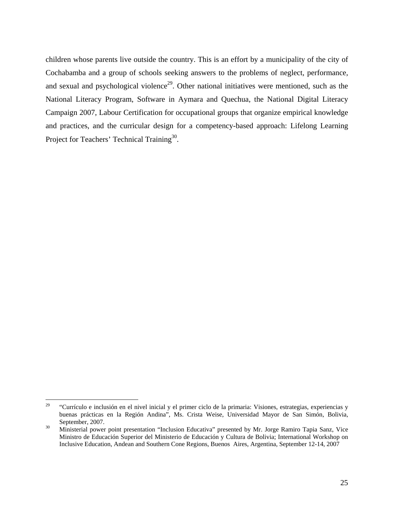children whose parents live outside the country. This is an effort by a municipality of the city of Cochabamba and a group of schools seeking answers to the problems of neglect, performance, and sexual and psychological violence<sup>29</sup>. Other national initiatives were mentioned, such as the National Literacy Program, Software in Aymara and Quechua, the National Digital Literacy Campaign 2007, Labour Certification for occupational groups that organize empirical knowledge and practices, and the curricular design for a competency-based approach: Lifelong Learning Project for Teachers' Technical Training<sup>30</sup>.

 $29\,$ "Currículo e inclusión en el nivel inicial y el primer ciclo de la primaria: Visiones, estrategias, experiencias y buenas prácticas en la Región Andina", Ms. Crista Weise, Universidad Mayor de San Simón, Bolivia, September, 2007.<br>
30 Ministerial power point presentation "Inclusion Educativa" presented by Mr. Jorge Ramiro Tapia Sanz, Vice

Ministro de Educación Superior del Ministerio de Educación y Cultura de Bolivia; International Workshop on Inclusive Education, Andean and Southern Cone Regions, Buenos Aires, Argentina, September 12-14, 2007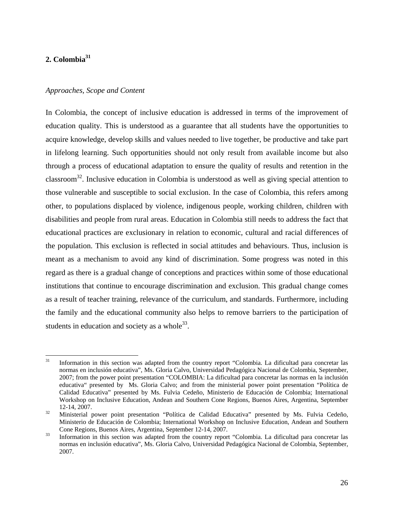# <span id="page-25-0"></span>**2. Colombia<sup>31</sup>**

#### *Approaches, Scope and Content*

In Colombia, the concept of inclusive education is addressed in terms of the improvement of education quality. This is understood as a guarantee that all students have the opportunities to acquire knowledge, develop skills and values needed to live together, be productive and take part in lifelong learning. Such opportunities should not only result from available income but also through a process of educational adaptation to ensure the quality of results and retention in the classroom<sup>32</sup>. Inclusive education in Colombia is understood as well as giving special attention to those vulnerable and susceptible to social exclusion. In the case of Colombia, this refers among other, to populations displaced by violence, indigenous people, working children, children with disabilities and people from rural areas. Education in Colombia still needs to address the fact that educational practices are exclusionary in relation to economic, cultural and racial differences of the population. This exclusion is reflected in social attitudes and behaviours. Thus, inclusion is meant as a mechanism to avoid any kind of discrimination. Some progress was noted in this regard as there is a gradual change of conceptions and practices within some of those educational institutions that continue to encourage discrimination and exclusion. This gradual change comes as a result of teacher training, relevance of the curriculum, and standards. Furthermore, including the family and the educational community also helps to remove barriers to the participation of students in education and society as a whole  $33$ .

<sup>31</sup> Information in this section was adapted from the country report "Colombia. La dificultad para concretar las normas en inclusión educativa", Ms. Gloria Calvo, Universidad Pedagógica Nacional de Colombia, September, 2007; from the power point presentation "COLOMBIA: La dificultad para concretar las normas en la inclusión educativa" presented by Ms. Gloria Calvo; and from the ministerial power point presentation "Política de Calidad Educativa" presented by Ms. Fulvia Cedeño, Ministerio de Educación de Colombia; International Workshop on Inclusive Education, Andean and Southern Cone Regions, Buenos Aires, Argentina, September 12-14, 2007. 32 Ministerial power point presentation "Política de Calidad Educativa" presented by Ms. Fulvia Cedeño,

Ministerio de Educación de Colombia; International Workshop on Inclusive Education, Andean and Southern Cone Regions, Buenos Aires, Argentina, September 12-14, 2007.<br><sup>33</sup> Information in this section was adapted from the country report "Colombia. La dificultad para concretar las

normas en inclusión educativa", Ms. Gloria Calvo, Universidad Pedagógica Nacional de Colombia, September, 2007.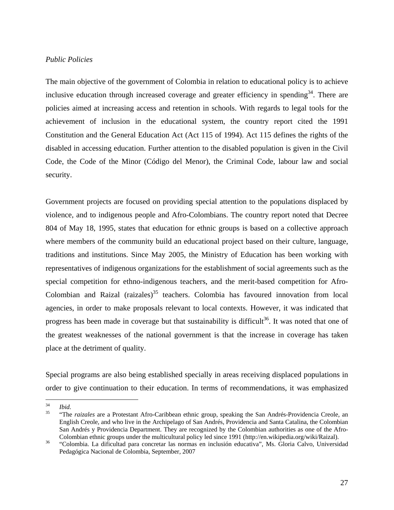## <span id="page-26-0"></span>*Public Policies*

The main objective of the government of Colombia in relation to educational policy is to achieve inclusive education through increased coverage and greater efficiency in spending<sup>34</sup>. There are policies aimed at increasing access and retention in schools. With regards to legal tools for the achievement of inclusion in the educational system, the country report cited the 1991 Constitution and the General Education Act (Act 115 of 1994). Act 115 defines the rights of the disabled in accessing education. Further attention to the disabled population is given in the Civil Code, the Code of the Minor (Código del Menor), the Criminal Code, labour law and social security.

Government projects are focused on providing special attention to the populations displaced by violence, and to indigenous people and Afro-Colombians. The country report noted that Decree 804 of May 18, 1995, states that education for ethnic groups is based on a collective approach where members of the community build an educational project based on their culture, language, traditions and institutions. Since May 2005, the Ministry of Education has been working with representatives of indigenous organizations for the establishment of social agreements such as the special competition for ethno-indigenous teachers, and the merit-based competition for Afro-Colombian and Raizal (raizales) $35$  teachers. Colombia has favoured innovation from local agencies, in order to make proposals relevant to local contexts. However, it was indicated that progress has been made in coverage but that sustainability is difficult<sup>36</sup>. It was noted that one of the greatest weaknesses of the national government is that the increase in coverage has taken place at the detriment of quality.

Special programs are also being established specially in areas receiving displaced populations in order to give continuation to their education. In terms of recommendations, it was emphasized

<sup>34</sup> 

<sup>34</sup>*Ibid.* 35 "The *raizales* are a Protestant Afro-Caribbean ethnic group, speaking the San Andrés-Providencia Creole, an English Creole, and who live in the Archipelago of San Andrés, Providencia and Santa Catalina, the Colombian San Andrés y Providencia Department. They are recognized by the Colombian authorities as one of the Afro-Colombian ethnic groups under the multicultural policy led since 1991 (http://en.wikipedia.org/wiki/Raizal).

Colombian ethnic groups under the multicultural policy led since 1991 (http://en.wikipedia.org/wiki/Raizal). 36 "Colombia. La dificultad para concretar las normas en inclusión educativa", Ms. Gloria Calvo, Universidad Pedagógica Nacional de Colombia, September, 2007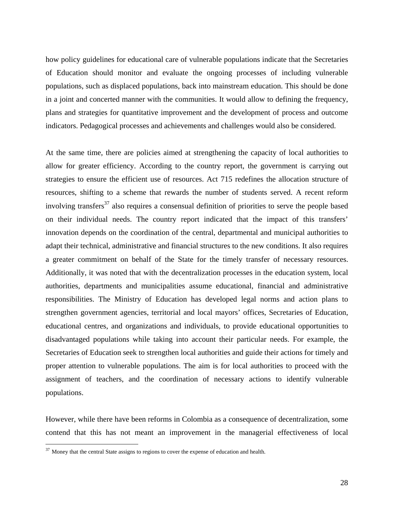how policy guidelines for educational care of vulnerable populations indicate that the Secretaries of Education should monitor and evaluate the ongoing processes of including vulnerable populations, such as displaced populations, back into mainstream education. This should be done in a joint and concerted manner with the communities. It would allow to defining the frequency, plans and strategies for quantitative improvement and the development of process and outcome indicators. Pedagogical processes and achievements and challenges would also be considered.

At the same time, there are policies aimed at strengthening the capacity of local authorities to allow for greater efficiency. According to the country report, the government is carrying out strategies to ensure the efficient use of resources. Act 715 redefines the allocation structure of resources, shifting to a scheme that rewards the number of students served. A recent reform involving transfers<sup>37</sup> also requires a consensual definition of priorities to serve the people based on their individual needs. The country report indicated that the impact of this transfers' innovation depends on the coordination of the central, departmental and municipal authorities to adapt their technical, administrative and financial structures to the new conditions. It also requires a greater commitment on behalf of the State for the timely transfer of necessary resources. Additionally, it was noted that with the decentralization processes in the education system, local authorities, departments and municipalities assume educational, financial and administrative responsibilities. The Ministry of Education has developed legal norms and action plans to strengthen government agencies, territorial and local mayors' offices, Secretaries of Education, educational centres, and organizations and individuals, to provide educational opportunities to disadvantaged populations while taking into account their particular needs. For example, the Secretaries of Education seek to strengthen local authorities and guide their actions for timely and proper attention to vulnerable populations. The aim is for local authorities to proceed with the assignment of teachers, and the coordination of necessary actions to identify vulnerable populations.

However, while there have been reforms in Colombia as a consequence of decentralization, some contend that this has not meant an improvement in the managerial effectiveness of local

 $\overline{a}$ 

 $37$  Money that the central State assigns to regions to cover the expense of education and health.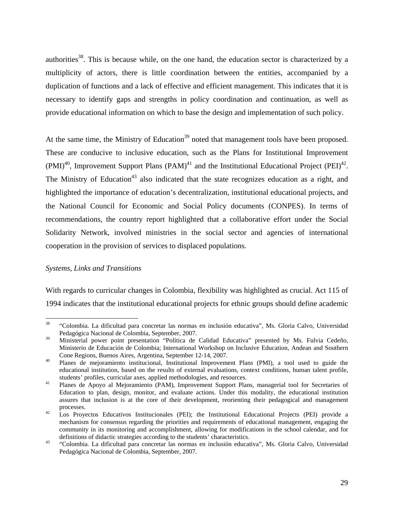<span id="page-28-0"></span>authorities<sup>38</sup>. This is because while, on the one hand, the education sector is characterized by a multiplicity of actors, there is little coordination between the entities, accompanied by a duplication of functions and a lack of effective and efficient management. This indicates that it is necessary to identify gaps and strengths in policy coordination and continuation, as well as provide educational information on which to base the design and implementation of such policy.

At the same time, the Ministry of Education<sup>39</sup> noted that management tools have been proposed. These are conducive to inclusive education, such as the Plans for Institutional Improvement  $(PMI)^{40}$ , Improvement Support Plans  $(PAM)^{41}$  and the Institutional Educational Project  $(PEI)^{42}$ . The Ministry of Education<sup>43</sup> also indicated that the state recognizes education as a right, and highlighted the importance of education's decentralization, institutional educational projects, and the National Council for Economic and Social Policy documents (CONPES). In terms of recommendations, the country report highlighted that a collaborative effort under the Social Solidarity Network, involved ministries in the social sector and agencies of international cooperation in the provision of services to displaced populations.

# *Systems, Links and Transitions*

With regards to curricular changes in Colombia, flexibility was highlighted as crucial. Act 115 of 1994 indicates that the institutional educational projects for ethnic groups should define academic

<sup>38</sup> 38 "Colombia. La dificultad para concretar las normas en inclusión educativa", Ms. Gloria Calvo, Universidad Pedagógica Nacional de Colombia, September, 2007.

<sup>&</sup>lt;sup>39</sup> Ministerial power point presentation "Política de Calidad Educativa" presented by Ms. Fulvia Cedeño, Ministerio de Educación de Colombia; International Workshop on Inclusive Education, Andean and Southern Cone Regions, Buenos Aires, Argentina, September 12-14, 2007. 40 Planes de mejoramiento institucional, Institutional Improvement Plans (PMI), a tool used to guide the

educational institution, based on the results of external evaluations, context conditions, human talent profile, students' profiles, curricular axes, applied methodologies, and resources. 41Planes de Apoyo al Mejoramiento (PAM), Improvement Support Plans, managerial tool for Secretaries of

Education to plan, design, monitor, and evaluate actions. Under this modality, the educational institution assures that inclusion is at the core of their development, reorienting their pedagogical and management processes.<br><sup>42</sup> Los Proyectos Educativos Institucionales (PEI); the Institutional Educational Projects (PEI) provide a

mechanism for consensus regarding the priorities and requirements of educational management, engaging the community in its monitoring and accomplishment, allowing for modifications in the school calendar, and for definitions of didactic strategies according to the students' characteristics.<br>
"Colombia. La dificultad para concretar las normas en inclusión educativa", Ms. Gloria Calvo, Universidad

Pedagógica Nacional de Colombia, September, 2007.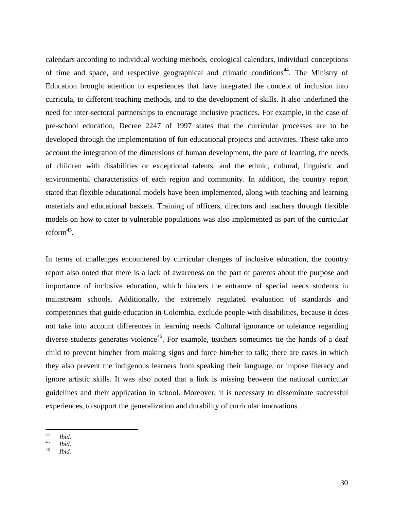calendars according to individual working methods, ecological calendars, individual conceptions of time and space, and respective geographical and climatic conditions<sup>44</sup>. The Ministry of Education brought attention to experiences that have integrated the concept of inclusion into curricula, to different teaching methods, and to the development of skills. It also underlined the need for inter-sectoral partnerships to encourage inclusive practices. For example, in the case of pre-school education, Decree 2247 of 1997 states that the curricular processes are to be developed through the implementation of fun educational projects and activities. These take into account the integration of the dimensions of human development, the pace of learning, the needs of children with disabilities or exceptional talents, and the ethnic, cultural, linguistic and environmental characteristics of each region and community. In addition, the country report stated that flexible educational models have been implemented, along with teaching and learning materials and educational baskets. Training of officers, directors and teachers through flexible models on how to cater to vulnerable populations was also implemented as part of the curricular reform<sup>45</sup>.

In terms of challenges encountered by curricular changes of inclusive education, the country report also noted that there is a lack of awareness on the part of parents about the purpose and importance of inclusive education, which hinders the entrance of special needs students in mainstream schools. Additionally, the extremely regulated evaluation of standards and competencies that guide education in Colombia, exclude people with disabilities, because it does not take into account differences in learning needs. Cultural ignorance or tolerance regarding diverse students generates violence<sup>46</sup>. For example, teachers sometimes tie the hands of a deaf child to prevent him/her from making signs and force him/her to talk; there are cases in which they also prevent the indigenous learners from speaking their language, or impose literacy and ignore artistic skills. It was also noted that a link is missing between the national curricular guidelines and their application in school. Moreover, it is necessary to disseminate successful experiences, to support the generalization and durability of curricular innovations.

 $44$  $\begin{array}{cc}\n^{44} & \text{Ibid.} \\
^{45} & \text{II} & \text{II}\n\end{array}$ 

<sup>45</sup>*Ibid.* <sup>46</sup> *Ibid.*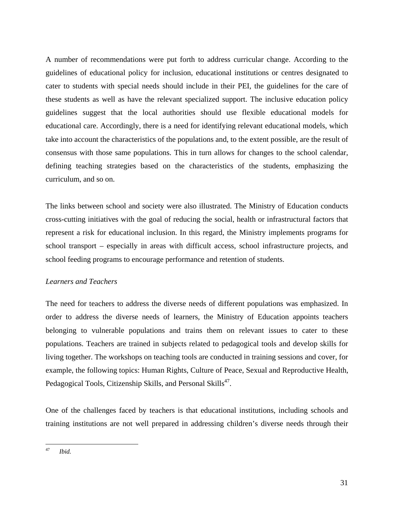<span id="page-30-0"></span>A number of recommendations were put forth to address curricular change. According to the guidelines of educational policy for inclusion, educational institutions or centres designated to cater to students with special needs should include in their PEI, the guidelines for the care of these students as well as have the relevant specialized support. The inclusive education policy guidelines suggest that the local authorities should use flexible educational models for educational care. Accordingly, there is a need for identifying relevant educational models, which take into account the characteristics of the populations and, to the extent possible, are the result of consensus with those same populations. This in turn allows for changes to the school calendar, defining teaching strategies based on the characteristics of the students, emphasizing the curriculum, and so on.

The links between school and society were also illustrated. The Ministry of Education conducts cross-cutting initiatives with the goal of reducing the social, health or infrastructural factors that represent a risk for educational inclusion. In this regard, the Ministry implements programs for school transport – especially in areas with difficult access, school infrastructure projects, and school feeding programs to encourage performance and retention of students.

# *Learners and Teachers*

The need for teachers to address the diverse needs of different populations was emphasized. In order to address the diverse needs of learners, the Ministry of Education appoints teachers belonging to vulnerable populations and trains them on relevant issues to cater to these populations. Teachers are trained in subjects related to pedagogical tools and develop skills for living together. The workshops on teaching tools are conducted in training sessions and cover, for example, the following topics: Human Rights, Culture of Peace, Sexual and Reproductive Health, Pedagogical Tools, Citizenship Skills, and Personal Skills<sup>47</sup>.

One of the challenges faced by teachers is that educational institutions, including schools and training institutions are not well prepared in addressing children's diverse needs through their

 $\overline{47}$ 47 *Ibid.*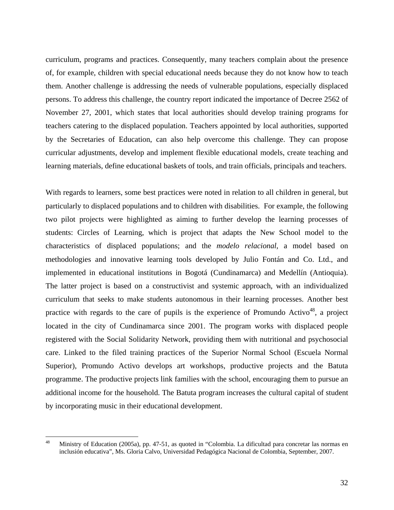curriculum, programs and practices. Consequently, many teachers complain about the presence of, for example, children with special educational needs because they do not know how to teach them. Another challenge is addressing the needs of vulnerable populations, especially displaced persons. To address this challenge, the country report indicated the importance of Decree 2562 of November 27, 2001, which states that local authorities should develop training programs for teachers catering to the displaced population. Teachers appointed by local authorities, supported by the Secretaries of Education, can also help overcome this challenge. They can propose curricular adjustments, develop and implement flexible educational models, create teaching and learning materials, define educational baskets of tools, and train officials, principals and teachers.

With regards to learners, some best practices were noted in relation to all children in general, but particularly to displaced populations and to children with disabilities. For example, the following two pilot projects were highlighted as aiming to further develop the learning processes of students: Circles of Learning, which is project that adapts the New School model to the characteristics of displaced populations; and the *modelo relacional*, a model based on methodologies and innovative learning tools developed by Julio Fontán and Co. Ltd., and implemented in educational institutions in Bogotá (Cundinamarca) and Medellín (Antioquia). The latter project is based on a constructivist and systemic approach, with an individualized curriculum that seeks to make students autonomous in their learning processes. Another best practice with regards to the care of pupils is the experience of Promundo Activo<sup>48</sup>, a project located in the city of Cundinamarca since 2001. The program works with displaced people registered with the Social Solidarity Network, providing them with nutritional and psychosocial care. Linked to the filed training practices of the Superior Normal School (Escuela Normal Superior), Promundo Activo develops art workshops, productive projects and the Batuta programme. The productive projects link families with the school, encouraging them to pursue an additional income for the household. The Batuta program increases the cultural capital of student by incorporating music in their educational development.

<sup>48</sup> 48 Ministry of Education (2005a), pp. 47-51, as quoted in "Colombia. La dificultad para concretar las normas en inclusión educativa", Ms. Gloria Calvo, Universidad Pedagógica Nacional de Colombia, September, 2007.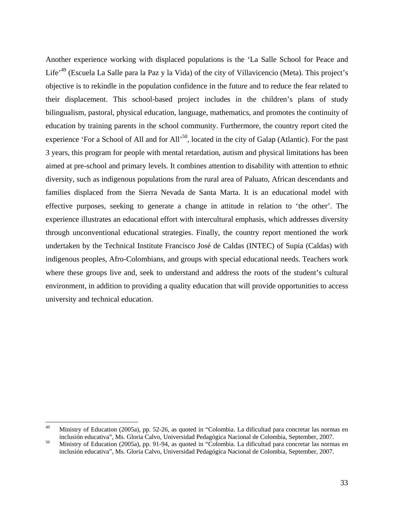Another experience working with displaced populations is the 'La Salle School for Peace and Life'49 (Escuela La Salle para la Paz y la Vida) of the city of Villavicencio (Meta). This project's objective is to rekindle in the population confidence in the future and to reduce the fear related to their displacement. This school-based project includes in the children's plans of study bilingualism, pastoral, physical education, language, mathematics, and promotes the continuity of education by training parents in the school community. Furthermore, the country report cited the experience 'For a School of All and for All'<sup>50</sup>, located in the city of Galap (Atlantic). For the past 3 years, this program for people with mental retardation, autism and physical limitations has been aimed at pre-school and primary levels. It combines attention to disability with attention to ethnic diversity, such as indigenous populations from the rural area of Paluato, African descendants and families displaced from the Sierra Nevada de Santa Marta. It is an educational model with effective purposes, seeking to generate a change in attitude in relation to 'the other'. The experience illustrates an educational effort with intercultural emphasis, which addresses diversity through unconventional educational strategies. Finally, the country report mentioned the work undertaken by the Technical Institute Francisco José de Caldas (INTEC) of Supia (Caldas) with indigenous peoples, Afro-Colombians, and groups with special educational needs. Teachers work where these groups live and, seek to understand and address the roots of the student's cultural environment, in addition to providing a quality education that will provide opportunities to access university and technical education.

<sup>49</sup> 49 Ministry of Education (2005a), pp. 52-26, as quoted in "Colombia. La dificultad para concretar las normas en inclusión educativa", Ms. Gloria Calvo, Universidad Pedagógica Nacional de Colombia, September, 2007. 50 Ministry of Education (2005a), pp. 91-94, as quoted in "Colombia. La dificultad para concretar las normas en

inclusión educativa", Ms. Gloria Calvo, Universidad Pedagógica Nacional de Colombia, September, 2007.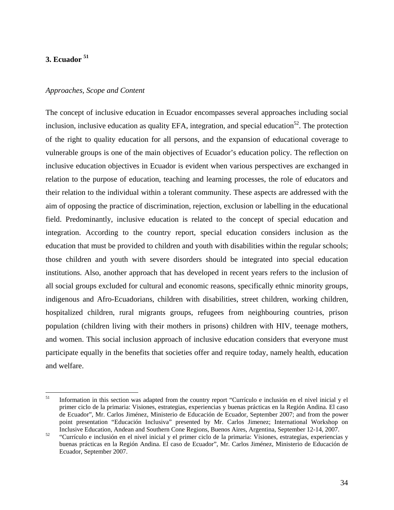# <span id="page-33-0"></span>**3. Ecuador 51**

#### *Approaches, Scope and Content*

The concept of inclusive education in Ecuador encompasses several approaches including social inclusion, inclusive education as quality EFA, integration, and special education<sup>52</sup>. The protection of the right to quality education for all persons, and the expansion of educational coverage to vulnerable groups is one of the main objectives of Ecuador's education policy. The reflection on inclusive education objectives in Ecuador is evident when various perspectives are exchanged in relation to the purpose of education, teaching and learning processes, the role of educators and their relation to the individual within a tolerant community. These aspects are addressed with the aim of opposing the practice of discrimination, rejection, exclusion or labelling in the educational field. Predominantly, inclusive education is related to the concept of special education and integration. According to the country report, special education considers inclusion as the education that must be provided to children and youth with disabilities within the regular schools; those children and youth with severe disorders should be integrated into special education institutions. Also, another approach that has developed in recent years refers to the inclusion of all social groups excluded for cultural and economic reasons, specifically ethnic minority groups, indigenous and Afro-Ecuadorians, children with disabilities, street children, working children, hospitalized children, rural migrants groups, refugees from neighbouring countries, prison population (children living with their mothers in prisons) children with HIV, teenage mothers, and women. This social inclusion approach of inclusive education considers that everyone must participate equally in the benefits that societies offer and require today, namely health, education and welfare.

<sup>51</sup> 51 Information in this section was adapted from the country report "Currículo e inclusión en el nivel inicial y el primer ciclo de la primaria: Visiones, estrategias, experiencias y buenas prácticas en la Región Andina. El caso de Ecuador", Mr. Carlos Jiménez, Ministerio de Educación de Ecuador, September 2007; and from the power point presentation "Educación Inclusiva" presented by Mr. Carlos Jimenez; International Workshop on Inclusive Education, Andean and Southern Cone Regions, Buenos Aires, Argentina, September 12-14, 2007. 52 "Currículo e inclusión en el nivel inicial y el primer ciclo de la primaria: Visiones, estrategias, experiencias y

buenas prácticas en la Región Andina. El caso de Ecuador", Mr. Carlos Jiménez, Ministerio de Educación de Ecuador, September 2007.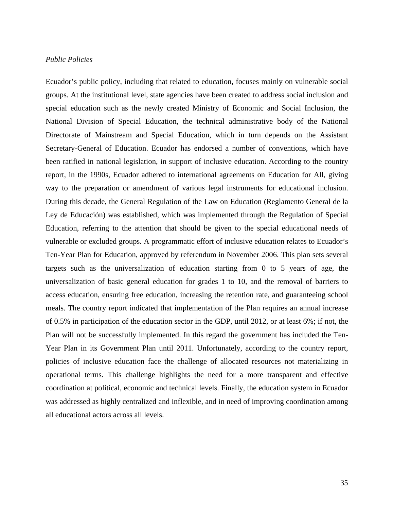#### <span id="page-34-0"></span>*Public Policies*

Ecuador's public policy, including that related to education, focuses mainly on vulnerable social groups. At the institutional level, state agencies have been created to address social inclusion and special education such as the newly created Ministry of Economic and Social Inclusion, the National Division of Special Education, the technical administrative body of the National Directorate of Mainstream and Special Education, which in turn depends on the Assistant Secretary-General of Education. Ecuador has endorsed a number of conventions, which have been ratified in national legislation, in support of inclusive education. According to the country report, in the 1990s, Ecuador adhered to international agreements on Education for All, giving way to the preparation or amendment of various legal instruments for educational inclusion. During this decade, the General Regulation of the Law on Education (Reglamento General de la Ley de Educación) was established, which was implemented through the Regulation of Special Education, referring to the attention that should be given to the special educational needs of vulnerable or excluded groups. A programmatic effort of inclusive education relates to Ecuador's Ten-Year Plan for Education, approved by referendum in November 2006. This plan sets several targets such as the universalization of education starting from 0 to 5 years of age, the universalization of basic general education for grades 1 to 10, and the removal of barriers to access education, ensuring free education, increasing the retention rate, and guaranteeing school meals. The country report indicated that implementation of the Plan requires an annual increase of 0.5% in participation of the education sector in the GDP, until 2012, or at least 6%; if not, the Plan will not be successfully implemented. In this regard the government has included the Ten-Year Plan in its Government Plan until 2011. Unfortunately, according to the country report, policies of inclusive education face the challenge of allocated resources not materializing in operational terms. This challenge highlights the need for a more transparent and effective coordination at political, economic and technical levels. Finally, the education system in Ecuador was addressed as highly centralized and inflexible, and in need of improving coordination among all educational actors across all levels.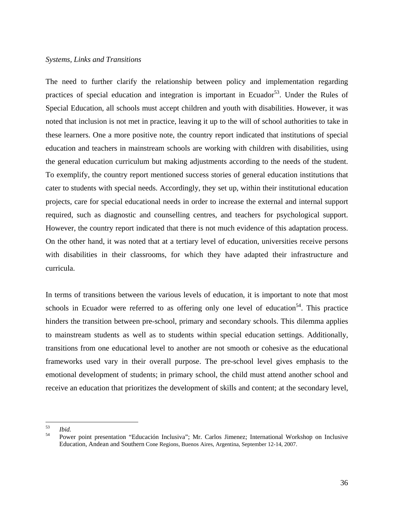## <span id="page-35-0"></span>*Systems, Links and Transitions*

The need to further clarify the relationship between policy and implementation regarding practices of special education and integration is important in Ecuador<sup>53</sup>. Under the Rules of Special Education, all schools must accept children and youth with disabilities. However, it was noted that inclusion is not met in practice, leaving it up to the will of school authorities to take in these learners. One a more positive note, the country report indicated that institutions of special education and teachers in mainstream schools are working with children with disabilities, using the general education curriculum but making adjustments according to the needs of the student. To exemplify, the country report mentioned success stories of general education institutions that cater to students with special needs. Accordingly, they set up, within their institutional education projects, care for special educational needs in order to increase the external and internal support required, such as diagnostic and counselling centres, and teachers for psychological support. However, the country report indicated that there is not much evidence of this adaptation process. On the other hand, it was noted that at a tertiary level of education, universities receive persons with disabilities in their classrooms, for which they have adapted their infrastructure and curricula.

In terms of transitions between the various levels of education, it is important to note that most schools in Ecuador were referred to as offering only one level of education<sup>54</sup>. This practice hinders the transition between pre-school, primary and secondary schools. This dilemma applies to mainstream students as well as to students within special education settings. Additionally, transitions from one educational level to another are not smooth or cohesive as the educational frameworks used vary in their overall purpose. The pre-school level gives emphasis to the emotional development of students; in primary school, the child must attend another school and receive an education that prioritizes the development of skills and content; at the secondary level,

<sup>53</sup> 

<sup>53</sup>*Ibid.* 54 Power point presentation "Educación Inclusiva"; Mr. Carlos Jimenez; International Workshop on Inclusive Education, Andean and Southern Cone Regions, Buenos Aires, Argentina, September 12-14, 2007.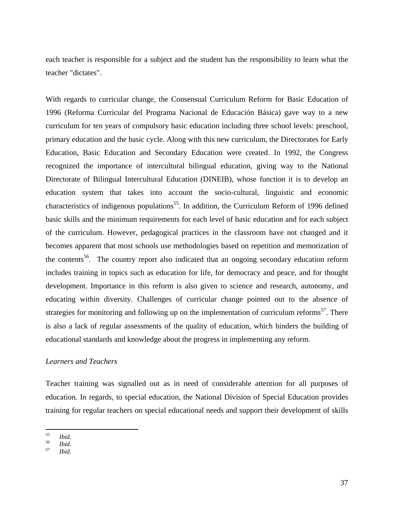each teacher is responsible for a subject and the student has the responsibility to learn what the teacher "dictates".

With regards to curricular change, the Consensual Curriculum Reform for Basic Education of 1996 (Reforma Curricular del Programa Nacional de Educación Básica) gave way to a new curriculum for ten years of compulsory basic education including three school levels: preschool, primary education and the basic cycle. Along with this new curriculum, the Directorates for Early Education, Basic Education and Secondary Education were created. In 1992, the Congress recognized the importance of intercultural bilingual education, giving way to the National Directorate of Bilingual Intercultural Education (DINEIB), whose function it is to develop an education system that takes into account the socio-cultural, linguistic and economic characteristics of indigenous populations<sup>55</sup>. In addition, the Curriculum Reform of 1996 defined basic skills and the minimum requirements for each level of basic education and for each subject of the curriculum. However, pedagogical practices in the classroom have not changed and it becomes apparent that most schools use methodologies based on repetition and memorization of the contents<sup>56</sup>. The country report also indicated that an ongoing secondary education reform includes training in topics such as education for life, for democracy and peace, and for thought development. Importance in this reform is also given to science and research, autonomy, and educating within diversity. Challenges of curricular change pointed out to the absence of strategies for monitoring and following up on the implementation of curriculum reforms<sup>57</sup>. There is also a lack of regular assessments of the quality of education, which hinders the building of educational standards and knowledge about the progress in implementing any reform.

# *Learners and Teachers*

Teacher training was signalled out as in need of considerable attention for all purposes of education. In regards, to special education, the National Division of Special Education provides training for regular teachers on special educational needs and support their development of skills

 $55$ 

<sup>55</sup>*Ibid.* <sup>56</sup>*Ibid*. 57 *Ibid.*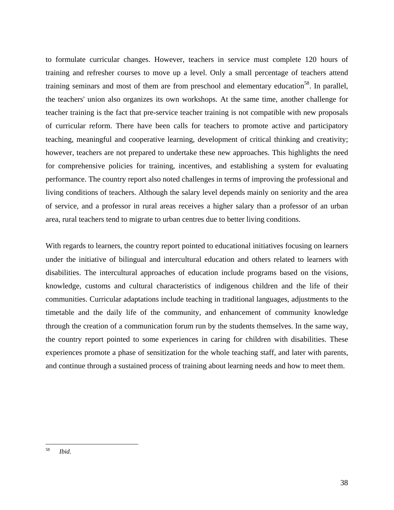to formulate curricular changes. However, teachers in service must complete 120 hours of training and refresher courses to move up a level. Only a small percentage of teachers attend training seminars and most of them are from preschool and elementary education<sup>58</sup>. In parallel, the teachers' union also organizes its own workshops. At the same time, another challenge for teacher training is the fact that pre-service teacher training is not compatible with new proposals of curricular reform. There have been calls for teachers to promote active and participatory teaching, meaningful and cooperative learning, development of critical thinking and creativity; however, teachers are not prepared to undertake these new approaches. This highlights the need for comprehensive policies for training, incentives, and establishing a system for evaluating performance. The country report also noted challenges in terms of improving the professional and living conditions of teachers. Although the salary level depends mainly on seniority and the area of service, and a professor in rural areas receives a higher salary than a professor of an urban area, rural teachers tend to migrate to urban centres due to better living conditions.

With regards to learners, the country report pointed to educational initiatives focusing on learners under the initiative of bilingual and intercultural education and others related to learners with disabilities. The intercultural approaches of education include programs based on the visions, knowledge, customs and cultural characteristics of indigenous children and the life of their communities. Curricular adaptations include teaching in traditional languages, adjustments to the timetable and the daily life of the community, and enhancement of community knowledge through the creation of a communication forum run by the students themselves. In the same way, the country report pointed to some experiences in caring for children with disabilities. These experiences promote a phase of sensitization for the whole teaching staff, and later with parents, and continue through a sustained process of training about learning needs and how to meet them.

<sup>58</sup> Ibid.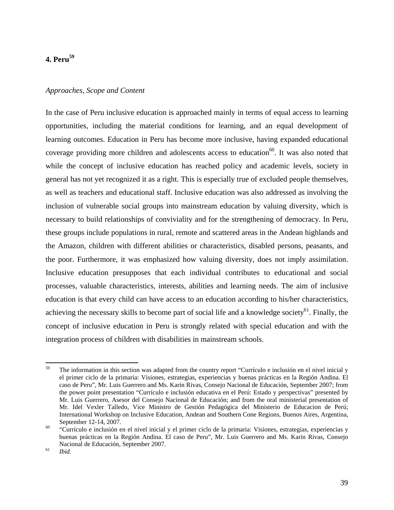# **4. Peru59**

#### *Approaches, Scope and Content*

In the case of Peru inclusive education is approached mainly in terms of equal access to learning opportunities, including the material conditions for learning, and an equal development of learning outcomes. Education in Peru has become more inclusive, having expanded educational coverage providing more children and adolescents access to education<sup>60</sup>. It was also noted that while the concept of inclusive education has reached policy and academic levels, society in general has not yet recognized it as a right. This is especially true of excluded people themselves, as well as teachers and educational staff. Inclusive education was also addressed as involving the inclusion of vulnerable social groups into mainstream education by valuing diversity, which is necessary to build relationships of conviviality and for the strengthening of democracy. In Peru, these groups include populations in rural, remote and scattered areas in the Andean highlands and the Amazon, children with different abilities or characteristics, disabled persons, peasants, and the poor. Furthermore, it was emphasized how valuing diversity, does not imply assimilation. Inclusive education presupposes that each individual contributes to educational and social processes, valuable characteristics, interests, abilities and learning needs. The aim of inclusive education is that every child can have access to an education according to his/her characteristics, achieving the necessary skills to become part of social life and a knowledge society<sup>61</sup>. Finally, the concept of inclusive education in Peru is strongly related with special education and with the integration process of children with disabilities in mainstream schools.

<sup>59</sup> The information in this section was adapted from the country report "Currículo e inclusión en el nivel inicial y el primer ciclo de la primaria: Visiones, estrategias, experiencias y buenas prácticas en la Región Andina. El caso de Peru", Mr. Luis Guerrero and Ms. Karin Rivas, Consejo Nacional de Educación, September 2007; from the power point presentation "Currículo e inclusión educativa en el Perú: Estado y perspectivas" presented by Mr. Luis Guerrero, Asesor del Consejo Nacional de Educación; and from the oral ministerial presentation of Mr. Idel Vexler Talledo, Vice Ministro de Gestión Pedagógica del Ministerio de Educacion de Perú; International Workshop on Inclusive Education, Andean and Southern Cone Regions, Buenos Aires, Argentina, September 12-14, 2007.<br>
"Currículo e inclusión en el nivel inicial y el primer ciclo de la primaria: Visiones, estrategias, experiencias y

buenas prácticas en la Región Andina. El caso de Peru", Mr. Luis Guerrero and Ms. Karin Rivas, Consejo Nacional de Educación, September 2007. 61 *Ibid.*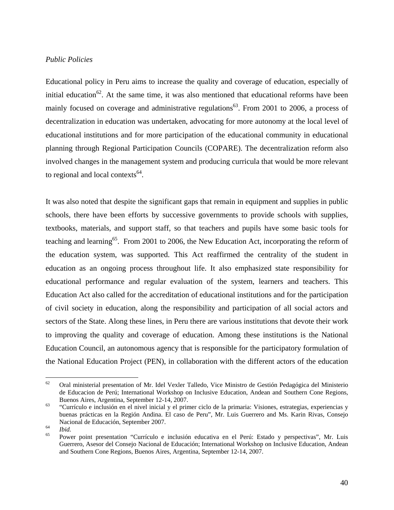#### *Public Policies*

Educational policy in Peru aims to increase the quality and coverage of education, especially of initial education<sup>62</sup>. At the same time, it was also mentioned that educational reforms have been mainly focused on coverage and administrative regulations<sup>63</sup>. From 2001 to 2006, a process of decentralization in education was undertaken, advocating for more autonomy at the local level of educational institutions and for more participation of the educational community in educational planning through Regional Participation Councils (COPARE). The decentralization reform also involved changes in the management system and producing curricula that would be more relevant to regional and local contexts $64$ .

It was also noted that despite the significant gaps that remain in equipment and supplies in public schools, there have been efforts by successive governments to provide schools with supplies, textbooks, materials, and support staff, so that teachers and pupils have some basic tools for teaching and learning<sup>65</sup>. From 2001 to 2006, the New Education Act, incorporating the reform of the education system, was supported. This Act reaffirmed the centrality of the student in education as an ongoing process throughout life. It also emphasized state responsibility for educational performance and regular evaluation of the system, learners and teachers. This Education Act also called for the accreditation of educational institutions and for the participation of civil society in education, along the responsibility and participation of all social actors and sectors of the State. Along these lines, in Peru there are various institutions that devote their work to improving the quality and coverage of education. Among these institutions is the National Education Council, an autonomous agency that is responsible for the participatory formulation of the National Education Project (PEN), in collaboration with the different actors of the education

<sup>62</sup> 62 Oral ministerial presentation of Mr. Idel Vexler Talledo, Vice Ministro de Gestión Pedagógica del Ministerio de Educacion de Perú; International Workshop on Inclusive Education, Andean and Southern Cone Regions, Buenos Aires, Argentina, September 12-14, 2007.<br>
"Currículo e inclusión en el nivel inicial y el primer ciclo de la primaria: Visiones, estrategias, experiencias y

buenas prácticas en la Región Andina. El caso de Peru", Mr. Luis Guerrero and Ms. Karin Rivas, Consejo Nacional de Educación, September 2007.<br>
<sup>64</sup> *Ibid.* Power point presentation "Currículo e inclusión educativa en el Perú: Estado y perspectivas", Mr. Luis

Guerrero, Asesor del Consejo Nacional de Educación; International Workshop on Inclusive Education, Andean and Southern Cone Regions, Buenos Aires, Argentina, September 12-14, 2007.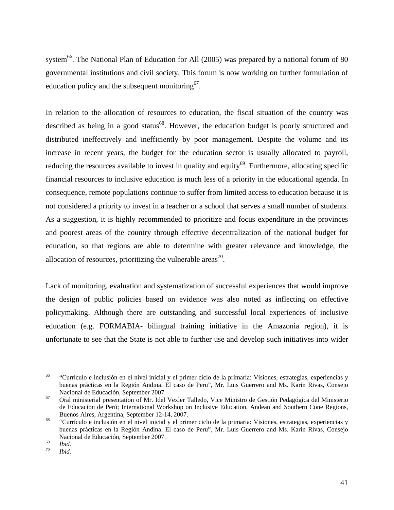system<sup>66</sup>. The National Plan of Education for All (2005) was prepared by a national forum of 80 governmental institutions and civil society. This forum is now working on further formulation of education policy and the subsequent monitoring  $67$ .

In relation to the allocation of resources to education, the fiscal situation of the country was described as being in a good status<sup>68</sup>. However, the education budget is poorly structured and distributed ineffectively and inefficiently by poor management. Despite the volume and its increase in recent years, the budget for the education sector is usually allocated to payroll, reducing the resources available to invest in quality and equity<sup>69</sup>. Furthermore, allocating specific financial resources to inclusive education is much less of a priority in the educational agenda. In consequence, remote populations continue to suffer from limited access to education because it is not considered a priority to invest in a teacher or a school that serves a small number of students. As a suggestion, it is highly recommended to prioritize and focus expenditure in the provinces and poorest areas of the country through effective decentralization of the national budget for education, so that regions are able to determine with greater relevance and knowledge, the allocation of resources, prioritizing the vulnerable areas<sup>70</sup>.

Lack of monitoring, evaluation and systematization of successful experiences that would improve the design of public policies based on evidence was also noted as inflecting on effective policymaking. Although there are outstanding and successful local experiences of inclusive education (e.g. FORMABIA- bilingual training initiative in the Amazonia region), it is unfortunate to see that the State is not able to further use and develop such initiatives into wider

<sup>66</sup> 66 "Currículo e inclusión en el nivel inicial y el primer ciclo de la primaria: Visiones, estrategias, experiencias y buenas prácticas en la Región Andina. El caso de Peru", Mr. Luis Guerrero and Ms. Karin Rivas, Consejo Nacional de Educación, September 2007. 67 Oral ministerial presentation of Mr. Idel Vexler Talledo, Vice Ministro de Gestión Pedagógica del Ministerio

de Educacion de Perú; International Workshop on Inclusive Education, Andean and Southern Cone Regions, Buenos Aires, Argentina, September 12-14, 2007. 68 "Currículo e inclusión en el nivel inicial y el primer ciclo de la primaria: Visiones, estrategias, experiencias y

buenas prácticas en la Región Andina. El caso de Peru", Mr. Luis Guerrero and Ms. Karin Rivas, Consejo Nacional de Educación, September 2007.<br> *To Ibid. Ibid.*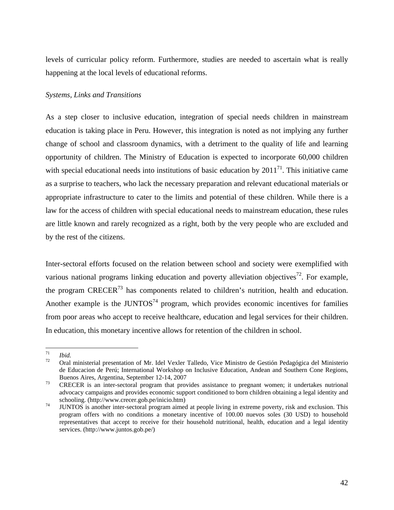levels of curricular policy reform. Furthermore, studies are needed to ascertain what is really happening at the local levels of educational reforms.

# *Systems, Links and Transitions*

As a step closer to inclusive education, integration of special needs children in mainstream education is taking place in Peru. However, this integration is noted as not implying any further change of school and classroom dynamics, with a detriment to the quality of life and learning opportunity of children. The Ministry of Education is expected to incorporate 60,000 children with special educational needs into institutions of basic education by  $2011^{71}$ . This initiative came as a surprise to teachers, who lack the necessary preparation and relevant educational materials or appropriate infrastructure to cater to the limits and potential of these children. While there is a law for the access of children with special educational needs to mainstream education, these rules are little known and rarely recognized as a right, both by the very people who are excluded and by the rest of the citizens.

Inter-sectoral efforts focused on the relation between school and society were exemplified with various national programs linking education and poverty alleviation objectives<sup>72</sup>. For example, the program  $CRECER<sup>73</sup>$  has components related to children's nutrition, health and education. Another example is the JUNTOS<sup>74</sup> program, which provides economic incentives for families from poor areas who accept to receive healthcare, education and legal services for their children. In education, this monetary incentive allows for retention of the children in school.

<sup>71</sup> 

<sup>71</sup>*Ibid.* 72 Oral ministerial presentation of Mr. Idel Vexler Talledo, Vice Ministro de Gestión Pedagógica del Ministerio de Educacion de Perú; International Workshop on Inclusive Education, Andean and Southern Cone Regions, Buenos Aires, Argentina, September 12-14, 2007<br><sup>73</sup> CRECER is an inter-sectoral program that provides assistance to pregnant women; it undertakes nutrional

advocacy campaigns and provides economic support conditioned to born children obtaining a legal identity and schooling. (http://www.crecer.gob.pe/inicio.htm)<br>JUNTOS is another inter-sectoral program aimed at people living in extreme poverty, risk and exclusion. This

program offers with no conditions a monetary incentive of 100.00 nuevos soles (30 USD) to household representatives that accept to receive for their household nutritional, health, education and a legal identity services. (http://www.juntos.gob.pe/)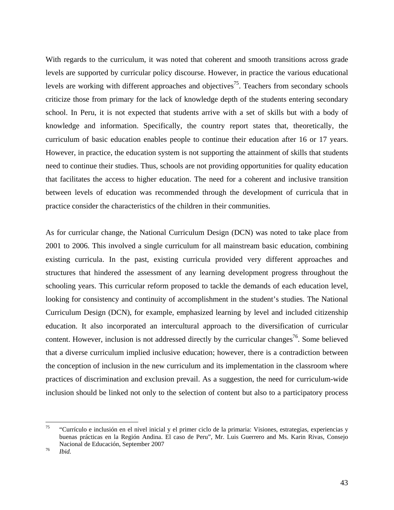With regards to the curriculum, it was noted that coherent and smooth transitions across grade levels are supported by curricular policy discourse. However, in practice the various educational levels are working with different approaches and objectives<sup>75</sup>. Teachers from secondary schools criticize those from primary for the lack of knowledge depth of the students entering secondary school. In Peru, it is not expected that students arrive with a set of skills but with a body of knowledge and information. Specifically, the country report states that, theoretically, the curriculum of basic education enables people to continue their education after 16 or 17 years. However, in practice, the education system is not supporting the attainment of skills that students need to continue their studies. Thus, schools are not providing opportunities for quality education that facilitates the access to higher education. The need for a coherent and inclusive transition between levels of education was recommended through the development of curricula that in practice consider the characteristics of the children in their communities.

As for curricular change, the National Curriculum Design (DCN) was noted to take place from 2001 to 2006. This involved a single curriculum for all mainstream basic education, combining existing curricula. In the past, existing curricula provided very different approaches and structures that hindered the assessment of any learning development progress throughout the schooling years. This curricular reform proposed to tackle the demands of each education level, looking for consistency and continuity of accomplishment in the student's studies. The National Curriculum Design (DCN), for example, emphasized learning by level and included citizenship education. It also incorporated an intercultural approach to the diversification of curricular content. However, inclusion is not addressed directly by the curricular changes<sup>76</sup>. Some believed that a diverse curriculum implied inclusive education; however, there is a contradiction between the conception of inclusion in the new curriculum and its implementation in the classroom where practices of discrimination and exclusion prevail. As a suggestion, the need for curriculum-wide inclusion should be linked not only to the selection of content but also to a participatory process

<sup>75</sup> 75 "Currículo e inclusión en el nivel inicial y el primer ciclo de la primaria: Visiones, estrategias, experiencias y buenas prácticas en la Región Andina. El caso de Peru", Mr. Luis Guerrero and Ms. Karin Rivas, Consejo Nacional de Educación, September 2007 76 *Ibid.*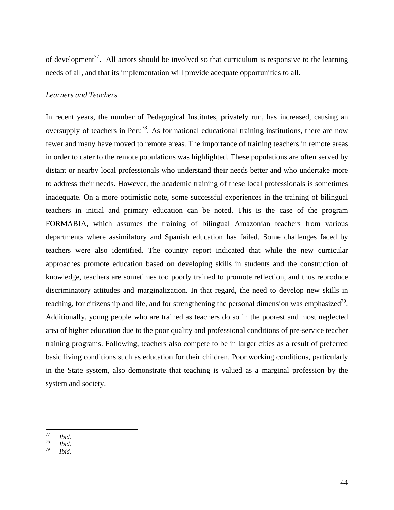of development<sup>77</sup>. All actors should be involved so that curriculum is responsive to the learning needs of all, and that its implementation will provide adequate opportunities to all.

#### *Learners and Teachers*

In recent years, the number of Pedagogical Institutes, privately run, has increased, causing an oversupply of teachers in Peru<sup>78</sup>. As for national educational training institutions, there are now fewer and many have moved to remote areas. The importance of training teachers in remote areas in order to cater to the remote populations was highlighted. These populations are often served by distant or nearby local professionals who understand their needs better and who undertake more to address their needs. However, the academic training of these local professionals is sometimes inadequate. On a more optimistic note, some successful experiences in the training of bilingual teachers in initial and primary education can be noted. This is the case of the program FORMABIA, which assumes the training of bilingual Amazonian teachers from various departments where assimilatory and Spanish education has failed. Some challenges faced by teachers were also identified. The country report indicated that while the new curricular approaches promote education based on developing skills in students and the construction of knowledge, teachers are sometimes too poorly trained to promote reflection, and thus reproduce discriminatory attitudes and marginalization. In that regard, the need to develop new skills in teaching, for citizenship and life, and for strengthening the personal dimension was emphasized<sup>79</sup>. Additionally, young people who are trained as teachers do so in the poorest and most neglected area of higher education due to the poor quality and professional conditions of pre-service teacher training programs. Following, teachers also compete to be in larger cities as a result of preferred basic living conditions such as education for their children. Poor working conditions, particularly in the State system, also demonstrate that teaching is valued as a marginal profession by the system and society.

 $77$ 

<sup>77</sup>*Ibid.* <sup>78</sup>*Ibid.* <sup>79</sup>*Ibid.*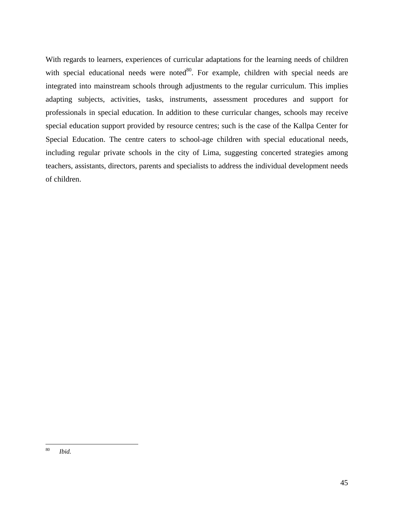With regards to learners, experiences of curricular adaptations for the learning needs of children with special educational needs were noted $80$ . For example, children with special needs are integrated into mainstream schools through adjustments to the regular curriculum. This implies adapting subjects, activities, tasks, instruments, assessment procedures and support for professionals in special education. In addition to these curricular changes, schools may receive special education support provided by resource centres; such is the case of the Kallpa Center for Special Education. The centre caters to school-age children with special educational needs, including regular private schools in the city of Lima, suggesting concerted strategies among teachers, assistants, directors, parents and specialists to address the individual development needs of children.

<sup>80</sup> Ibid.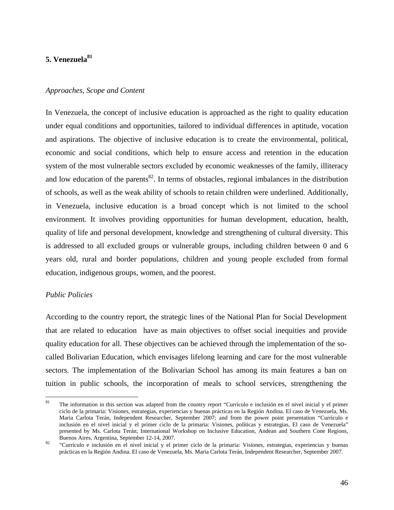# 5. Venezuela<sup>81</sup>

#### *Approaches, Scope and Content*

In Venezuela, the concept of inclusive education is approached as the right to quality education under equal conditions and opportunities, tailored to individual differences in aptitude, vocation and aspirations. The objective of inclusive education is to create the environmental, political, economic and social conditions, which help to ensure access and retention in the education system of the most vulnerable sectors excluded by economic weaknesses of the family, illiteracy and low education of the parents<sup>82</sup>. In terms of obstacles, regional imbalances in the distribution of schools, as well as the weak ability of schools to retain children were underlined. Additionally, in Venezuela, inclusive education is a broad concept which is not limited to the school environment. It involves providing opportunities for human development, education, health, quality of life and personal development, knowledge and strengthening of cultural diversity. This is addressed to all excluded groups or vulnerable groups, including children between 0 and 6 years old, rural and border populations, children and young people excluded from formal education, indigenous groups, women, and the poorest.

#### *Public Policies*

According to the country report, the strategic lines of the National Plan for Social Development that are related to education have as main objectives to offset social inequities and provide quality education for all. These objectives can be achieved through the implementation of the socalled Bolivarian Education, which envisages lifelong learning and care for the most vulnerable sectors. The implementation of the Bolivarian School has among its main features a ban on tuition in public schools, the incorporation of meals to school services, strengthening the

<sup>81</sup> The information in this section was adapted from the country report "Currículo e inclusión en el nivel inicial y el primer ciclo de la primaria: Visiones, estrategias, experiencias y buenas prácticas en la Región Andina. El caso de Venezuela, Ms. Maria Carlota Terán, Independent Researcher, September 2007; and from the power point presentation "Currículo e inclusión en el nivel inicial y el primer ciclo de la primaria: Visiones, políticas y estrategias, El caso de Venezuela" presented by Ms. Carlota Terán; International Workshop on Inclusive Education, Andean and Southern Cone Regions, Buenos Aires, Argentina, September 12-14, 2007.<br><sup>82</sup> "Currículo e inclusión en el nivel inicial y el primer ciclo de la primaria: Visiones, estrategias, experiencias y buenas

prácticas en la Región Andina. El caso de Venezuela, Ms. Maria Carlota Terán, Independent Researcher, September 2007.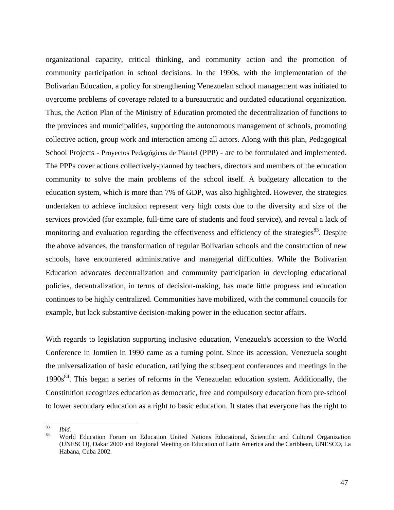organizational capacity, critical thinking, and community action and the promotion of community participation in school decisions. In the 1990s, with the implementation of the Bolivarian Education, a policy for strengthening Venezuelan school management was initiated to overcome problems of coverage related to a bureaucratic and outdated educational organization. Thus, the Action Plan of the Ministry of Education promoted the decentralization of functions to the provinces and municipalities, supporting the autonomous management of schools, promoting collective action, group work and interaction among all actors. Along with this plan, Pedagogical School Projects - Proyectos Pedagógicos de Plantel (PPP) - are to be formulated and implemented. The PPPs cover actions collectively-planned by teachers, directors and members of the education community to solve the main problems of the school itself. A budgetary allocation to the education system, which is more than 7% of GDP, was also highlighted. However, the strategies undertaken to achieve inclusion represent very high costs due to the diversity and size of the services provided (for example, full-time care of students and food service), and reveal a lack of monitoring and evaluation regarding the effectiveness and efficiency of the strategies<sup>83</sup>. Despite the above advances, the transformation of regular Bolivarian schools and the construction of new schools, have encountered administrative and managerial difficulties. While the Bolivarian Education advocates decentralization and community participation in developing educational policies, decentralization, in terms of decision-making, has made little progress and education continues to be highly centralized. Communities have mobilized, with the communal councils for example, but lack substantive decision-making power in the education sector affairs.

With regards to legislation supporting inclusive education, Venezuela's accession to the World Conference in Jomtien in 1990 came as a turning point. Since its accession, Venezuela sought the universalization of basic education, ratifying the subsequent conferences and meetings in the  $1990s<sup>84</sup>$ . This began a series of reforms in the Venezuelan education system. Additionally, the Constitution recognizes education as democratic, free and compulsory education from pre-school to lower secondary education as a right to basic education. It states that everyone has the right to

<sup>83</sup> 

<sup>83</sup>*Ibid.* 84 World Education Forum on Education United Nations Educational, Scientific and Cultural Organization (UNESCO), Dakar 2000 and Regional Meeting on Education of Latin America and the Caribbean, UNESCO, La Habana, Cuba 2002.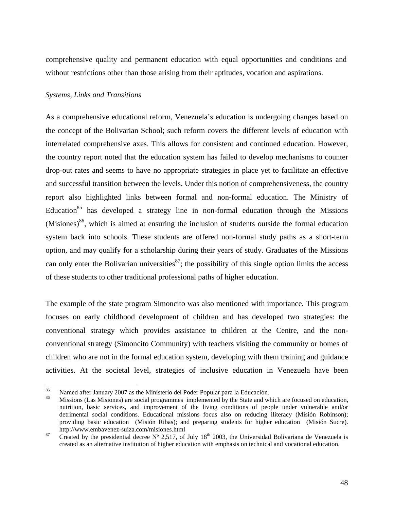comprehensive quality and permanent education with equal opportunities and conditions and without restrictions other than those arising from their aptitudes, vocation and aspirations.

## *Systems, Links and Transitions*

As a comprehensive educational reform, Venezuela's education is undergoing changes based on the concept of the Bolivarian School; such reform covers the different levels of education with interrelated comprehensive axes. This allows for consistent and continued education. However, the country report noted that the education system has failed to develop mechanisms to counter drop-out rates and seems to have no appropriate strategies in place yet to facilitate an effective and successful transition between the levels. Under this notion of comprehensiveness, the country report also highlighted links between formal and non-formal education. The Ministry of Education<sup>85</sup> has developed a strategy line in non-formal education through the Missions (Misiones)<sup>86</sup>, which is aimed at ensuring the inclusion of students outside the formal education system back into schools. These students are offered non-formal study paths as a short-term option, and may qualify for a scholarship during their years of study. Graduates of the Missions can only enter the Bolivarian universities<sup>87</sup>; the possibility of this single option limits the access of these students to other traditional professional paths of higher education.

The example of the state program Simoncito was also mentioned with importance. This program focuses on early childhood development of children and has developed two strategies: the conventional strategy which provides assistance to children at the Centre, and the nonconventional strategy (Simoncito Community) with teachers visiting the community or homes of children who are not in the formal education system, developing with them training and guidance activities. At the societal level, strategies of inclusive education in Venezuela have been

<sup>85</sup>  $^{85}$  Named after January 2007 as the Ministerio del Poder Popular para la Educación.

Missions (Las Misiones) are social programmes implemented by the State and which are focused on education, nutrition, basic services, and improvement of the living conditions of people under vulnerable and/or detrimental social conditions. Educational missions focus also on reducing iliteracy (Misión Robinson); providing basic education (Misión Ribas); and preparing students for higher education (Misión Sucre).<br>http://www.embavenez-suiza.com/misiones.html

 $heta$ <sup>87</sup> Created by the presidential decree N° 2,517, of July 18<sup>th</sup> 2003, the Universidad Bolivariana de Venezuela is created as an alternative institution of higher education with emphasis on technical and vocational education.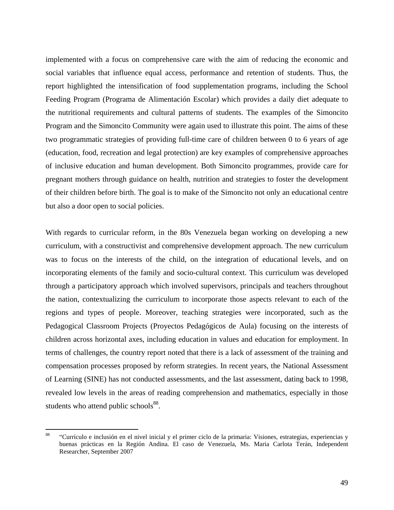implemented with a focus on comprehensive care with the aim of reducing the economic and social variables that influence equal access, performance and retention of students. Thus, the report highlighted the intensification of food supplementation programs, including the School Feeding Program (Programa de Alimentación Escolar) which provides a daily diet adequate to the nutritional requirements and cultural patterns of students. The examples of the Simoncito Program and the Simoncito Community were again used to illustrate this point. The aims of these two programmatic strategies of providing full-time care of children between 0 to 6 years of age (education, food, recreation and legal protection) are key examples of comprehensive approaches of inclusive education and human development. Both Simoncito programmes, provide care for pregnant mothers through guidance on health, nutrition and strategies to foster the development of their children before birth. The goal is to make of the Simoncito not only an educational centre but also a door open to social policies.

With regards to curricular reform, in the 80s Venezuela began working on developing a new curriculum, with a constructivist and comprehensive development approach. The new curriculum was to focus on the interests of the child, on the integration of educational levels, and on incorporating elements of the family and socio-cultural context. This curriculum was developed through a participatory approach which involved supervisors, principals and teachers throughout the nation, contextualizing the curriculum to incorporate those aspects relevant to each of the regions and types of people. Moreover, teaching strategies were incorporated, such as the Pedagogical Classroom Projects (Proyectos Pedagógicos de Aula) focusing on the interests of children across horizontal axes, including education in values and education for employment. In terms of challenges, the country report noted that there is a lack of assessment of the training and compensation processes proposed by reform strategies. In recent years, the National Assessment of Learning (SINE) has not conducted assessments, and the last assessment, dating back to 1998, revealed low levels in the areas of reading comprehension and mathematics, especially in those students who attend public schools<sup>88</sup>.

 $88$ 88 "Currículo e inclusión en el nivel inicial y el primer ciclo de la primaria: Visiones, estrategias, experiencias y buenas prácticas en la Región Andina. El caso de Venezuela, Ms. Maria Carlota Terán, Independent Researcher, September 2007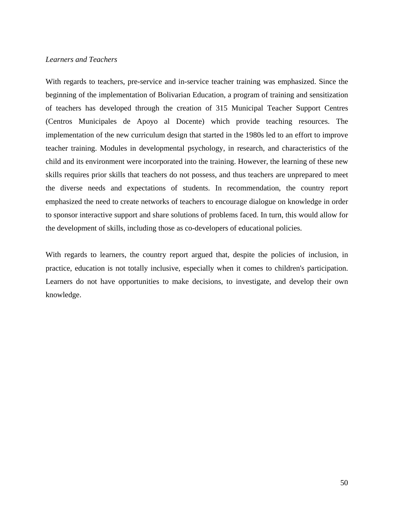## *Learners and Teachers*

With regards to teachers, pre-service and in-service teacher training was emphasized. Since the beginning of the implementation of Bolivarian Education, a program of training and sensitization of teachers has developed through the creation of 315 Municipal Teacher Support Centres (Centros Municipales de Apoyo al Docente) which provide teaching resources. The implementation of the new curriculum design that started in the 1980s led to an effort to improve teacher training. Modules in developmental psychology, in research, and characteristics of the child and its environment were incorporated into the training. However, the learning of these new skills requires prior skills that teachers do not possess, and thus teachers are unprepared to meet the diverse needs and expectations of students. In recommendation, the country report emphasized the need to create networks of teachers to encourage dialogue on knowledge in order to sponsor interactive support and share solutions of problems faced. In turn, this would allow for the development of skills, including those as co-developers of educational policies.

With regards to learners, the country report argued that, despite the policies of inclusion, in practice, education is not totally inclusive, especially when it comes to children's participation. Learners do not have opportunities to make decisions, to investigate, and develop their own knowledge.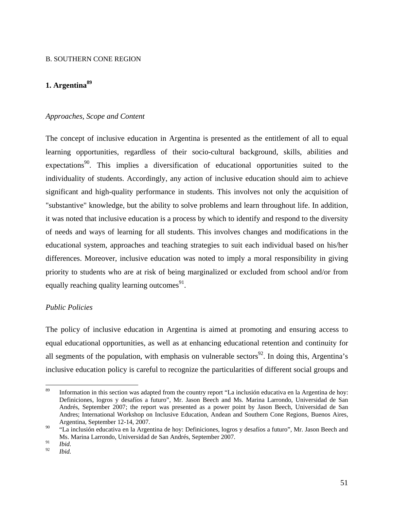#### B. SOUTHERN CONE REGION

# **1. Argentina89**

### *Approaches, Scope and Content*

The concept of inclusive education in Argentina is presented as the entitlement of all to equal learning opportunities, regardless of their socio-cultural background, skills, abilities and expectations<sup>90</sup>. This implies a diversification of educational opportunities suited to the individuality of students. Accordingly, any action of inclusive education should aim to achieve significant and high-quality performance in students. This involves not only the acquisition of "substantive" knowledge, but the ability to solve problems and learn throughout life. In addition, it was noted that inclusive education is a process by which to identify and respond to the diversity of needs and ways of learning for all students. This involves changes and modifications in the educational system, approaches and teaching strategies to suit each individual based on his/her differences. Moreover, inclusive education was noted to imply a moral responsibility in giving priority to students who are at risk of being marginalized or excluded from school and/or from equally reaching quality learning outcomes $91$ .

## *Public Policies*

The policy of inclusive education in Argentina is aimed at promoting and ensuring access to equal educational opportunities, as well as at enhancing educational retention and continuity for all segments of the population, with emphasis on vulnerable sectors<sup>92</sup>. In doing this, Argentina's inclusive education policy is careful to recognize the particularities of different social groups and

<sup>89</sup> 89 Information in this section was adapted from the country report "La inclusión educativa en la Argentina de hoy: Definiciones, logros y desafíos a futuro", Mr. Jason Beech and Ms. Marina Larrondo, Universidad de San Andrés, September 2007; the report was presented as a power point by Jason Beech, Universidad de San Andres; International Workshop on Inclusive Education, Andean and Southern Cone Regions, Buenos Aires, Argentina, September 12-14, 2007.

<sup>&</sup>lt;sup>90</sup> "La inclusión educativa en la Argentina de hoy: Definiciones, logros y desafíos a futuro", Mr. Jason Beech and Ms. Marina Larrondo, Universidad de San Andrés, September 2007.

 $\frac{91}{92}$  *Ibid.* 

*Ibid.*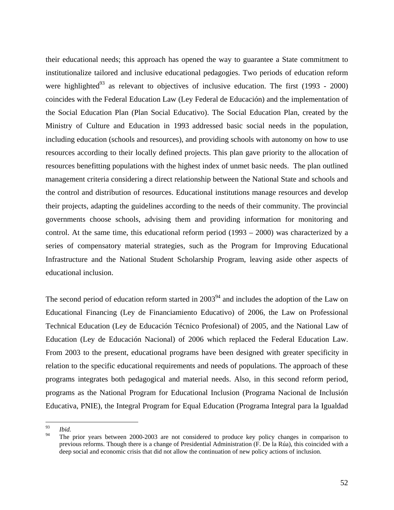their educational needs; this approach has opened the way to guarantee a State commitment to institutionalize tailored and inclusive educational pedagogies. Two periods of education reform were highlighted<sup>93</sup> as relevant to objectives of inclusive education. The first (1993 - 2000) coincides with the Federal Education Law (Ley Federal de Educación) and the implementation of the Social Education Plan (Plan Social Educativo). The Social Education Plan, created by the Ministry of Culture and Education in 1993 addressed basic social needs in the population, including education (schools and resources), and providing schools with autonomy on how to use resources according to their locally defined projects. This plan gave priority to the allocation of resources benefitting populations with the highest index of unmet basic needs. The plan outlined management criteria considering a direct relationship between the National State and schools and the control and distribution of resources. Educational institutions manage resources and develop their projects, adapting the guidelines according to the needs of their community. The provincial governments choose schools, advising them and providing information for monitoring and control. At the same time, this educational reform period (1993 – 2000) was characterized by a series of compensatory material strategies, such as the Program for Improving Educational Infrastructure and the National Student Scholarship Program, leaving aside other aspects of educational inclusion.

The second period of education reform started in  $2003<sup>94</sup>$  and includes the adoption of the Law on Educational Financing (Ley de Financiamiento Educativo) of 2006, the Law on Professional Technical Education (Ley de Educación Técnico Profesional) of 2005, and the National Law of Education (Ley de Educación Nacional) of 2006 which replaced the Federal Education Law. From 2003 to the present, educational programs have been designed with greater specificity in relation to the specific educational requirements and needs of populations. The approach of these programs integrates both pedagogical and material needs. Also, in this second reform period, programs as the National Program for Educational Inclusion (Programa Nacional de Inclusión Educativa, PNIE), the Integral Program for Equal Education (Programa Integral para la Igualdad

<sup>93</sup>  $\frac{93}{94}$  *Ibid.* 

The prior years between 2000-2003 are not considered to produce key policy changes in comparison to previous reforms. Though there is a change of Presidential Administration (F. De la Rúa), this coincided with a deep social and economic crisis that did not allow the continuation of new policy actions of inclusion.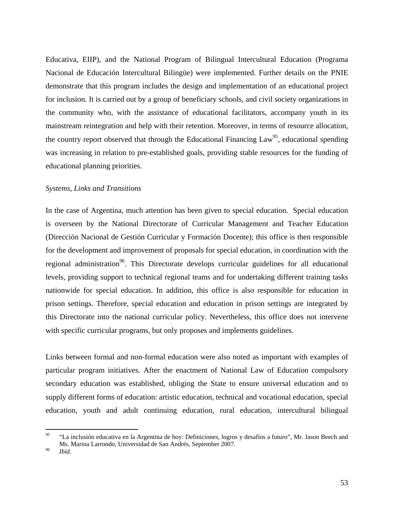Educativa, EIIP), and the National Program of Bilingual Intercultural Education (Programa Nacional de Educación Intercultural Bilingüe) were implemented. Further details on the PNIE demonstrate that this program includes the design and implementation of an educational project for inclusion. It is carried out by a group of beneficiary schools, and civil society organizations in the community who, with the assistance of educational facilitators, accompany youth in its mainstream reintegration and help with their retention. Moreover, in terms of resource allocation, the country report observed that through the Educational Financing Law<sup>95</sup>, educational spending was increasing in relation to pre-established goals, providing stable resources for the funding of educational planning priorities.

## *Systems, Links and Transitions*

In the case of Argentina, much attention has been given to special education. Special education is overseen by the National Directorate of Curricular Management and Teacher Education (Dirección Nacional de Gestión Curricular y Formación Docente); this office is then responsible for the development and improvement of proposals for special education, in coordination with the regional administration<sup>96</sup>. This Directorate develops curricular guidelines for all educational levels, providing support to technical regional teams and for undertaking different training tasks nationwide for special education. In addition, this office is also responsible for education in prison settings. Therefore, special education and education in prison settings are integrated by this Directorate into the national curricular policy. Nevertheless, this office does not intervene with specific curricular programs, but only proposes and implements guidelines.

Links between formal and non-formal education were also noted as important with examples of particular program initiatives. After the enactment of National Law of Education compulsory secondary education was established, obliging the State to ensure universal education and to supply different forms of education: artistic education, technical and vocational education, special education, youth and adult continuing education, rural education, intercultural bilingual

 $95$ 95 "La inclusión educativa en la Argentina de hoy: Definiciones, logros y desafíos a futuro", Mr. Jason Beech and Ms. Marina Larrondo, Universidad de San Andrés, September 2007. 96 *Ibid.*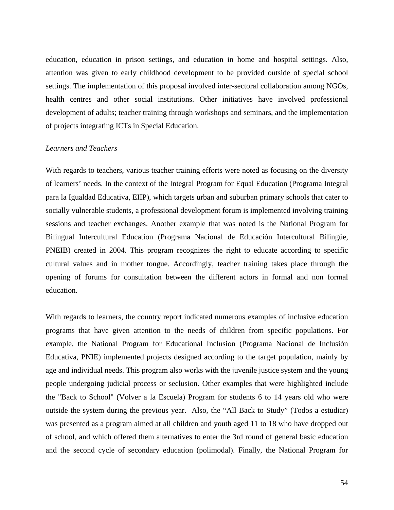education, education in prison settings, and education in home and hospital settings. Also, attention was given to early childhood development to be provided outside of special school settings. The implementation of this proposal involved inter-sectoral collaboration among NGOs, health centres and other social institutions. Other initiatives have involved professional development of adults; teacher training through workshops and seminars, and the implementation of projects integrating ICTs in Special Education.

## *Learners and Teachers*

With regards to teachers, various teacher training efforts were noted as focusing on the diversity of learners' needs. In the context of the Integral Program for Equal Education (Programa Integral para la Igualdad Educativa, EIIP), which targets urban and suburban primary schools that cater to socially vulnerable students, a professional development forum is implemented involving training sessions and teacher exchanges. Another example that was noted is the National Program for Bilingual Intercultural Education (Programa Nacional de Educación Intercultural Bilingüe, PNEIB) created in 2004. This program recognizes the right to educate according to specific cultural values and in mother tongue. Accordingly, teacher training takes place through the opening of forums for consultation between the different actors in formal and non formal education.

With regards to learners, the country report indicated numerous examples of inclusive education programs that have given attention to the needs of children from specific populations. For example, the National Program for Educational Inclusion (Programa Nacional de Inclusión Educativa, PNIE) implemented projects designed according to the target population, mainly by age and individual needs. This program also works with the juvenile justice system and the young people undergoing judicial process or seclusion. Other examples that were highlighted include the "Back to School" (Volver a la Escuela) Program for students 6 to 14 years old who were outside the system during the previous year. Also, the "All Back to Study" (Todos a estudiar) was presented as a program aimed at all children and youth aged 11 to 18 who have dropped out of school, and which offered them alternatives to enter the 3rd round of general basic education and the second cycle of secondary education (polimodal). Finally, the National Program for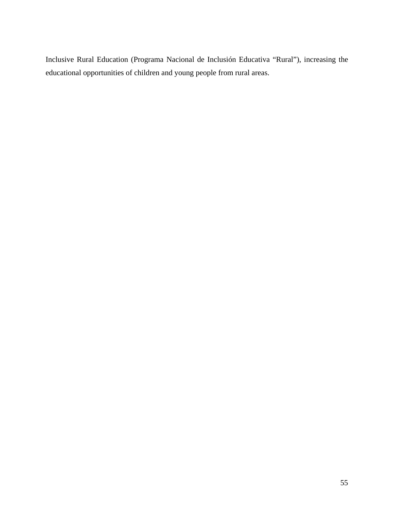Inclusive Rural Education (Programa Nacional de Inclusión Educativa "Rural"), increasing the educational opportunities of children and young people from rural areas.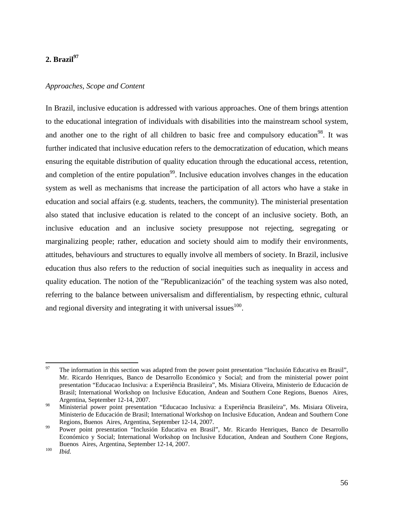# 2. Brazil<sup>97</sup>

# *Approaches, Scope and Content*

In Brazil, inclusive education is addressed with various approaches. One of them brings attention to the educational integration of individuals with disabilities into the mainstream school system, and another one to the right of all children to basic free and compulsory education<sup>98</sup>. It was further indicated that inclusive education refers to the democratization of education, which means ensuring the equitable distribution of quality education through the educational access, retention, and completion of the entire population<sup>99</sup>. Inclusive education involves changes in the education system as well as mechanisms that increase the participation of all actors who have a stake in education and social affairs (e.g. students, teachers, the community). The ministerial presentation also stated that inclusive education is related to the concept of an inclusive society. Both, an inclusive education and an inclusive society presuppose not rejecting, segregating or marginalizing people; rather, education and society should aim to modify their environments, attitudes, behaviours and structures to equally involve all members of society. In Brazil, inclusive education thus also refers to the reduction of social inequities such as inequality in access and quality education. The notion of the "Republicanización" of the teaching system was also noted, referring to the balance between universalism and differentialism, by respecting ethnic, cultural and regional diversity and integrating it with universal issues  $100$ .

<sup>97</sup> 97 The information in this section was adapted from the power point presentation "Inclusión Educativa en Brasil", Mr. Ricardo Henriques, Banco de Desarrollo Económico y Social; and from the ministerial power point presentation "Educacao Inclusiva: a Experiência Brasileira", Ms. Misiara Oliveira, Ministerio de Educación de Brasil; International Workshop on Inclusive Education, Andean and Southern Cone Regions, Buenos Aires, Argentina, September 12-14, 2007.

<sup>98</sup> Ministerial power point presentation "Educacao Inclusiva: a Experiência Brasileira", Ms. Misiara Oliveira, Ministerio de Educación de Brasil; International Workshop on Inclusive Education, Andean and Southern Cone Regions, Buenos Aires, Argentina, September 12-14, 2007.<br>
99 Power point presentation "Inclusión Educativa en Brasil", Mr. Ricardo Henriques, Banco de Desarrollo

Económico y Social; International Workshop on Inclusive Education, Andean and Southern Cone Regions, Buenos Aires, Argentina, September 12-14, 2007. 100 *Ibid.*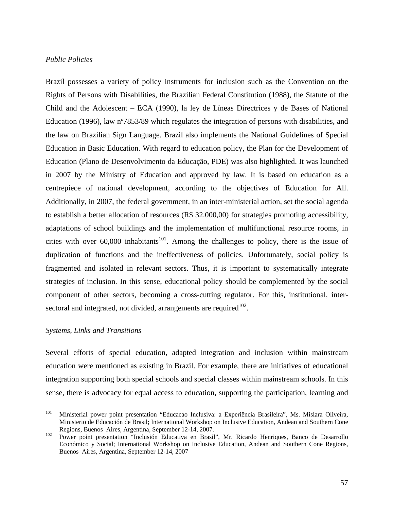#### *Public Policies*

Brazil possesses a variety of policy instruments for inclusion such as the Convention on the Rights of Persons with Disabilities, the Brazilian Federal Constitution (1988), the Statute of the Child and the Adolescent – ECA (1990), la ley de Líneas Directrices y de Bases of National Education (1996), law nº7853/89 which regulates the integration of persons with disabilities, and the law on Brazilian Sign Language. Brazil also implements the National Guidelines of Special Education in Basic Education. With regard to education policy, the Plan for the Development of Education (Plano de Desenvolvimento da Educação, PDE) was also highlighted. It was launched in 2007 by the Ministry of Education and approved by law. It is based on education as a centrepiece of national development, according to the objectives of Education for All. Additionally, in 2007, the federal government, in an inter-ministerial action, set the social agenda to establish a better allocation of resources (R\$ 32.000,00) for strategies promoting accessibility, adaptations of school buildings and the implementation of multifunctional resource rooms, in cities with over 60,000 inhabitants<sup>101</sup>. Among the challenges to policy, there is the issue of duplication of functions and the ineffectiveness of policies. Unfortunately, social policy is fragmented and isolated in relevant sectors. Thus, it is important to systematically integrate strategies of inclusion. In this sense, educational policy should be complemented by the social component of other sectors, becoming a cross-cutting regulator. For this, institutional, intersectoral and integrated, not divided, arrangements are required<sup>102</sup>.

#### *Systems, Links and Transitions*

Several efforts of special education, adapted integration and inclusion within mainstream education were mentioned as existing in Brazil. For example, there are initiatives of educational integration supporting both special schools and special classes within mainstream schools. In this sense, there is advocacy for equal access to education, supporting the participation, learning and

<sup>101</sup> 101 Ministerial power point presentation "Educacao Inclusiva: a Experiência Brasileira", Ms. Misiara Oliveira, Ministerio de Educación de Brasil; International Workshop on Inclusive Education, Andean and Southern Cone Regions, Buenos Aires, Argentina, September 12-14, 2007.<br><sup>102</sup> Power point presentation "Inclusión Educativa en Brasil", Mr. Ricardo Henriques, Banco de Desarrollo

Económico y Social; International Workshop on Inclusive Education, Andean and Southern Cone Regions, Buenos Aires, Argentina, September 12-14, 2007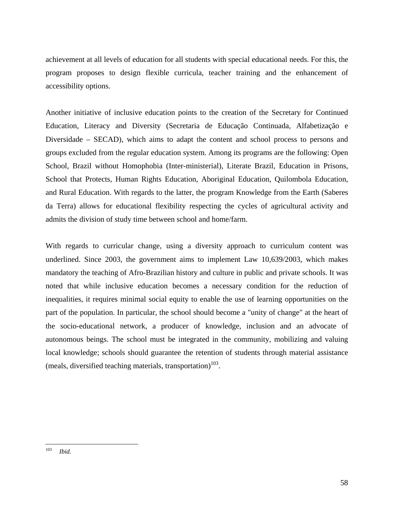achievement at all levels of education for all students with special educational needs. For this, the program proposes to design flexible curricula, teacher training and the enhancement of accessibility options.

Another initiative of inclusive education points to the creation of the Secretary for Continued Education, Literacy and Diversity (Secretaria de Educação Continuada, Alfabetização e Diversidade – SECAD), which aims to adapt the content and school process to persons and groups excluded from the regular education system. Among its programs are the following: Open School, Brazil without Homophobia (Inter-ministerial), Literate Brazil, Education in Prisons, School that Protects, Human Rights Education, Aboriginal Education, Quilombola Education, and Rural Education. With regards to the latter, the program Knowledge from the Earth (Saberes da Terra) allows for educational flexibility respecting the cycles of agricultural activity and admits the division of study time between school and home/farm.

With regards to curricular change, using a diversity approach to curriculum content was underlined. Since 2003, the government aims to implement Law 10,639/2003, which makes mandatory the teaching of Afro-Brazilian history and culture in public and private schools. It was noted that while inclusive education becomes a necessary condition for the reduction of inequalities, it requires minimal social equity to enable the use of learning opportunities on the part of the population. In particular, the school should become a "unity of change" at the heart of the socio-educational network, a producer of knowledge, inclusion and an advocate of autonomous beings. The school must be integrated in the community, mobilizing and valuing local knowledge; schools should guarantee the retention of students through material assistance (meals, diversified teaching materials, transportation)<sup>103</sup>.

<sup>103</sup> 103 *Ibid.*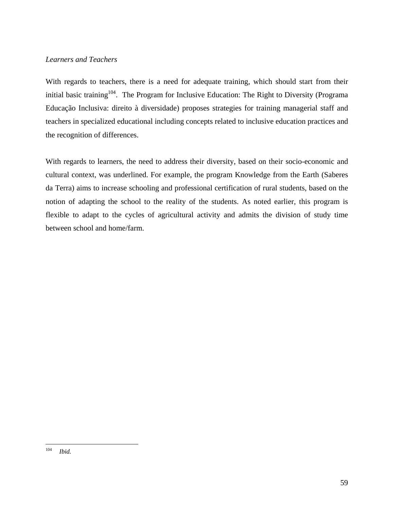# *Learners and Teachers*

With regards to teachers, there is a need for adequate training, which should start from their initial basic training<sup>104</sup>. The Program for Inclusive Education: The Right to Diversity (Programa Educação Inclusiva: direito à diversidade) proposes strategies for training managerial staff and teachers in specialized educational including concepts related to inclusive education practices and the recognition of differences.

With regards to learners, the need to address their diversity, based on their socio-economic and cultural context, was underlined. For example, the program Knowledge from the Earth (Saberes da Terra) aims to increase schooling and professional certification of rural students, based on the notion of adapting the school to the reality of the students. As noted earlier, this program is flexible to adapt to the cycles of agricultural activity and admits the division of study time between school and home/farm.

<sup>104</sup> *Ibid.*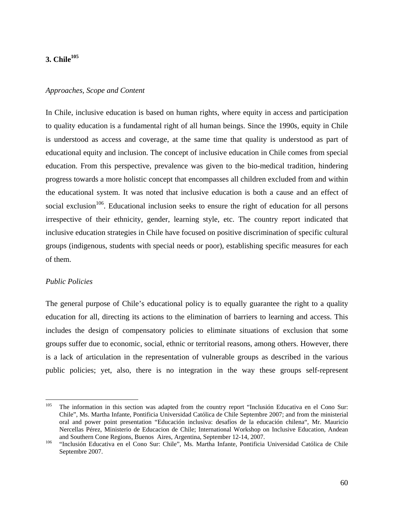# **3. Chile105**

#### *Approaches, Scope and Content*

In Chile, inclusive education is based on human rights, where equity in access and participation to quality education is a fundamental right of all human beings. Since the 1990s, equity in Chile is understood as access and coverage, at the same time that quality is understood as part of educational equity and inclusion. The concept of inclusive education in Chile comes from special education. From this perspective, prevalence was given to the bio-medical tradition, hindering progress towards a more holistic concept that encompasses all children excluded from and within the educational system. It was noted that inclusive education is both a cause and an effect of social exclusion<sup>106</sup>. Educational inclusion seeks to ensure the right of education for all persons irrespective of their ethnicity, gender, learning style, etc. The country report indicated that inclusive education strategies in Chile have focused on positive discrimination of specific cultural groups (indigenous, students with special needs or poor), establishing specific measures for each of them.

#### *Public Policies*

The general purpose of Chile's educational policy is to equally guarantee the right to a quality education for all, directing its actions to the elimination of barriers to learning and access. This includes the design of compensatory policies to eliminate situations of exclusion that some groups suffer due to economic, social, ethnic or territorial reasons, among others. However, there is a lack of articulation in the representation of vulnerable groups as described in the various public policies; yet, also, there is no integration in the way these groups self-represent

<sup>105</sup> The information in this section was adapted from the country report "Inclusión Educativa en el Cono Sur: Chile", Ms. Martha Infante, Pontificia Universidad Católica de Chile Septembre 2007; and from the ministerial oral and power point presentation "Educación inclusiva: desafíos de la educación chilena", Mr. Mauricio Nercellas Pérez, Ministerio de Educacion de Chile; International Workshop on Inclusive Education, Andean and Southern Cone Regions, Buenos Aires, Argentina, September 12-14, 2007.<br><sup>106</sup> "Inclusión Educativa en el Cono Sur: Chile", Ms. Martha Infante, Pontificia Universidad Católica de Chile

Septembre 2007.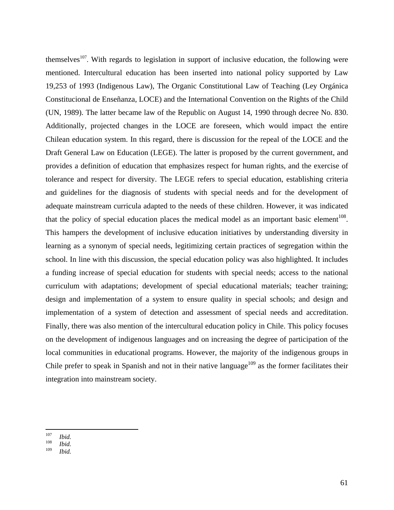themselves<sup>107</sup>. With regards to legislation in support of inclusive education, the following were mentioned. Intercultural education has been inserted into national policy supported by Law 19,253 of 1993 (Indigenous Law), The Organic Constitutional Law of Teaching (Ley Orgánica Constitucional de Enseñanza, LOCE) and the International Convention on the Rights of the Child (UN, 1989). The latter became law of the Republic on August 14, 1990 through decree No. 830. Additionally, projected changes in the LOCE are foreseen, which would impact the entire Chilean education system. In this regard, there is discussion for the repeal of the LOCE and the Draft General Law on Education (LEGE). The latter is proposed by the current government, and provides a definition of education that emphasizes respect for human rights, and the exercise of tolerance and respect for diversity. The LEGE refers to special education, establishing criteria and guidelines for the diagnosis of students with special needs and for the development of adequate mainstream curricula adapted to the needs of these children. However, it was indicated that the policy of special education places the medical model as an important basic element<sup>108</sup>. This hampers the development of inclusive education initiatives by understanding diversity in learning as a synonym of special needs, legitimizing certain practices of segregation within the school. In line with this discussion, the special education policy was also highlighted. It includes a funding increase of special education for students with special needs; access to the national curriculum with adaptations; development of special educational materials; teacher training; design and implementation of a system to ensure quality in special schools; and design and implementation of a system of detection and assessment of special needs and accreditation. Finally, there was also mention of the intercultural education policy in Chile. This policy focuses on the development of indigenous languages and on increasing the degree of participation of the local communities in educational programs. However, the majority of the indigenous groups in Chile prefer to speak in Spanish and not in their native language<sup>109</sup> as the former facilitates their integration into mainstream society.

<sup>107</sup> 

<sup>107</sup>*Ibid.* <sup>108</sup>*Ibid.*

*Ibid.*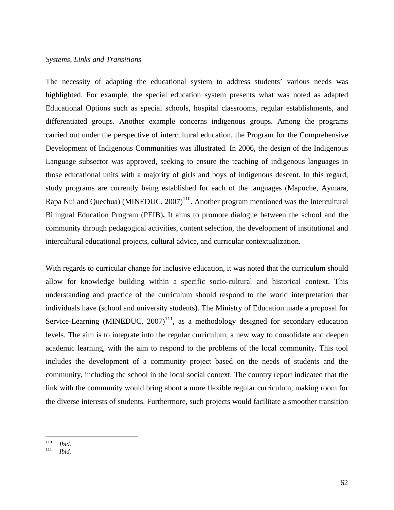# *Systems, Links and Transitions*

The necessity of adapting the educational system to address students' various needs was highlighted. For example, the special education system presents what was noted as adapted Educational Options such as special schools, hospital classrooms, regular establishments, and differentiated groups. Another example concerns indigenous groups. Among the programs carried out under the perspective of intercultural education, the Program for the Comprehensive Development of Indigenous Communities was illustrated. In 2006, the design of the Indigenous Language subsector was approved, seeking to ensure the teaching of indigenous languages in those educational units with a majority of girls and boys of indigenous descent. In this regard, study programs are currently being established for each of the languages (Mapuche, Aymara, Rapa Nui and Quechua) (MINEDUC,  $2007$ )<sup>110</sup>. Another program mentioned was the Intercultural Bilingual Education Program (PEIB)**.** It aims to promote dialogue between the school and the community through pedagogical activities, content selection, the development of institutional and intercultural educational projects, cultural advice, and curricular contextualization.

With regards to curricular change for inclusive education, it was noted that the curriculum should allow for knowledge building within a specific socio-cultural and historical context. This understanding and practice of the curriculum should respond to the world interpretation that individuals have (school and university students). The Ministry of Education made a proposal for Service-Learning (MINEDUC,  $2007$ )<sup>111</sup>, as a methodology designed for secondary education levels. The aim is to integrate into the regular curriculum, a new way to consolidate and deepen academic learning, with the aim to respond to the problems of the local community. This tool includes the development of a community project based on the needs of students and the community, including the school in the local social context. The country report indicated that the link with the community would bring about a more flexible regular curriculum, making room for the diverse interests of students. Furthermore, such projects would facilitate a smoother transition

<sup>110</sup> 

<sup>110</sup>*Ibid.* <sup>111</sup>*Ibid.*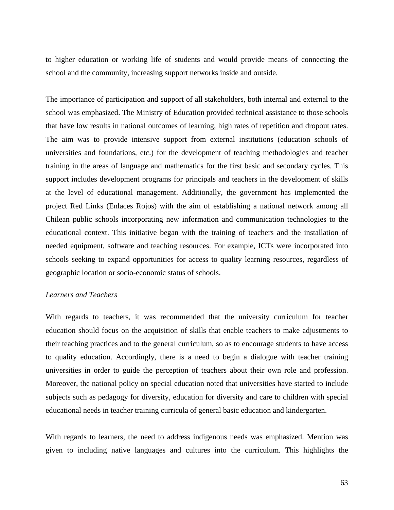to higher education or working life of students and would provide means of connecting the school and the community, increasing support networks inside and outside.

The importance of participation and support of all stakeholders, both internal and external to the school was emphasized. The Ministry of Education provided technical assistance to those schools that have low results in national outcomes of learning, high rates of repetition and dropout rates. The aim was to provide intensive support from external institutions (education schools of universities and foundations, etc.) for the development of teaching methodologies and teacher training in the areas of language and mathematics for the first basic and secondary cycles. This support includes development programs for principals and teachers in the development of skills at the level of educational management. Additionally, the government has implemented the project Red Links (Enlaces Rojos) with the aim of establishing a national network among all Chilean public schools incorporating new information and communication technologies to the educational context. This initiative began with the training of teachers and the installation of needed equipment, software and teaching resources. For example, ICTs were incorporated into schools seeking to expand opportunities for access to quality learning resources, regardless of geographic location or socio-economic status of schools.

# *Learners and Teachers*

With regards to teachers, it was recommended that the university curriculum for teacher education should focus on the acquisition of skills that enable teachers to make adjustments to their teaching practices and to the general curriculum, so as to encourage students to have access to quality education. Accordingly, there is a need to begin a dialogue with teacher training universities in order to guide the perception of teachers about their own role and profession. Moreover, the national policy on special education noted that universities have started to include subjects such as pedagogy for diversity, education for diversity and care to children with special educational needs in teacher training curricula of general basic education and kindergarten.

With regards to learners, the need to address indigenous needs was emphasized. Mention was given to including native languages and cultures into the curriculum. This highlights the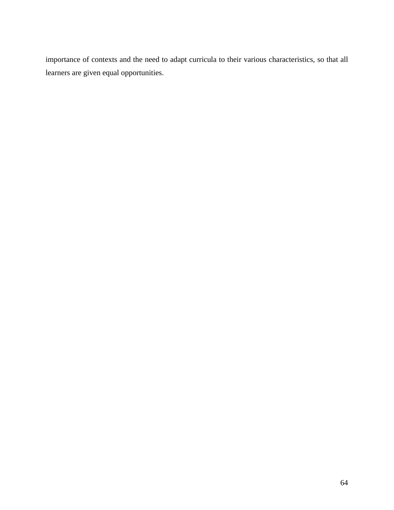importance of contexts and the need to adapt curricula to their various characteristics, so that all learners are given equal opportunities.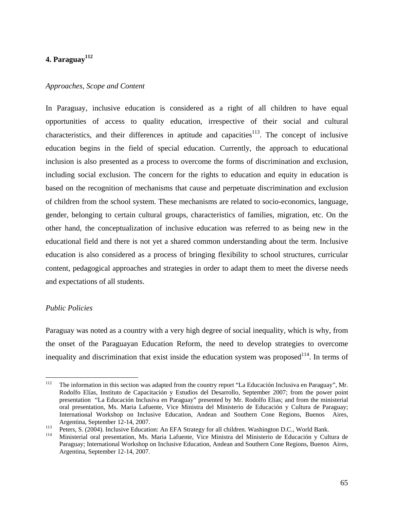# **4. Paraguay112**

## *Approaches, Scope and Content*

In Paraguay, inclusive education is considered as a right of all children to have equal opportunities of access to quality education, irrespective of their social and cultural characteristics, and their differences in aptitude and capacities<sup>113</sup>. The concept of inclusive education begins in the field of special education. Currently, the approach to educational inclusion is also presented as a process to overcome the forms of discrimination and exclusion, including social exclusion. The concern for the rights to education and equity in education is based on the recognition of mechanisms that cause and perpetuate discrimination and exclusion of children from the school system. These mechanisms are related to socio-economics, language, gender, belonging to certain cultural groups, characteristics of families, migration, etc. On the other hand, the conceptualization of inclusive education was referred to as being new in the educational field and there is not yet a shared common understanding about the term. Inclusive education is also considered as a process of bringing flexibility to school structures, curricular content, pedagogical approaches and strategies in order to adapt them to meet the diverse needs and expectations of all students.

## *Public Policies*

Paraguay was noted as a country with a very high degree of social inequality, which is why, from the onset of the Paraguayan Education Reform, the need to develop strategies to overcome inequality and discrimination that exist inside the education system was proposed $114$ . In terms of

<sup>112</sup> 112 The information in this section was adapted from the country report "La Educación Inclusiva en Paraguay", Mr. Rodolfo Elías, Instituto de Capacitación y Estudios del Desarrollo, September 2007; from the power point presentation "La Educación Inclusiva en Paraguay" presented by Mr. Rodolfo Elias; and from the ministerial oral presentation, Ms. Maria Lafuente, Vice Ministra del Ministerio de Educación y Cultura de Paraguay; International Workshop on Inclusive Education, Andean and Southern Cone Regions, Buenos Aires,

Argentina, September 12-14, 2007.<br>
Peters, S. (2004). Inclusive Education: An EFA Strategy for all children. Washington D.C., World Bank.<br>
Ministerial oral presentation, Ms. Maria Lafuente, Vice Ministra del Ministerio de Paraguay; International Workshop on Inclusive Education, Andean and Southern Cone Regions, Buenos Aires, Argentina, September 12-14, 2007.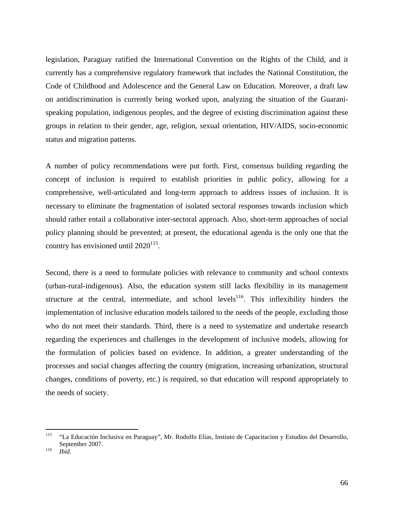legislation, Paraguay ratified the International Convention on the Rights of the Child, and it currently has a comprehensive regulatory framework that includes the National Constitution, the Code of Childhood and Adolescence and the General Law on Education. Moreover, a draft law on antidiscrimination is currently being worked upon, analyzing the situation of the Guaranispeaking population, indigenous peoples, and the degree of existing discrimination against these groups in relation to their gender, age, religion, sexual orientation, HIV/AIDS, socio-economic status and migration patterns.

A number of policy recommendations were put forth. First, consensus building regarding the concept of inclusion is required to establish priorities in public policy, allowing for a comprehensive, well-articulated and long-term approach to address issues of inclusion. It is necessary to eliminate the fragmentation of isolated sectoral responses towards inclusion which should rather entail a collaborative inter-sectoral approach. Also, short-term approaches of social policy planning should be prevented; at present, the educational agenda is the only one that the country has envisioned until  $2020^{115}$ .

Second, there is a need to formulate policies with relevance to community and school contexts (urban-rural-indigenous). Also, the education system still lacks flexibility in its management structure at the central, intermediate, and school levels<sup>116</sup>. This inflexibility hinders the implementation of inclusive education models tailored to the needs of the people, excluding those who do not meet their standards. Third, there is a need to systematize and undertake research regarding the experiences and challenges in the development of inclusive models, allowing for the formulation of policies based on evidence. In addition, a greater understanding of the processes and social changes affecting the country (migration, increasing urbanization, structural changes, conditions of poverty, etc.) is required, so that education will respond appropriately to the needs of society.

<sup>115</sup> 115 "La Educación Inclusiva en Paraguay", Mr. Rodolfo Elías, Instiuto de Capacitacion y Estudios del Desarrollo, September 2007. 116 *Ibid.*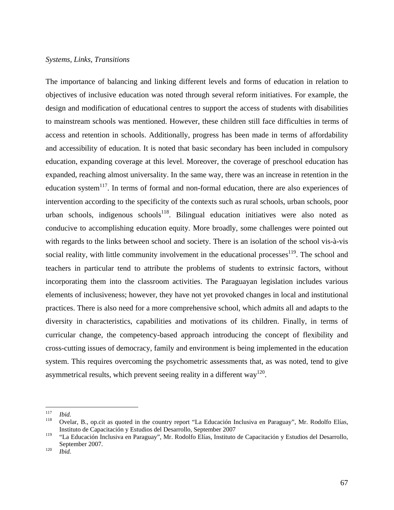#### *Systems, Links, Transitions*

The importance of balancing and linking different levels and forms of education in relation to objectives of inclusive education was noted through several reform initiatives. For example, the design and modification of educational centres to support the access of students with disabilities to mainstream schools was mentioned. However, these children still face difficulties in terms of access and retention in schools. Additionally, progress has been made in terms of affordability and accessibility of education. It is noted that basic secondary has been included in compulsory education, expanding coverage at this level. Moreover, the coverage of preschool education has expanded, reaching almost universality. In the same way, there was an increase in retention in the education system<sup>117</sup>. In terms of formal and non-formal education, there are also experiences of intervention according to the specificity of the contexts such as rural schools, urban schools, poor urban schools, indigenous schools<sup>118</sup>. Bilingual education initiatives were also noted as conducive to accomplishing education equity. More broadly, some challenges were pointed out with regards to the links between school and society. There is an isolation of the school vis-à-vis social reality, with little community involvement in the educational processes<sup>119</sup>. The school and teachers in particular tend to attribute the problems of students to extrinsic factors, without incorporating them into the classroom activities. The Paraguayan legislation includes various elements of inclusiveness; however, they have not yet provoked changes in local and institutional practices. There is also need for a more comprehensive school, which admits all and adapts to the diversity in characteristics, capabilities and motivations of its children. Finally, in terms of curricular change, the competency-based approach introducing the concept of flexibility and cross-cutting issues of democracy, family and environment is being implemented in the education system. This requires overcoming the psychometric assessments that, as was noted, tend to give asymmetrical results, which prevent seeing reality in a different way<sup>120</sup>.

<sup>117</sup> 

<sup>117</sup>*Ibid.* 118 Ovelar, B., op.cit as quoted in the country report "La Educación Inclusiva en Paraguay", Mr. Rodolfo Elías, Instituto de Capacitación y Estudios del Desarrollo, September 2007

<sup>119 &</sup>quot;La Educación Inclusiva en Paraguay", Mr. Rodolfo Elías, Instituto de Capacitación y Estudios del Desarrollo, September 2007. 120 *Ibid.*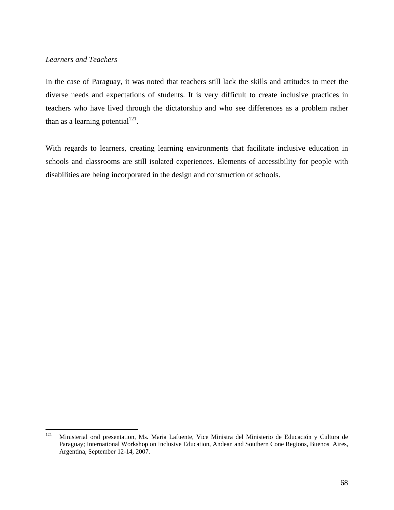# *Learners and Teachers*

In the case of Paraguay, it was noted that teachers still lack the skills and attitudes to meet the diverse needs and expectations of students. It is very difficult to create inclusive practices in teachers who have lived through the dictatorship and who see differences as a problem rather than as a learning potential $121$ .

With regards to learners, creating learning environments that facilitate inclusive education in schools and classrooms are still isolated experiences. Elements of accessibility for people with disabilities are being incorporated in the design and construction of schools.

<sup>121</sup> 121 Ministerial oral presentation, Ms. Maria Lafuente, Vice Ministra del Ministerio de Educación y Cultura de Paraguay; International Workshop on Inclusive Education, Andean and Southern Cone Regions, Buenos Aires, Argentina, September 12-14, 2007.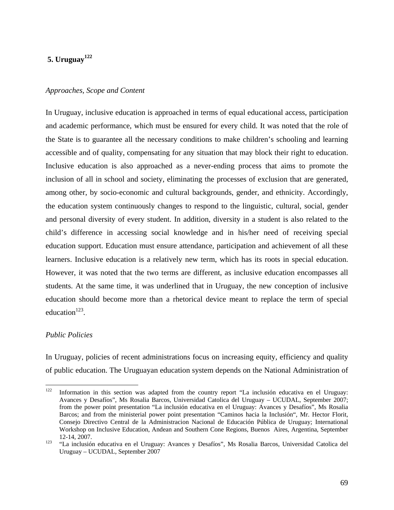# **5. Uruguay<sup>122</sup>**

#### *Approaches, Scope and Content*

In Uruguay, inclusive education is approached in terms of equal educational access, participation and academic performance, which must be ensured for every child. It was noted that the role of the State is to guarantee all the necessary conditions to make children's schooling and learning accessible and of quality, compensating for any situation that may block their right to education. Inclusive education is also approached as a never-ending process that aims to promote the inclusion of all in school and society, eliminating the processes of exclusion that are generated, among other, by socio-economic and cultural backgrounds, gender, and ethnicity. Accordingly, the education system continuously changes to respond to the linguistic, cultural, social, gender and personal diversity of every student. In addition, diversity in a student is also related to the child's difference in accessing social knowledge and in his/her need of receiving special education support. Education must ensure attendance, participation and achievement of all these learners. Inclusive education is a relatively new term, which has its roots in special education. However, it was noted that the two terms are different, as inclusive education encompasses all students. At the same time, it was underlined that in Uruguay, the new conception of inclusive education should become more than a rhetorical device meant to replace the term of special education $123$ .

#### *Public Policies*

In Uruguay, policies of recent administrations focus on increasing equity, efficiency and quality of public education. The Uruguayan education system depends on the National Administration of

 $122\,$ Information in this section was adapted from the country report "La inclusión educativa en el Uruguay: Avances y Desafíos", Ms Rosalia Barcos, Universidad Catolica del Uruguay – UCUDAL, September 2007; from the power point presentation "La inclusión educativa en el Uruguay: Avances y Desafíos", Ms Rosalia Barcos; and from the ministerial power point presentation "Caminos hacia la Inclusión", Mr. Hector Florit, Consejo Directivo Central de la Administracion Nacional de Educación Pública de Uruguay; International Workshop on Inclusive Education, Andean and Southern Cone Regions, Buenos Aires, Argentina, September 12-14, 2007. 123 "La inclusión educativa en el Uruguay: Avances y Desafíos", Ms Rosalia Barcos, Universidad Catolica del

Uruguay – UCUDAL, September 2007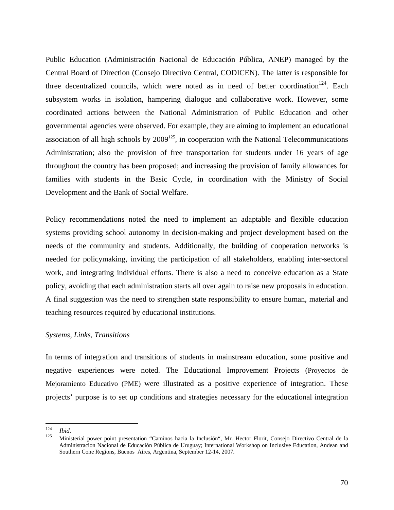Public Education (Administración Nacional de Educación Pública, ANEP) managed by the Central Board of Direction (Consejo Directivo Central, CODICEN). The latter is responsible for three decentralized councils, which were noted as in need of better coordination<sup>124</sup>. Each subsystem works in isolation, hampering dialogue and collaborative work. However, some coordinated actions between the National Administration of Public Education and other governmental agencies were observed. For example, they are aiming to implement an educational association of all high schools by  $2009^{125}$ , in cooperation with the National Telecommunications Administration; also the provision of free transportation for students under 16 years of age throughout the country has been proposed; and increasing the provision of family allowances for families with students in the Basic Cycle, in coordination with the Ministry of Social Development and the Bank of Social Welfare.

Policy recommendations noted the need to implement an adaptable and flexible education systems providing school autonomy in decision-making and project development based on the needs of the community and students. Additionally, the building of cooperation networks is needed for policymaking, inviting the participation of all stakeholders, enabling inter-sectoral work, and integrating individual efforts. There is also a need to conceive education as a State policy, avoiding that each administration starts all over again to raise new proposals in education. A final suggestion was the need to strengthen state responsibility to ensure human, material and teaching resources required by educational institutions.

## *Systems, Links, Transitions*

In terms of integration and transitions of students in mainstream education, some positive and negative experiences were noted. The Educational Improvement Projects (Proyectos de Mejoramiento Educativo (PME) were illustrated as a positive experience of integration. These projects' purpose is to set up conditions and strategies necessary for the educational integration

<sup>124</sup> 

<sup>124</sup>*Ibid.* 125 Ministerial power point presentation "Caminos hacia la Inclusión", Mr. Hector Florit, Consejo Directivo Central de la Administracion Nacional de Educación Pública de Uruguay; International Workshop on Inclusive Education, Andean and Southern Cone Regions, Buenos Aires, Argentina, September 12-14, 2007.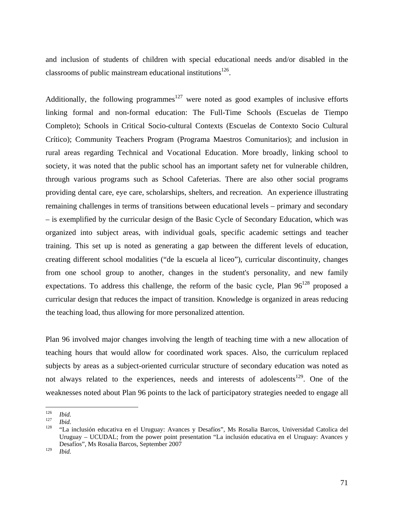and inclusion of students of children with special educational needs and/or disabled in the classrooms of public mainstream educational institutions $^{126}$ .

Additionally, the following programmes<sup>127</sup> were noted as good examples of inclusive efforts linking formal and non-formal education: The Full-Time Schools (Escuelas de Tiempo Completo); Schools in Critical Socio-cultural Contexts (Escuelas de Contexto Socio Cultural Crítico); Community Teachers Program (Programa Maestros Comunitarios); and inclusion in rural areas regarding Technical and Vocational Education. More broadly, linking school to society, it was noted that the public school has an important safety net for vulnerable children, through various programs such as School Cafeterias. There are also other social programs providing dental care, eye care, scholarships, shelters, and recreation. An experience illustrating remaining challenges in terms of transitions between educational levels – primary and secondary – is exemplified by the curricular design of the Basic Cycle of Secondary Education, which was organized into subject areas, with individual goals, specific academic settings and teacher training. This set up is noted as generating a gap between the different levels of education, creating different school modalities ("de la escuela al liceo"), curricular discontinuity, changes from one school group to another, changes in the student's personality, and new family expectations. To address this challenge, the reform of the basic cycle, Plan  $96^{128}$  proposed a curricular design that reduces the impact of transition. Knowledge is organized in areas reducing the teaching load, thus allowing for more personalized attention.

Plan 96 involved major changes involving the length of teaching time with a new allocation of teaching hours that would allow for coordinated work spaces. Also, the curriculum replaced subjects by areas as a subject-oriented curricular structure of secondary education was noted as not always related to the experiences, needs and interests of adolescents<sup>129</sup>. One of the weaknesses noted about Plan 96 points to the lack of participatory strategies needed to engage all

 $\overline{a}$ 

<sup>126</sup>*Ibid.* <sup>127</sup>*Ibid.* 128 "La inclusión educativa en el Uruguay: Avances y Desafíos", Ms Rosalia Barcos, Universidad Catolica del Uruguay – UCUDAL; from the power point presentation "La inclusión educativa en el Uruguay: Avances y Desafíos", Ms Rosalia Barcos, September 2007

<sup>129</sup> *Ibid.*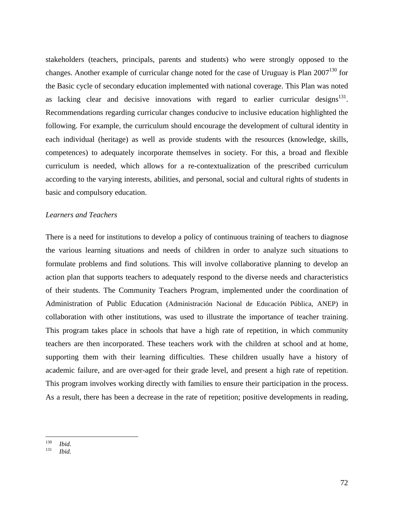stakeholders (teachers, principals, parents and students) who were strongly opposed to the changes. Another example of curricular change noted for the case of Uruguay is Plan  $2007^{130}$  for the Basic cycle of secondary education implemented with national coverage. This Plan was noted as lacking clear and decisive innovations with regard to earlier curricular designs $^{131}$ . Recommendations regarding curricular changes conducive to inclusive education highlighted the following. For example, the curriculum should encourage the development of cultural identity in each individual (heritage) as well as provide students with the resources (knowledge, skills, competences) to adequately incorporate themselves in society. For this, a broad and flexible curriculum is needed, which allows for a re-contextualization of the prescribed curriculum according to the varying interests, abilities, and personal, social and cultural rights of students in basic and compulsory education.

#### *Learners and Teachers*

There is a need for institutions to develop a policy of continuous training of teachers to diagnose the various learning situations and needs of children in order to analyze such situations to formulate problems and find solutions. This will involve collaborative planning to develop an action plan that supports teachers to adequately respond to the diverse needs and characteristics of their students. The Community Teachers Program, implemented under the coordination of Administration of Public Education (Administración Nacional de Educación Pública, ANEP) in collaboration with other institutions, was used to illustrate the importance of teacher training. This program takes place in schools that have a high rate of repetition, in which community teachers are then incorporated. These teachers work with the children at school and at home, supporting them with their learning difficulties. These children usually have a history of academic failure, and are over-aged for their grade level, and present a high rate of repetition. This program involves working directly with families to ensure their participation in the process. As a result, there has been a decrease in the rate of repetition; positive developments in reading,

<sup>130</sup> 

<sup>130</sup>*Ibid.* <sup>131</sup>*Ibid.*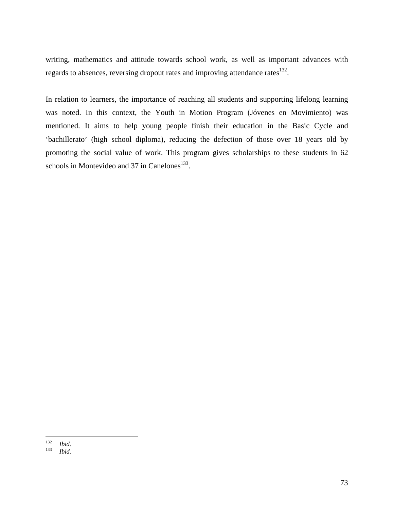writing, mathematics and attitude towards school work, as well as important advances with regards to absences, reversing dropout rates and improving attendance rates<sup>132</sup>.

In relation to learners, the importance of reaching all students and supporting lifelong learning was noted. In this context, the Youth in Motion Program (Jóvenes en Movimiento) was mentioned. It aims to help young people finish their education in the Basic Cycle and 'bachillerato' (high school diploma), reducing the defection of those over 18 years old by promoting the social value of work. This program gives scholarships to these students in 62 schools in Montevideo and 37 in Canelones<sup>133</sup>.

<sup>132</sup> 

<sup>132</sup>*Ibid.* <sup>133</sup>*Ibid.*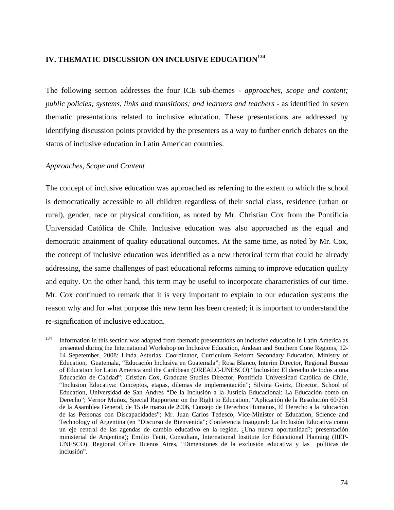# **IV. THEMATIC DISCUSSION ON INCLUSIVE EDUCATION<sup>134</sup>**

The following section addresses the four ICE sub-themes - *approaches, scope and content; public policies; systems, links and transitions; and learners and teachers* - as identified in seven thematic presentations related to inclusive education. These presentations are addressed by identifying discussion points provided by the presenters as a way to further enrich debates on the status of inclusive education in Latin American countries.

#### *Approaches, Scope and Content*

The concept of inclusive education was approached as referring to the extent to which the school is democratically accessible to all children regardless of their social class, residence (urban or rural), gender, race or physical condition, as noted by Mr. Christian Cox from the Pontificia Universidad Católica de Chile. Inclusive education was also approached as the equal and democratic attainment of quality educational outcomes. At the same time, as noted by Mr. Cox, the concept of inclusive education was identified as a new rhetorical term that could be already addressing, the same challenges of past educational reforms aiming to improve education quality and equity. On the other hand, this term may be useful to incorporate characteristics of our time. Mr. Cox continued to remark that it is very important to explain to our education systems the reason why and for what purpose this new term has been created; it is important to understand the re-signification of inclusive education.

<sup>134</sup> 134 Information in this section was adapted from thematic presentations on inclusive education in Latin America as presented during the International Workshop on Inclusive Education, Andean and Southern Cone Regions, 12- 14 Sepetember, 2008: Linda Asturias, Coordinator, Curriculum Reform Secondary Education, Ministry of Education, Guatemala, "Educación Inclusiva en Guatemala"; Rosa Blanco, Interim Director, Regional Bureau of Education for Latin America and the Caribbean (OREALC-UNESCO) "Inclusión: El derecho de todos a una Educación de Calidad"; Cristian Cox, Graduate Studies Director, Pontificia Universidad Católica de Chile, "Inclusion Educativa: Conceptos, etapas, dilemas de implementación"; Silvina Gvirtz, Director, School of Education, Universidad de San Andres "De la Inclusión a la Justicia Educacional: La Educación como un Derecho"; Vernor Muñoz, Special Rapporteur on the Right to Education, "Aplicación de la Resolución 60/251 de la Asamblea General, de 15 de marzo de 2006, Consejo de Derechos Humanos, El Derecho a la Educación de las Personas con Discapacidades"; Mr. Juan Carlos Tedesco, Vice-Minister of Education, Science and Technology of Argentina (en "Discurso de Bienvenida"; Conferencia Inaugural: La Inclusión Educativa como un eje central de las agendas de cambio educativo en la región. ¿Una nueva oportunidad?; presentación ministerial de Argentina); Emilio Tenti, Consultant, International Institute for Educational Planning (IIEP-UNESCO), Regional Office Buenos Aires, "Dimensiones de la exclusión educativa y las políticas de inclusión".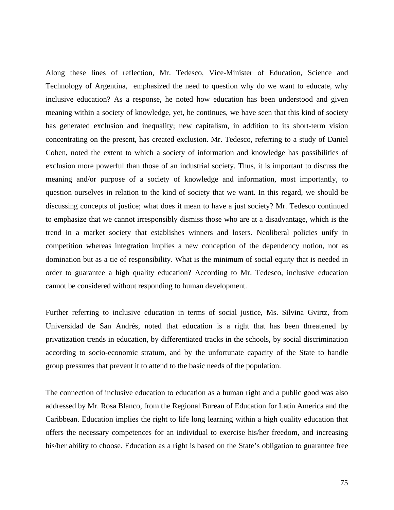Along these lines of reflection, Mr. Tedesco, Vice-Minister of Education, Science and Technology of Argentina, emphasized the need to question why do we want to educate, why inclusive education? As a response, he noted how education has been understood and given meaning within a society of knowledge, yet, he continues, we have seen that this kind of society has generated exclusion and inequality; new capitalism, in addition to its short-term vision concentrating on the present, has created exclusion. Mr. Tedesco, referring to a study of Daniel Cohen, noted the extent to which a society of information and knowledge has possibilities of exclusion more powerful than those of an industrial society. Thus, it is important to discuss the meaning and/or purpose of a society of knowledge and information, most importantly, to question ourselves in relation to the kind of society that we want. In this regard, we should be discussing concepts of justice; what does it mean to have a just society? Mr. Tedesco continued to emphasize that we cannot irresponsibly dismiss those who are at a disadvantage, which is the trend in a market society that establishes winners and losers. Neoliberal policies unify in competition whereas integration implies a new conception of the dependency notion, not as domination but as a tie of responsibility. What is the minimum of social equity that is needed in order to guarantee a high quality education? According to Mr. Tedesco, inclusive education cannot be considered without responding to human development.

Further referring to inclusive education in terms of social justice, Ms. Silvina Gvirtz, from Universidad de San Andrés, noted that education is a right that has been threatened by privatization trends in education, by differentiated tracks in the schools, by social discrimination according to socio-economic stratum, and by the unfortunate capacity of the State to handle group pressures that prevent it to attend to the basic needs of the population.

The connection of inclusive education to education as a human right and a public good was also addressed by Mr. Rosa Blanco, from the Regional Bureau of Education for Latin America and the Caribbean. Education implies the right to life long learning within a high quality education that offers the necessary competences for an individual to exercise his/her freedom, and increasing his/her ability to choose. Education as a right is based on the State's obligation to guarantee free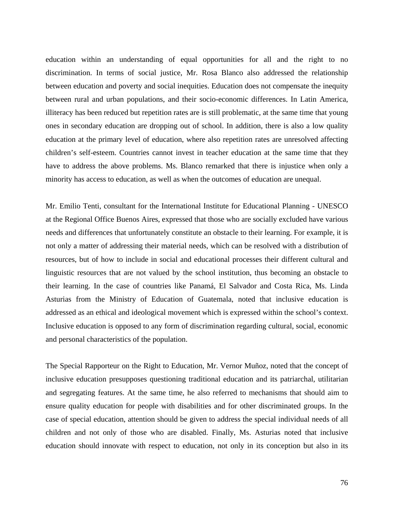education within an understanding of equal opportunities for all and the right to no discrimination. In terms of social justice, Mr. Rosa Blanco also addressed the relationship between education and poverty and social inequities. Education does not compensate the inequity between rural and urban populations, and their socio-economic differences. In Latin America, illiteracy has been reduced but repetition rates are is still problematic, at the same time that young ones in secondary education are dropping out of school. In addition, there is also a low quality education at the primary level of education, where also repetition rates are unresolved affecting children's self-esteem. Countries cannot invest in teacher education at the same time that they have to address the above problems. Ms. Blanco remarked that there is injustice when only a minority has access to education, as well as when the outcomes of education are unequal.

Mr. Emilio Tenti, consultant for the International Institute for Educational Planning - UNESCO at the Regional Office Buenos Aires, expressed that those who are socially excluded have various needs and differences that unfortunately constitute an obstacle to their learning. For example, it is not only a matter of addressing their material needs, which can be resolved with a distribution of resources, but of how to include in social and educational processes their different cultural and linguistic resources that are not valued by the school institution, thus becoming an obstacle to their learning. In the case of countries like Panamá, El Salvador and Costa Rica, Ms. Linda Asturias from the Ministry of Education of Guatemala, noted that inclusive education is addressed as an ethical and ideological movement which is expressed within the school's context. Inclusive education is opposed to any form of discrimination regarding cultural, social, economic and personal characteristics of the population.

The Special Rapporteur on the Right to Education, Mr. Vernor Muñoz, noted that the concept of inclusive education presupposes questioning traditional education and its patriarchal, utilitarian and segregating features. At the same time, he also referred to mechanisms that should aim to ensure quality education for people with disabilities and for other discriminated groups. In the case of special education, attention should be given to address the special individual needs of all children and not only of those who are disabled. Finally, Ms. Asturias noted that inclusive education should innovate with respect to education, not only in its conception but also in its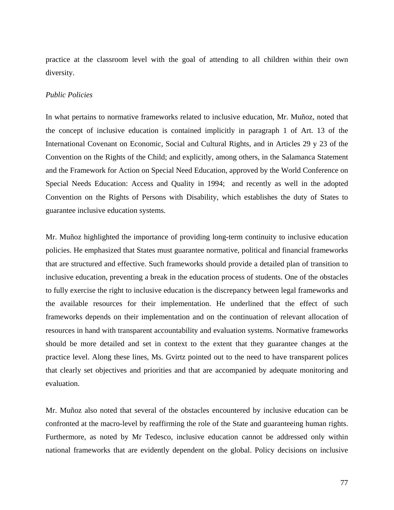practice at the classroom level with the goal of attending to all children within their own diversity.

#### *Public Policies*

In what pertains to normative frameworks related to inclusive education, Mr. Muñoz, noted that the concept of inclusive education is contained implicitly in paragraph 1 of Art. 13 of the International Covenant on Economic, Social and Cultural Rights, and in Articles 29 y 23 of the Convention on the Rights of the Child; and explicitly, among others, in the Salamanca Statement and the Framework for Action on Special Need Education, approved by the World Conference on Special Needs Education: Access and Quality in 1994; and recently as well in the adopted Convention on the Rights of Persons with Disability, which establishes the duty of States to guarantee inclusive education systems.

Mr. Muñoz highlighted the importance of providing long-term continuity to inclusive education policies. He emphasized that States must guarantee normative, political and financial frameworks that are structured and effective. Such frameworks should provide a detailed plan of transition to inclusive education, preventing a break in the education process of students. One of the obstacles to fully exercise the right to inclusive education is the discrepancy between legal frameworks and the available resources for their implementation. He underlined that the effect of such frameworks depends on their implementation and on the continuation of relevant allocation of resources in hand with transparent accountability and evaluation systems. Normative frameworks should be more detailed and set in context to the extent that they guarantee changes at the practice level. Along these lines, Ms. Gvirtz pointed out to the need to have transparent polices that clearly set objectives and priorities and that are accompanied by adequate monitoring and evaluation.

Mr. Muñoz also noted that several of the obstacles encountered by inclusive education can be confronted at the macro-level by reaffirming the role of the State and guaranteeing human rights. Furthermore, as noted by Mr Tedesco, inclusive education cannot be addressed only within national frameworks that are evidently dependent on the global. Policy decisions on inclusive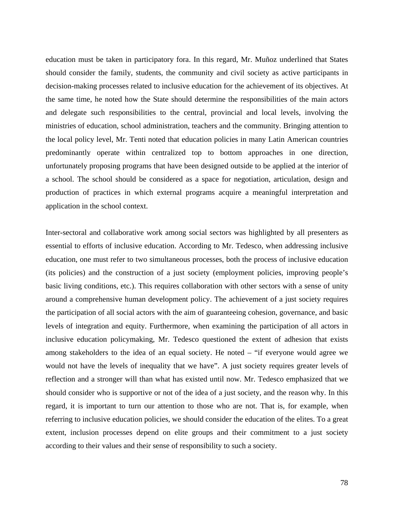education must be taken in participatory fora. In this regard, Mr. Muñoz underlined that States should consider the family, students, the community and civil society as active participants in decision-making processes related to inclusive education for the achievement of its objectives. At the same time, he noted how the State should determine the responsibilities of the main actors and delegate such responsibilities to the central, provincial and local levels, involving the ministries of education, school administration, teachers and the community. Bringing attention to the local policy level, Mr. Tenti noted that education policies in many Latin American countries predominantly operate within centralized top to bottom approaches in one direction, unfortunately proposing programs that have been designed outside to be applied at the interior of a school. The school should be considered as a space for negotiation, articulation, design and production of practices in which external programs acquire a meaningful interpretation and application in the school context.

Inter-sectoral and collaborative work among social sectors was highlighted by all presenters as essential to efforts of inclusive education. According to Mr. Tedesco, when addressing inclusive education, one must refer to two simultaneous processes, both the process of inclusive education (its policies) and the construction of a just society (employment policies, improving people's basic living conditions, etc.). This requires collaboration with other sectors with a sense of unity around a comprehensive human development policy. The achievement of a just society requires the participation of all social actors with the aim of guaranteeing cohesion, governance, and basic levels of integration and equity. Furthermore, when examining the participation of all actors in inclusive education policymaking, Mr. Tedesco questioned the extent of adhesion that exists among stakeholders to the idea of an equal society. He noted – "if everyone would agree we would not have the levels of inequality that we have". A just society requires greater levels of reflection and a stronger will than what has existed until now. Mr. Tedesco emphasized that we should consider who is supportive or not of the idea of a just society, and the reason why. In this regard, it is important to turn our attention to those who are not. That is, for example, when referring to inclusive education policies, we should consider the education of the elites. To a great extent, inclusion processes depend on elite groups and their commitment to a just society according to their values and their sense of responsibility to such a society.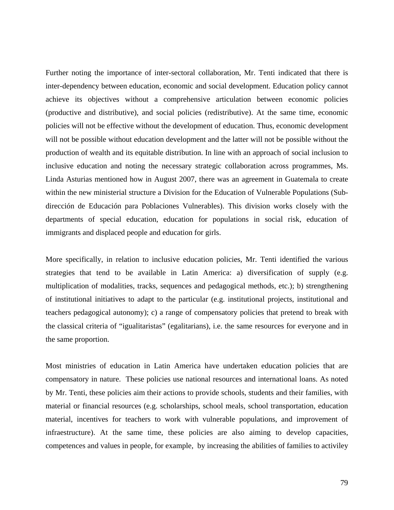Further noting the importance of inter-sectoral collaboration, Mr. Tenti indicated that there is inter-dependency between education, economic and social development. Education policy cannot achieve its objectives without a comprehensive articulation between economic policies (productive and distributive), and social policies (redistributive). At the same time, economic policies will not be effective without the development of education. Thus, economic development will not be possible without education development and the latter will not be possible without the production of wealth and its equitable distribution. In line with an approach of social inclusion to inclusive education and noting the necessary strategic collaboration across programmes, Ms. Linda Asturias mentioned how in August 2007, there was an agreement in Guatemala to create within the new ministerial structure a Division for the Education of Vulnerable Populations (Subdirección de Educación para Poblaciones Vulnerables). This division works closely with the departments of special education, education for populations in social risk, education of immigrants and displaced people and education for girls.

More specifically, in relation to inclusive education policies, Mr. Tenti identified the various strategies that tend to be available in Latin America: a) diversification of supply (e.g. multiplication of modalities, tracks, sequences and pedagogical methods, etc.); b) strengthening of institutional initiatives to adapt to the particular (e.g. institutional projects, institutional and teachers pedagogical autonomy); c) a range of compensatory policies that pretend to break with the classical criteria of "igualitaristas" (egalitarians), i.e. the same resources for everyone and in the same proportion.

Most ministries of education in Latin America have undertaken education policies that are compensatory in nature. These policies use national resources and international loans. As noted by Mr. Tenti, these policies aim their actions to provide schools, students and their families, with material or financial resources (e.g. scholarships, school meals, school transportation, education material, incentives for teachers to work with vulnerable populations, and improvement of infraestructure). At the same time, these policies are also aiming to develop capacities, competences and values in people, for example, by increasing the abilities of families to activiley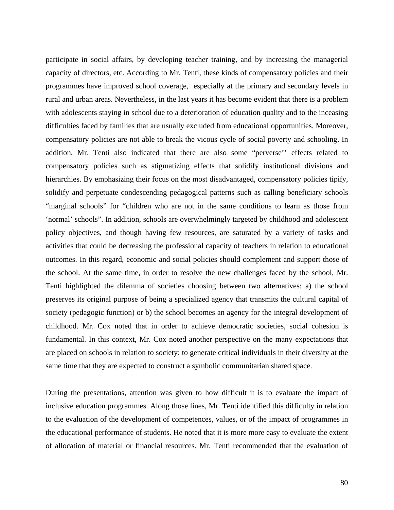participate in social affairs, by developing teacher training, and by increasing the managerial capacity of directors, etc. According to Mr. Tenti, these kinds of compensatory policies and their programmes have improved school coverage, especially at the primary and secondary levels in rural and urban areas. Nevertheless, in the last years it has become evident that there is a problem with adolescents staying in school due to a deterioration of education quality and to the inceasing difficulties faced by families that are usually excluded from educational opportunities. Moreover, compensatory policies are not able to break the vicous cycle of social poverty and schooling. In addition, Mr. Tenti also indicated that there are also some "perverse'' effects related to compensatory policies such as stigmatizing effects that solidify institutional divisions and hierarchies. By emphasizing their focus on the most disadvantaged, compensatory policies tipify, solidify and perpetuate condescending pedagogical patterns such as calling beneficiary schools "marginal schools" for "children who are not in the same conditions to learn as those from 'normal' schools". In addition, schools are overwhelmingly targeted by childhood and adolescent policy objectives, and though having few resources, are saturated by a variety of tasks and activities that could be decreasing the professional capacity of teachers in relation to educational outcomes. In this regard, economic and social policies should complement and support those of the school. At the same time, in order to resolve the new challenges faced by the school, Mr. Tenti highlighted the dilemma of societies choosing between two alternatives: a) the school preserves its original purpose of being a specialized agency that transmits the cultural capital of society (pedagogic function) or b) the school becomes an agency for the integral development of childhood. Mr. Cox noted that in order to achieve democratic societies, social cohesion is fundamental. In this context, Mr. Cox noted another perspective on the many expectations that are placed on schools in relation to society: to generate critical individuals in their diversity at the same time that they are expected to construct a symbolic communitarian shared space.

During the presentations, attention was given to how difficult it is to evaluate the impact of inclusive education programmes. Along those lines, Mr. Tenti identified this difficulty in relation to the evaluation of the development of competences, values, or of the impact of programmes in the educational performance of students. He noted that it is more more easy to evaluate the extent of allocation of material or financial resources. Mr. Tenti recommended that the evaluation of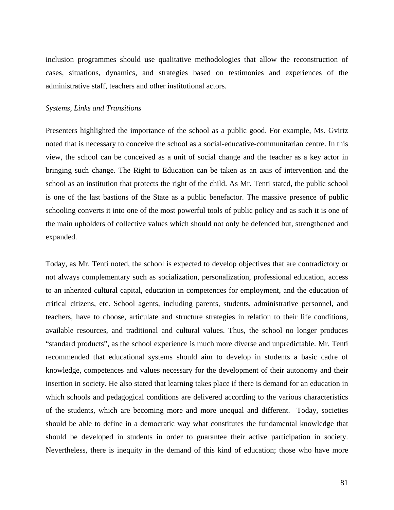inclusion programmes should use qualitative methodologies that allow the reconstruction of cases, situations, dynamics, and strategies based on testimonies and experiences of the administrative staff, teachers and other institutional actors.

#### *Systems, Links and Transitions*

Presenters highlighted the importance of the school as a public good. For example, Ms. Gvirtz noted that is necessary to conceive the school as a social-educative-communitarian centre. In this view, the school can be conceived as a unit of social change and the teacher as a key actor in bringing such change. The Right to Education can be taken as an axis of intervention and the school as an institution that protects the right of the child. As Mr. Tenti stated, the public school is one of the last bastions of the State as a public benefactor. The massive presence of public schooling converts it into one of the most powerful tools of public policy and as such it is one of the main upholders of collective values which should not only be defended but, strengthened and expanded.

Today, as Mr. Tenti noted, the school is expected to develop objectives that are contradictory or not always complementary such as socialization, personalization, professional education, access to an inherited cultural capital, education in competences for employment, and the education of critical citizens, etc. School agents, including parents, students, administrative personnel, and teachers, have to choose, articulate and structure strategies in relation to their life conditions, available resources, and traditional and cultural values. Thus, the school no longer produces "standard products", as the school experience is much more diverse and unpredictable. Mr. Tenti recommended that educational systems should aim to develop in students a basic cadre of knowledge, competences and values necessary for the development of their autonomy and their insertion in society. He also stated that learning takes place if there is demand for an education in which schools and pedagogical conditions are delivered according to the various characteristics of the students, which are becoming more and more unequal and different. Today, societies should be able to define in a democratic way what constitutes the fundamental knowledge that should be developed in students in order to guarantee their active participation in society. Nevertheless, there is inequity in the demand of this kind of education; those who have more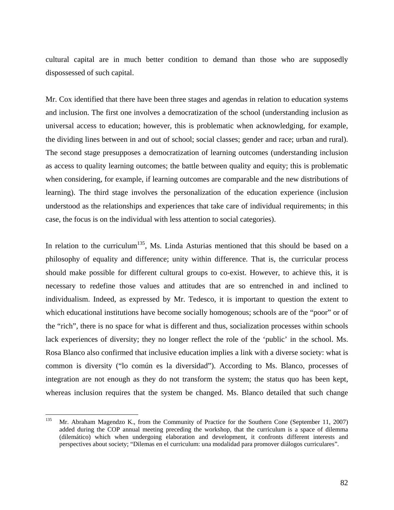cultural capital are in much better condition to demand than those who are supposedly dispossessed of such capital.

Mr. Cox identified that there have been three stages and agendas in relation to education systems and inclusion. The first one involves a democratization of the school (understanding inclusion as universal access to education; however, this is problematic when acknowledging, for example, the dividing lines between in and out of school; social classes; gender and race; urban and rural). The second stage presupposes a democratization of learning outcomes (understanding inclusion as access to quality learning outcomes; the battle between quality and equity; this is problematic when considering, for example, if learning outcomes are comparable and the new distributions of learning). The third stage involves the personalization of the education experience (inclusion understood as the relationships and experiences that take care of individual requirements; in this case, the focus is on the individual with less attention to social categories).

In relation to the curriculum<sup>135</sup>, Ms. Linda Asturias mentioned that this should be based on a philosophy of equality and difference; unity within difference. That is, the curricular process should make possible for different cultural groups to co-exist. However, to achieve this, it is necessary to redefine those values and attitudes that are so entrenched in and inclined to individualism. Indeed, as expressed by Mr. Tedesco, it is important to question the extent to which educational institutions have become socially homogenous; schools are of the "poor" or of the "rich", there is no space for what is different and thus, socialization processes within schools lack experiences of diversity; they no longer reflect the role of the 'public' in the school. Ms. Rosa Blanco also confirmed that inclusive education implies a link with a diverse society: what is common is diversity ("lo común es la diversidad"). According to Ms. Blanco, processes of integration are not enough as they do not transform the system; the status quo has been kept, whereas inclusion requires that the system be changed. Ms. Blanco detailed that such change

<sup>135</sup> Mr. Abraham Magendzo K., from the Community of Practice for the Southern Cone (September 11, 2007) added during the COP annual meeting preceding the workshop, that the curriculum is a space of dilemma (dilemático) which when undergoing elaboration and development, it confronts different interests and perspectives about society; "Dilemas en el curriculum: una modalidad para promover diálogos curriculares".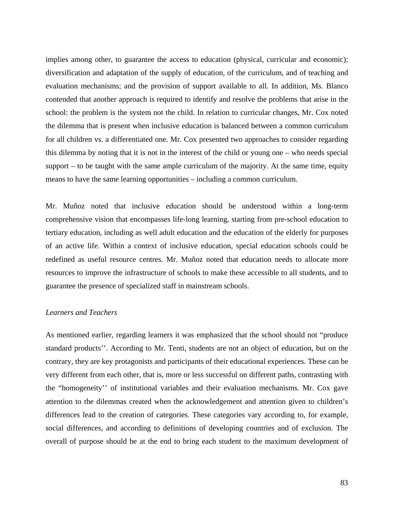implies among other, to guarantee the access to education (physical, curricular and economic); diversification and adaptation of the supply of education, of the curriculum, and of teaching and evaluation mechanisms; and the provision of support available to all. In addition, Ms. Blanco contended that another approach is required to identify and resolve the problems that arise in the school: the problem is the system not the child. In relation to curricular changes, Mr. Cox noted the dilemma that is present when inclusive education is balanced between a common curriculum for all children vs. a differentiated one. Mr. Cox presented two approaches to consider regarding this dilemma by noting that it is not in the interest of the child or young one – who needs special support – to be taught with the same ample curriculum of the majority. At the same time, equity means to have the same learning opportunities – including a common curriculum.

Mr. Muñoz noted that inclusive education should be understood within a long-term comprehensive vision that encompasses life-long learning, starting from pre-school education to tertiary education, including as well adult education and the education of the elderly for purposes of an active life. Within a context of inclusive education, special education schools could be redefined as useful resource centres. Mr. Muñoz noted that education needs to allocate more resources to improve the infrastructure of schools to make these accessible to all students, and to guarantee the presence of specialized staff in mainstream schools.

### *Learners and Teachers*

As mentioned earlier, regarding learners it was emphasized that the school should not "produce standard products''. According to Mr. Tenti, students are not an object of education, but on the contrary, they are key protagonists and participants of their educational experiences. These can be very different from each other, that is, more or less successful on different paths, contrasting with the "homogeneity'' of institutional variables and their evaluation mechanisms. Mr. Cox gave attention to the dilemmas created when the acknowledgement and attention given to children's differences lead to the creation of categories. These categories vary according to, for example, social differences, and according to definitions of developing countries and of exclusion. The overall of purpose should be at the end to bring each student to the maximum development of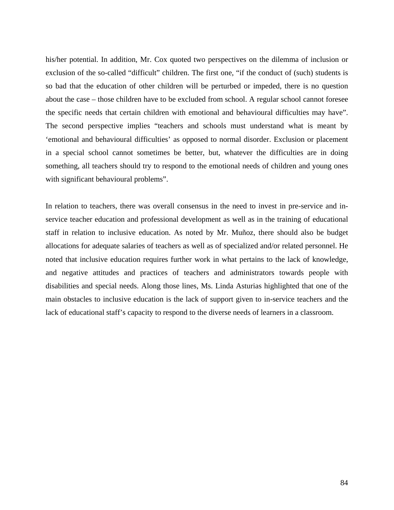his/her potential. In addition, Mr. Cox quoted two perspectives on the dilemma of inclusion or exclusion of the so-called "difficult" children. The first one, "if the conduct of (such) students is so bad that the education of other children will be perturbed or impeded, there is no question about the case – those children have to be excluded from school. A regular school cannot foresee the specific needs that certain children with emotional and behavioural difficulties may have". The second perspective implies "teachers and schools must understand what is meant by 'emotional and behavioural difficulties' as opposed to normal disorder. Exclusion or placement in a special school cannot sometimes be better, but, whatever the difficulties are in doing something, all teachers should try to respond to the emotional needs of children and young ones with significant behavioural problems".

In relation to teachers, there was overall consensus in the need to invest in pre-service and inservice teacher education and professional development as well as in the training of educational staff in relation to inclusive education. As noted by Mr. Muñoz, there should also be budget allocations for adequate salaries of teachers as well as of specialized and/or related personnel. He noted that inclusive education requires further work in what pertains to the lack of knowledge, and negative attitudes and practices of teachers and administrators towards people with disabilities and special needs. Along those lines, Ms. Linda Asturias highlighted that one of the main obstacles to inclusive education is the lack of support given to in-service teachers and the lack of educational staff's capacity to respond to the diverse needs of learners in a classroom.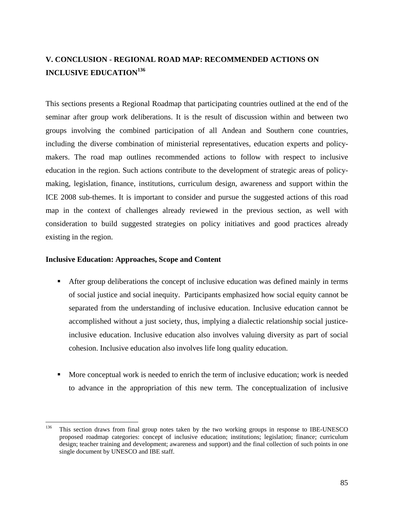# **V. CONCLUSION - REGIONAL ROAD MAP: RECOMMENDED ACTIONS ON INCLUSIVE EDUCATION<sup>136</sup>**

This sections presents a Regional Roadmap that participating countries outlined at the end of the seminar after group work deliberations. It is the result of discussion within and between two groups involving the combined participation of all Andean and Southern cone countries, including the diverse combination of ministerial representatives, education experts and policymakers. The road map outlines recommended actions to follow with respect to inclusive education in the region. Such actions contribute to the development of strategic areas of policymaking, legislation, finance, institutions, curriculum design, awareness and support within the ICE 2008 sub-themes. It is important to consider and pursue the suggested actions of this road map in the context of challenges already reviewed in the previous section, as well with consideration to build suggested strategies on policy initiatives and good practices already existing in the region.

#### **Inclusive Education: Approaches, Scope and Content**

- After group deliberations the concept of inclusive education was defined mainly in terms of social justice and social inequity. Participants emphasized how social equity cannot be separated from the understanding of inclusive education. Inclusive education cannot be accomplished without a just society, thus, implying a dialectic relationship social justiceinclusive education. Inclusive education also involves valuing diversity as part of social cohesion. Inclusive education also involves life long quality education.
- More conceptual work is needed to enrich the term of inclusive education; work is needed to advance in the appropriation of this new term. The conceptualization of inclusive

<sup>136</sup> 136 This section draws from final group notes taken by the two working groups in response to IBE-UNESCO proposed roadmap categories: concept of inclusive education; institutions; legislation; finance; curriculum design; teacher training and development; awareness and support) and the final collection of such points in one single document by UNESCO and IBE staff.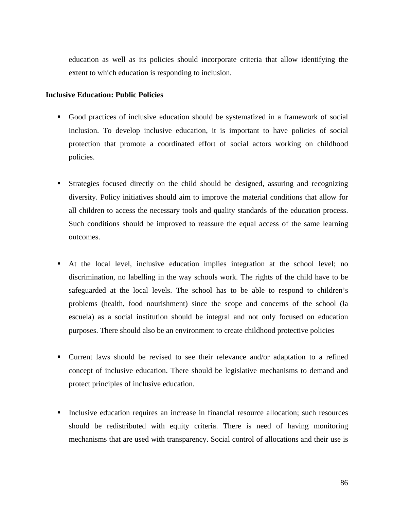education as well as its policies should incorporate criteria that allow identifying the extent to which education is responding to inclusion.

## **Inclusive Education: Public Policies**

- Good practices of inclusive education should be systematized in a framework of social inclusion. To develop inclusive education, it is important to have policies of social protection that promote a coordinated effort of social actors working on childhood policies.
- Strategies focused directly on the child should be designed, assuring and recognizing diversity. Policy initiatives should aim to improve the material conditions that allow for all children to access the necessary tools and quality standards of the education process. Such conditions should be improved to reassure the equal access of the same learning outcomes.
- At the local level, inclusive education implies integration at the school level; no discrimination, no labelling in the way schools work. The rights of the child have to be safeguarded at the local levels. The school has to be able to respond to children's problems (health, food nourishment) since the scope and concerns of the school (la escuela) as a social institution should be integral and not only focused on education purposes. There should also be an environment to create childhood protective policies
- Current laws should be revised to see their relevance and/or adaptation to a refined concept of inclusive education. There should be legislative mechanisms to demand and protect principles of inclusive education.
- Inclusive education requires an increase in financial resource allocation; such resources should be redistributed with equity criteria. There is need of having monitoring mechanisms that are used with transparency. Social control of allocations and their use is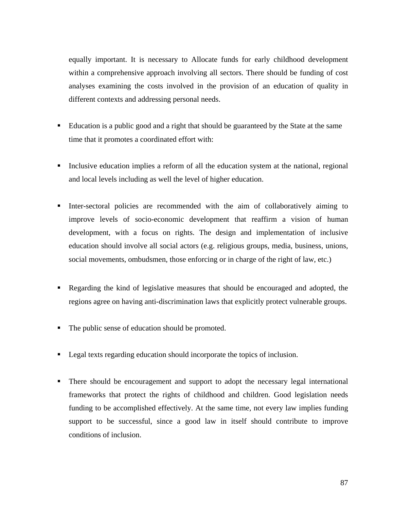equally important. It is necessary to Allocate funds for early childhood development within a comprehensive approach involving all sectors. There should be funding of cost analyses examining the costs involved in the provision of an education of quality in different contexts and addressing personal needs.

- Education is a public good and a right that should be guaranteed by the State at the same time that it promotes a coordinated effort with:
- Inclusive education implies a reform of all the education system at the national, regional and local levels including as well the level of higher education.
- Inter-sectoral policies are recommended with the aim of collaboratively aiming to improve levels of socio-economic development that reaffirm a vision of human development, with a focus on rights. The design and implementation of inclusive education should involve all social actors (e.g. religious groups, media, business, unions, social movements, ombudsmen, those enforcing or in charge of the right of law, etc.)
- Regarding the kind of legislative measures that should be encouraged and adopted, the regions agree on having anti-discrimination laws that explicitly protect vulnerable groups.
- The public sense of education should be promoted.
- Legal texts regarding education should incorporate the topics of inclusion.
- There should be encouragement and support to adopt the necessary legal international frameworks that protect the rights of childhood and children. Good legislation needs funding to be accomplished effectively. At the same time, not every law implies funding support to be successful, since a good law in itself should contribute to improve conditions of inclusion.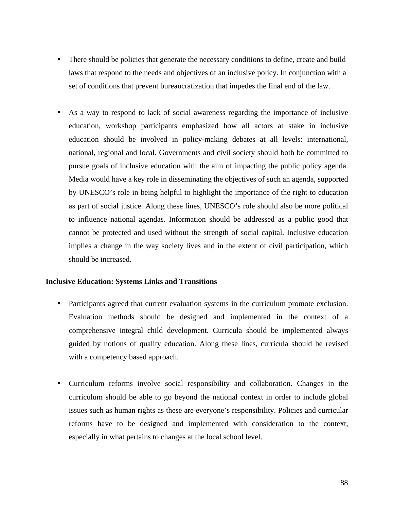- There should be policies that generate the necessary conditions to define, create and build laws that respond to the needs and objectives of an inclusive policy. In conjunction with a set of conditions that prevent bureaucratization that impedes the final end of the law.
- As a way to respond to lack of social awareness regarding the importance of inclusive education, workshop participants emphasized how all actors at stake in inclusive education should be involved in policy-making debates at all levels: international, national, regional and local. Governments and civil society should both be committed to pursue goals of inclusive education with the aim of impacting the public policy agenda. Media would have a key role in disseminating the objectives of such an agenda, supported by UNESCO's role in being helpful to highlight the importance of the right to education as part of social justice. Along these lines, UNESCO's role should also be more political to influence national agendas. Information should be addressed as a public good that cannot be protected and used without the strength of social capital. Inclusive education implies a change in the way society lives and in the extent of civil participation, which should be increased.

## **Inclusive Education: Systems Links and Transitions**

- Participants agreed that current evaluation systems in the curriculum promote exclusion. Evaluation methods should be designed and implemented in the context of a comprehensive integral child development. Curricula should be implemented always guided by notions of quality education. Along these lines, curricula should be revised with a competency based approach.
- Curriculum reforms involve social responsibility and collaboration. Changes in the curriculum should be able to go beyond the national context in order to include global issues such as human rights as these are everyone's responsibility. Policies and curricular reforms have to be designed and implemented with consideration to the context, especially in what pertains to changes at the local school level.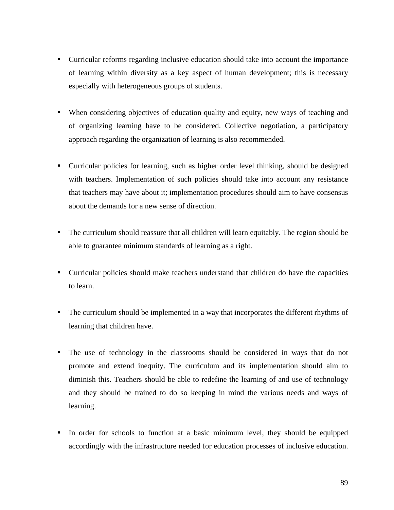- Curricular reforms regarding inclusive education should take into account the importance of learning within diversity as a key aspect of human development; this is necessary especially with heterogeneous groups of students.
- When considering objectives of education quality and equity, new ways of teaching and of organizing learning have to be considered. Collective negotiation, a participatory approach regarding the organization of learning is also recommended.
- Curricular policies for learning, such as higher order level thinking, should be designed with teachers. Implementation of such policies should take into account any resistance that teachers may have about it; implementation procedures should aim to have consensus about the demands for a new sense of direction.
- The curriculum should reassure that all children will learn equitably. The region should be able to guarantee minimum standards of learning as a right.
- Curricular policies should make teachers understand that children do have the capacities to learn.
- The curriculum should be implemented in a way that incorporates the different rhythms of learning that children have.
- The use of technology in the classrooms should be considered in ways that do not promote and extend inequity. The curriculum and its implementation should aim to diminish this. Teachers should be able to redefine the learning of and use of technology and they should be trained to do so keeping in mind the various needs and ways of learning.
- In order for schools to function at a basic minimum level, they should be equipped accordingly with the infrastructure needed for education processes of inclusive education.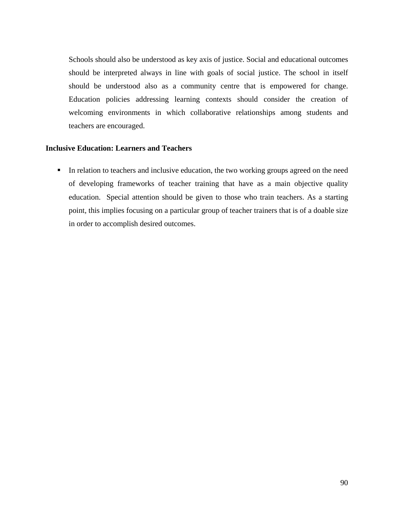Schools should also be understood as key axis of justice. Social and educational outcomes should be interpreted always in line with goals of social justice. The school in itself should be understood also as a community centre that is empowered for change. Education policies addressing learning contexts should consider the creation of welcoming environments in which collaborative relationships among students and teachers are encouraged.

### **Inclusive Education: Learners and Teachers**

In relation to teachers and inclusive education, the two working groups agreed on the need of developing frameworks of teacher training that have as a main objective quality education. Special attention should be given to those who train teachers. As a starting point, this implies focusing on a particular group of teacher trainers that is of a doable size in order to accomplish desired outcomes.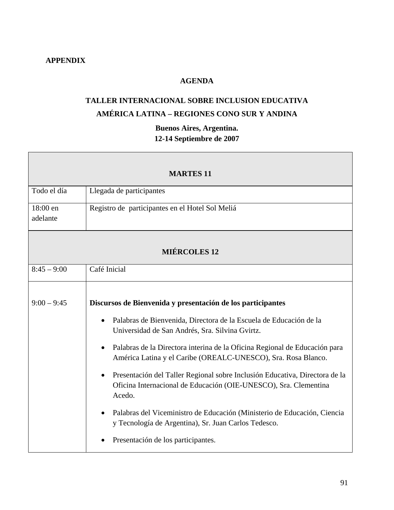# **APPENDIX**

# **AGENDA**

# **TALLER INTERNACIONAL SOBRE INCLUSION EDUCATIVA AMÉRICA LATINA – REGIONES CONO SUR Y ANDINA**

# **Buenos Aires, Argentina. 12-14 Septiembre de 2007**

| <b>MARTES 11</b>     |                                                                                                                                                                                                                                                                                                                                                                                                                                                                                                                                                                                                                                                                                                      |
|----------------------|------------------------------------------------------------------------------------------------------------------------------------------------------------------------------------------------------------------------------------------------------------------------------------------------------------------------------------------------------------------------------------------------------------------------------------------------------------------------------------------------------------------------------------------------------------------------------------------------------------------------------------------------------------------------------------------------------|
| Todo el día          | Llegada de participantes                                                                                                                                                                                                                                                                                                                                                                                                                                                                                                                                                                                                                                                                             |
| 18:00 en<br>adelante | Registro de participantes en el Hotel Sol Meliá                                                                                                                                                                                                                                                                                                                                                                                                                                                                                                                                                                                                                                                      |
|                      | <b>MIÉRCOLES 12</b>                                                                                                                                                                                                                                                                                                                                                                                                                                                                                                                                                                                                                                                                                  |
| $8:45 - 9:00$        | Café Inicial                                                                                                                                                                                                                                                                                                                                                                                                                                                                                                                                                                                                                                                                                         |
| $9:00 - 9:45$        | Discursos de Bienvenida y presentación de los participantes<br>Palabras de Bienvenida, Directora de la Escuela de Educación de la<br>$\bullet$<br>Universidad de San Andrés, Sra. Silvina Gvirtz.<br>Palabras de la Directora interina de la Oficina Regional de Educación para<br>$\bullet$<br>América Latina y el Caribe (OREALC-UNESCO), Sra. Rosa Blanco.<br>Presentación del Taller Regional sobre Inclusión Educativa, Directora de la<br>Oficina Internacional de Educación (OIE-UNESCO), Sra. Clementina<br>Acedo.<br>Palabras del Viceministro de Educación (Ministerio de Educación, Ciencia<br>y Tecnología de Argentina), Sr. Juan Carlos Tedesco.<br>Presentación de los participantes. |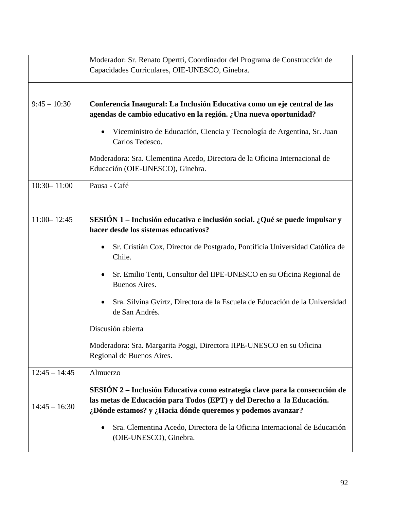|                 | Moderador: Sr. Renato Opertti, Coordinador del Programa de Construcción de<br>Capacidades Curriculares, OIE-UNESCO, Ginebra.                                                                                                               |
|-----------------|--------------------------------------------------------------------------------------------------------------------------------------------------------------------------------------------------------------------------------------------|
| $9:45 - 10:30$  | Conferencia Inaugural: La Inclusión Educativa como un eje central de las<br>agendas de cambio educativo en la región. ¿Una nueva oportunidad?<br>Viceministro de Educación, Ciencia y Tecnología de Argentina, Sr. Juan<br>Carlos Tedesco. |
|                 | Moderadora: Sra. Clementina Acedo, Directora de la Oficina Internacional de<br>Educación (OIE-UNESCO), Ginebra.                                                                                                                            |
| $10:30 - 11:00$ | Pausa - Café                                                                                                                                                                                                                               |
| $11:00 - 12:45$ | SESIÓN 1 - Inclusión educativa e inclusión social. ¿Qué se puede impulsar y<br>hacer desde los sistemas educativos?                                                                                                                        |
|                 | Sr. Cristián Cox, Director de Postgrado, Pontificia Universidad Católica de<br>Chile.                                                                                                                                                      |
|                 | Sr. Emilio Tenti, Consultor del IIPE-UNESCO en su Oficina Regional de<br><b>Buenos Aires.</b>                                                                                                                                              |
|                 | Sra. Silvina Gvirtz, Directora de la Escuela de Educación de la Universidad<br>de San Andrés.                                                                                                                                              |
|                 | Discusión abierta                                                                                                                                                                                                                          |
|                 | Moderadora: Sra. Margarita Poggi, Directora IIPE-UNESCO en su Oficina<br>Regional de Buenos Aires.                                                                                                                                         |
| $12:45 - 14:45$ | Almuerzo                                                                                                                                                                                                                                   |
| $14:45 - 16:30$ | SESIÓN 2 – Inclusión Educativa como estrategia clave para la consecución de<br>las metas de Educación para Todos (EPT) y del Derecho a la Educación.<br>¿Dónde estamos? y ¿Hacia dónde queremos y podemos avanzar?                         |
|                 | Sra. Clementina Acedo, Directora de la Oficina Internacional de Educación<br>(OIE-UNESCO), Ginebra.                                                                                                                                        |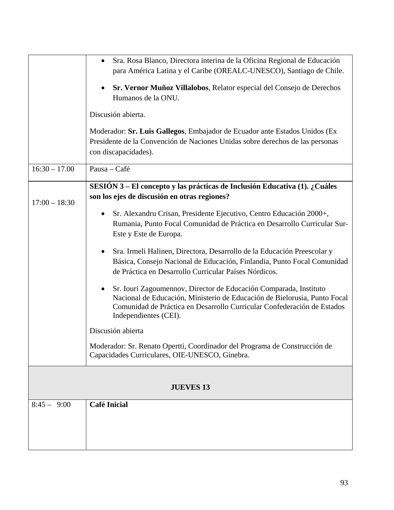|                  | Sra. Rosa Blanco, Directora interina de la Oficina Regional de Educación<br>$\bullet$<br>para América Latina y el Caribe (OREALC-UNESCO), Santiago de Chile.<br>Sr. Vernor Muñoz Villalobos, Relator especial del Consejo de Derechos<br>Humanos de la ONU.<br>Discusión abierta.<br>Moderador: Sr. Luis Gallegos, Embajador de Ecuador ante Estados Unidos (Ex<br>Presidente de la Convención de Naciones Unidas sobre derechos de las personas<br>con discapacidades).                                                                                                                                                                                                                                                                                                                                                                                                                                                          |
|------------------|-----------------------------------------------------------------------------------------------------------------------------------------------------------------------------------------------------------------------------------------------------------------------------------------------------------------------------------------------------------------------------------------------------------------------------------------------------------------------------------------------------------------------------------------------------------------------------------------------------------------------------------------------------------------------------------------------------------------------------------------------------------------------------------------------------------------------------------------------------------------------------------------------------------------------------------|
| $16:30 - 17.00$  | Pausa - Café                                                                                                                                                                                                                                                                                                                                                                                                                                                                                                                                                                                                                                                                                                                                                                                                                                                                                                                      |
| $17:00 - 18:30$  | SESIÓN 3 – El concepto y las prácticas de Inclusión Educativa (1). ¿Cuáles<br>son los ejes de discusión en otras regiones?<br>Sr. Alexandru Crisan, Presidente Ejecutivo, Centro Educación 2000+,<br>Rumania, Punto Focal Comunidad de Práctica en Desarrollo Curricular Sur-<br>Este y Este de Europa.<br>Sra. Irmeli Halinen, Directora, Desarrollo de la Educación Preescolar y<br>Básica, Consejo Nacional de Educación, Finlandia, Punto Focal Comunidad<br>de Práctica en Desarrollo Curricular Países Nórdicos.<br>Sr. Iouri Zagoumennov, Director de Educación Comparada, Instituto<br>Nacional de Educación, Ministerio de Educación de Bielorusia, Punto Focal<br>Comunidad de Práctica en Desarrollo Curricular Confederación de Estados<br>Independientes (CEI).<br>Discusión abierta<br>Moderador: Sr. Renato Opertti, Coordinador del Programa de Construcción de<br>Capacidades Curriculares, OIE-UNESCO, Ginebra. |
| <b>JUEVES 13</b> |                                                                                                                                                                                                                                                                                                                                                                                                                                                                                                                                                                                                                                                                                                                                                                                                                                                                                                                                   |
| $8:45 - 9:00$    | <b>Café Inicial</b>                                                                                                                                                                                                                                                                                                                                                                                                                                                                                                                                                                                                                                                                                                                                                                                                                                                                                                               |
|                  |                                                                                                                                                                                                                                                                                                                                                                                                                                                                                                                                                                                                                                                                                                                                                                                                                                                                                                                                   |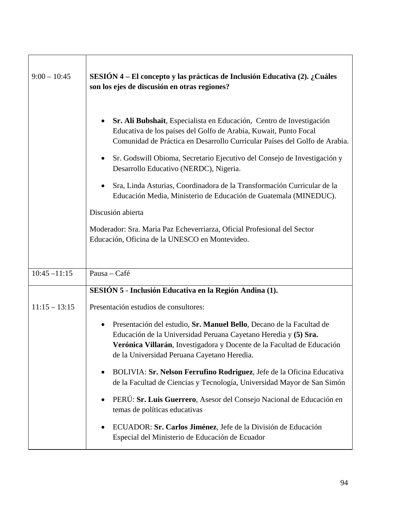| $9:00 - 10:45$  | SESIÓN 4 – El concepto y las prácticas de Inclusión Educativa (2). ¿Cuáles<br>son los ejes de discusión en otras regiones?                                                                                                                                                                                                                                                                                                                                                                                                         |
|-----------------|------------------------------------------------------------------------------------------------------------------------------------------------------------------------------------------------------------------------------------------------------------------------------------------------------------------------------------------------------------------------------------------------------------------------------------------------------------------------------------------------------------------------------------|
|                 | Sr. Ali Bubshait, Especialista en Educación, Centro de Investigación<br>$\bullet$<br>Educativa de los países del Golfo de Arabia, Kuwait, Punto Focal<br>Comunidad de Práctica en Desarrollo Curricular Países del Golfo de Arabia.<br>Sr. Godswill Obioma, Secretario Ejecutivo del Consejo de Investigación y<br>Desarrollo Educativo (NERDC), Nigeria.<br>Sra, Linda Asturias, Coordinadora de la Transformación Curricular de la<br>٠<br>Educación Media, Ministerio de Educación de Guatemala (MINEDUC).<br>Discusión abierta |
|                 | Moderador: Sra. Maria Paz Echeverriarza, Oficial Profesional del Sector<br>Educación, Oficina de la UNESCO en Montevideo.                                                                                                                                                                                                                                                                                                                                                                                                          |
| $10:45 - 11:15$ | Pausa - Café                                                                                                                                                                                                                                                                                                                                                                                                                                                                                                                       |
|                 | SESIÓN 5 - Inclusión Educativa en la Región Andina (1).                                                                                                                                                                                                                                                                                                                                                                                                                                                                            |
| $11:15 - 13:15$ | Presentación estudios de consultores:                                                                                                                                                                                                                                                                                                                                                                                                                                                                                              |
|                 | Presentación del estudio, Sr. Manuel Bello, Decano de la Facultad de<br>٠<br>Educación de la Universidad Peruana Cayetano Heredia y (5) Sra.<br>Verónica Villarán, Investigadora y Docente de la Facultad de Educación<br>de la Universidad Peruana Cayetano Heredia.                                                                                                                                                                                                                                                              |
|                 | BOLIVIA: Sr. Nelson Ferrufino Rodriguez, Jefe de la Oficina Educativa<br>$\bullet$<br>de la Facultad de Ciencias y Tecnología, Universidad Mayor de San Simón                                                                                                                                                                                                                                                                                                                                                                      |
|                 | PERÚ: Sr. Luis Guerrero, Asesor del Consejo Nacional de Educación en<br>$\bullet$<br>temas de políticas educativas                                                                                                                                                                                                                                                                                                                                                                                                                 |
|                 | ECUADOR: Sr. Carlos Jiménez, Jefe de la División de Educación<br>Especial del Ministerio de Educación de Ecuador                                                                                                                                                                                                                                                                                                                                                                                                                   |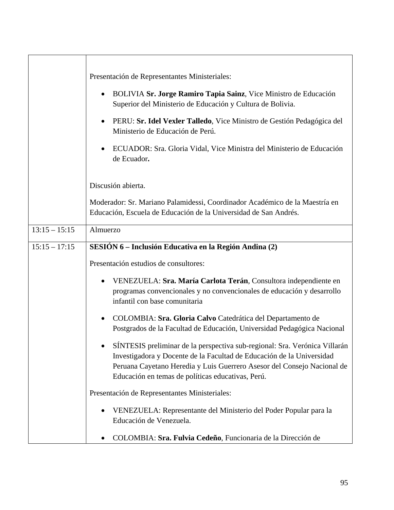|                 | Presentación de Representantes Ministeriales:                                                                                                                                                                                                                                       |
|-----------------|-------------------------------------------------------------------------------------------------------------------------------------------------------------------------------------------------------------------------------------------------------------------------------------|
|                 | BOLIVIA Sr. Jorge Ramiro Tapia Sainz, Vice Ministro de Educación<br>$\bullet$<br>Superior del Ministerio de Educación y Cultura de Bolivia.                                                                                                                                         |
|                 | PERU: Sr. Idel Vexler Talledo, Vice Ministro de Gestión Pedagógica del<br>$\bullet$<br>Ministerio de Educación de Perú.                                                                                                                                                             |
|                 | ECUADOR: Sra. Gloria Vidal, Vice Ministra del Ministerio de Educación<br>de Ecuador.                                                                                                                                                                                                |
|                 | Discusión abierta.                                                                                                                                                                                                                                                                  |
|                 | Moderador: Sr. Mariano Palamidessi, Coordinador Académico de la Maestría en<br>Educación, Escuela de Educación de la Universidad de San Andrés.                                                                                                                                     |
| $13:15 - 15:15$ | Almuerzo                                                                                                                                                                                                                                                                            |
| $15:15 - 17:15$ | SESIÓN 6 – Inclusión Educativa en la Región Andina (2)                                                                                                                                                                                                                              |
|                 | Presentación estudios de consultores:                                                                                                                                                                                                                                               |
|                 | VENEZUELA: Sra. María Carlota Terán, Consultora independiente en<br>programas convencionales y no convencionales de educación y desarrollo<br>infantil con base comunitaria                                                                                                         |
|                 | COLOMBIA: Sra. Gloria Calvo Catedrática del Departamento de<br>Postgrados de la Facultad de Educación, Universidad Pedagógica Nacional                                                                                                                                              |
|                 | SÍNTESIS preliminar de la perspectiva sub-regional: Sra. Verónica Villarán<br>Investigadora y Docente de la Facultad de Educación de la Universidad<br>Peruana Cayetano Heredia y Luis Guerrero Asesor del Consejo Nacional de<br>Educación en temas de políticas educativas, Perú. |
|                 | Presentación de Representantes Ministeriales:                                                                                                                                                                                                                                       |
|                 | VENEZUELA: Representante del Ministerio del Poder Popular para la<br>Educación de Venezuela.                                                                                                                                                                                        |
|                 | COLOMBIA: Sra. Fulvia Cedeño, Funcionaria de la Dirección de                                                                                                                                                                                                                        |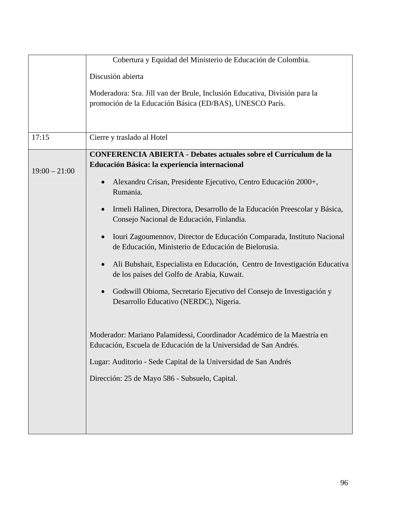|                 | Cobertura y Equidad del Ministerio de Educación de Colombia.                                                                                |
|-----------------|---------------------------------------------------------------------------------------------------------------------------------------------|
|                 | Discusión abierta                                                                                                                           |
|                 | Moderadora: Sra. Jill van der Brule, Inclusión Educativa, División para la                                                                  |
|                 | promoción de la Educación Básica (ED/BAS), UNESCO París.                                                                                    |
|                 |                                                                                                                                             |
| 17:15           | Cierre y traslado al Hotel                                                                                                                  |
|                 | <b>CONFERENCIA ABIERTA - Debates actuales sobre el Currículum de la</b>                                                                     |
| $19:00 - 21:00$ | Educación Básica: la experiencia internacional                                                                                              |
|                 | Alexandru Crisan, Presidente Ejecutivo, Centro Educación 2000+,<br>$\bullet$<br>Rumania.                                                    |
|                 | Irmeli Halinen, Directora, Desarrollo de la Educación Preescolar y Básica,<br>Consejo Nacional de Educación, Finlandia.                     |
|                 | Iouri Zagoumennov, Director de Educación Comparada, Instituto Nacional<br>de Educación, Ministerio de Educación de Bielorusia.              |
|                 | Ali Bubshait, Especialista en Educación, Centro de Investigación Educativa<br>de los países del Golfo de Arabia, Kuwait.                    |
|                 | Godswill Obioma, Secretario Ejecutivo del Consejo de Investigación y<br>Desarrollo Educativo (NERDC), Nigeria.                              |
|                 | Moderador: Mariano Palamidessi, Coordinador Académico de la Maestría en<br>Educación, Escuela de Educación de la Universidad de San Andrés. |
|                 | Lugar: Auditorio - Sede Capital de la Universidad de San Andrés                                                                             |
|                 | Dirección: 25 de Mayo 586 - Subsuelo, Capital.                                                                                              |
|                 |                                                                                                                                             |
|                 |                                                                                                                                             |
|                 |                                                                                                                                             |
|                 |                                                                                                                                             |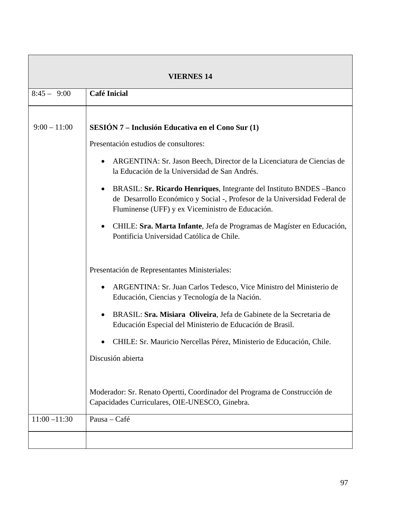| <b>VIERNES 14</b> |                                                                                                                                                                                                                    |
|-------------------|--------------------------------------------------------------------------------------------------------------------------------------------------------------------------------------------------------------------|
| $8:45 - 9:00$     | <b>Café Inicial</b>                                                                                                                                                                                                |
|                   |                                                                                                                                                                                                                    |
| $9:00 - 11:00$    | SESIÓN 7 – Inclusión Educativa en el Cono Sur (1)                                                                                                                                                                  |
|                   | Presentación estudios de consultores:                                                                                                                                                                              |
|                   | ARGENTINA: Sr. Jason Beech, Director de la Licenciatura de Ciencias de<br>la Educación de la Universidad de San Andrés.                                                                                            |
|                   | BRASIL: Sr. Ricardo Henriques, Integrante del Instituto BNDES -Banco<br>$\bullet$<br>de Desarrollo Económico y Social -, Profesor de la Universidad Federal de<br>Fluminense (UFF) y ex Viceministro de Educación. |
|                   | CHILE: Sra. Marta Infante, Jefa de Programas de Magíster en Educación,<br>$\bullet$<br>Pontificia Universidad Católica de Chile.                                                                                   |
|                   | Presentación de Representantes Ministeriales:                                                                                                                                                                      |
|                   | ARGENTINA: Sr. Juan Carlos Tedesco, Vice Ministro del Ministerio de<br>$\bullet$<br>Educación, Ciencias y Tecnología de la Nación.                                                                                 |
|                   | BRASIL: Sra. Misiara Oliveira, Jefa de Gabinete de la Secretaria de<br>$\bullet$<br>Educación Especial del Ministerio de Educación de Brasil.                                                                      |
|                   | CHILE: Sr. Mauricio Nercellas Pérez, Ministerio de Educación, Chile.                                                                                                                                               |
|                   | Discusión abierta                                                                                                                                                                                                  |
|                   | Moderador: Sr. Renato Opertti, Coordinador del Programa de Construcción de<br>Capacidades Curriculares, OIE-UNESCO, Ginebra.                                                                                       |
| $11:00 - 11:30$   | Pausa - Café                                                                                                                                                                                                       |
|                   |                                                                                                                                                                                                                    |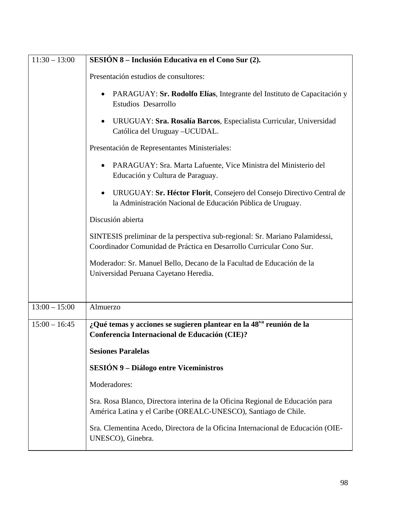| $11:30 - 13:00$ | SESIÓN 8 – Inclusión Educativa en el Cono Sur (2).                                                                                                   |
|-----------------|------------------------------------------------------------------------------------------------------------------------------------------------------|
|                 | Presentación estudios de consultores:                                                                                                                |
|                 | PARAGUAY: Sr. Rodolfo Elías, Integrante del Instituto de Capacitación y<br>$\bullet$<br><b>Estudios Desarrollo</b>                                   |
|                 | URUGUAY: Sra. Rosalía Barcos, Especialista Curricular, Universidad<br>Católica del Uruguay - UCUDAL.                                                 |
|                 | Presentación de Representantes Ministeriales:                                                                                                        |
|                 | PARAGUAY: Sra. Marta Lafuente, Vice Ministra del Ministerio del<br>Educación y Cultura de Paraguay.                                                  |
|                 | URUGUAY: Sr. Héctor Florit, Consejero del Consejo Directivo Central de<br>la Administración Nacional de Educación Pública de Uruguay.                |
|                 | Discusión abierta                                                                                                                                    |
|                 | SINTESIS preliminar de la perspectiva sub-regional: Sr. Mariano Palamidessi,<br>Coordinador Comunidad de Práctica en Desarrollo Curricular Cono Sur. |
|                 | Moderador: Sr. Manuel Bello, Decano de la Facultad de Educación de la<br>Universidad Peruana Cayetano Heredia.                                       |
| $13:00 - 15:00$ | Almuerzo                                                                                                                                             |
|                 |                                                                                                                                                      |
| $15:00 - 16:45$ | ¿Qué temas y acciones se sugieren plantear en la 48 <sup>va</sup> reunión de la<br>Conferencia Internacional de Educación (CIE)?                     |
|                 | <b>Sesiones Paralelas</b>                                                                                                                            |
|                 | <b>SESIÓN 9 – Diálogo entre Viceministros</b>                                                                                                        |
|                 | Moderadores:                                                                                                                                         |
|                 | Sra. Rosa Blanco, Directora interina de la Oficina Regional de Educación para<br>América Latina y el Caribe (OREALC-UNESCO), Santiago de Chile.      |
|                 | Sra. Clementina Acedo, Directora de la Oficina Internacional de Educación (OIE-<br>UNESCO), Ginebra.                                                 |